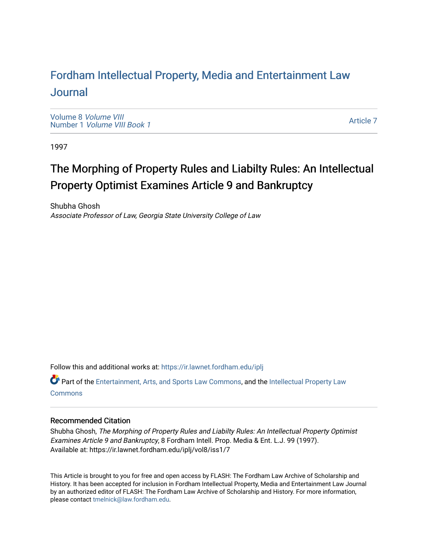## For[dham Intellectual Property, Media and Enter](https://ir.lawnet.fordham.edu/iplj)tainment Law [Journal](https://ir.lawnet.fordham.edu/iplj)

[Volume 8](https://ir.lawnet.fordham.edu/iplj/vol8) Volume VIII Number 1 [Volume VIII Book 1](https://ir.lawnet.fordham.edu/iplj/vol8/iss1)

[Article 7](https://ir.lawnet.fordham.edu/iplj/vol8/iss1/7) 

1997

# The Morphing of Property Rules and Liabilty Rules: An Intellectual Property Optimist Examines Article 9 and Bankruptcy

Shubha Ghosh Associate Professor of Law, Georgia State University College of Law

Follow this and additional works at: [https://ir.lawnet.fordham.edu/iplj](https://ir.lawnet.fordham.edu/iplj?utm_source=ir.lawnet.fordham.edu%2Fiplj%2Fvol8%2Fiss1%2F7&utm_medium=PDF&utm_campaign=PDFCoverPages) 

Part of the [Entertainment, Arts, and Sports Law Commons](http://network.bepress.com/hgg/discipline/893?utm_source=ir.lawnet.fordham.edu%2Fiplj%2Fvol8%2Fiss1%2F7&utm_medium=PDF&utm_campaign=PDFCoverPages), and the [Intellectual Property Law](http://network.bepress.com/hgg/discipline/896?utm_source=ir.lawnet.fordham.edu%2Fiplj%2Fvol8%2Fiss1%2F7&utm_medium=PDF&utm_campaign=PDFCoverPages) **[Commons](http://network.bepress.com/hgg/discipline/896?utm_source=ir.lawnet.fordham.edu%2Fiplj%2Fvol8%2Fiss1%2F7&utm_medium=PDF&utm_campaign=PDFCoverPages)** 

#### Recommended Citation

Shubha Ghosh, The Morphing of Property Rules and Liabilty Rules: An Intellectual Property Optimist Examines Article 9 and Bankruptcy, 8 Fordham Intell. Prop. Media & Ent. L.J. 99 (1997). Available at: https://ir.lawnet.fordham.edu/iplj/vol8/iss1/7

This Article is brought to you for free and open access by FLASH: The Fordham Law Archive of Scholarship and History. It has been accepted for inclusion in Fordham Intellectual Property, Media and Entertainment Law Journal by an authorized editor of FLASH: The Fordham Law Archive of Scholarship and History. For more information, please contact [tmelnick@law.fordham.edu](mailto:tmelnick@law.fordham.edu).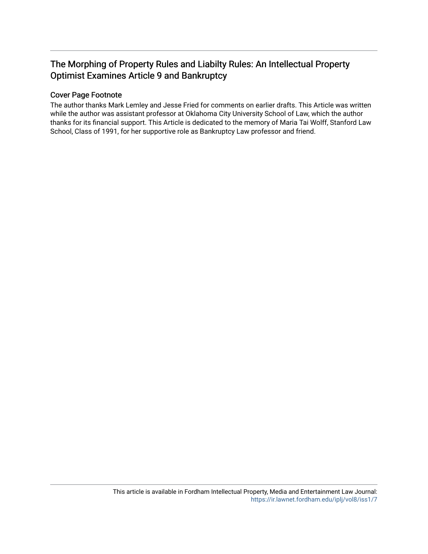### The Morphing of Property Rules and Liabilty Rules: An Intellectual Property Optimist Examines Article 9 and Bankruptcy

### Cover Page Footnote

The author thanks Mark Lemley and Jesse Fried for comments on earlier drafts. This Article was written while the author was assistant professor at Oklahoma City University School of Law, which the author thanks for its financial support. This Article is dedicated to the memory of Maria Tai Wolff, Stanford Law School, Class of 1991, for her supportive role as Bankruptcy Law professor and friend.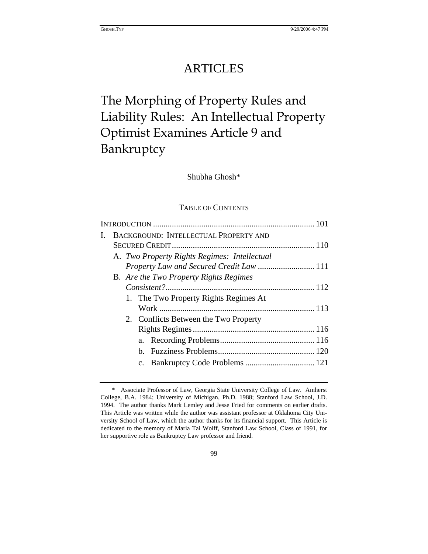## ARTICLES

# The Morphing of Property Rules and Liability Rules: An Intellectual Property Optimist Examines Article 9 and Bankruptcy

Shubha Ghosh\*

#### TABLE OF CONTENTS

| BACKGROUND: INTELLECTUAL PROPERTY AND        |  |
|----------------------------------------------|--|
|                                              |  |
| A. Two Property Rights Regimes: Intellectual |  |
| Property Law and Secured Credit Law  111     |  |
| B. Are the Two Property Rights Regimes       |  |
|                                              |  |
| 1. The Two Property Rights Regimes At        |  |
|                                              |  |
| 2. Conflicts Between the Two Property        |  |
|                                              |  |
|                                              |  |
|                                              |  |
|                                              |  |
|                                              |  |

<sup>\*</sup> Associate Professor of Law, Georgia State University College of Law. Amherst College, B.A. 1984; University of Michigan, Ph.D. 1988; Stanford Law School, J.D. 1994. The author thanks Mark Lemley and Jesse Fried for comments on earlier drafts. This Article was written while the author was assistant professor at Oklahoma City University School of Law, which the author thanks for its financial support. This Article is dedicated to the memory of Maria Tai Wolff, Stanford Law School, Class of 1991, for her supportive role as Bankruptcy Law professor and friend.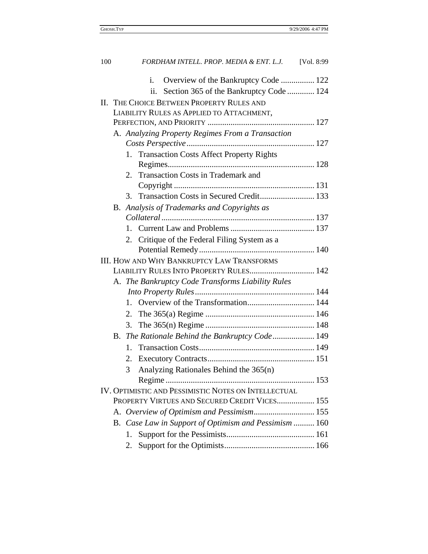| 100                                           |                                                       |    | FORDHAM INTELL. PROP. MEDIA & ENT. L.J. [Vol. 8:99   |  |
|-----------------------------------------------|-------------------------------------------------------|----|------------------------------------------------------|--|
|                                               |                                                       |    | Overview of the Bankruptcy Code  122<br>i.           |  |
|                                               |                                                       |    | ii.<br>Section 365 of the Bankruptcy Code  124       |  |
|                                               |                                                       |    | <b>II. THE CHOICE BETWEEN PROPERTY RULES AND</b>     |  |
|                                               | LIABILITY RULES AS APPLIED TO ATTACHMENT,             |    |                                                      |  |
|                                               |                                                       |    |                                                      |  |
|                                               | A. Analyzing Property Regimes From a Transaction      |    |                                                      |  |
|                                               |                                                       |    |                                                      |  |
|                                               |                                                       | 1. | <b>Transaction Costs Affect Property Rights</b>      |  |
|                                               |                                                       |    |                                                      |  |
|                                               |                                                       | 2. | Transaction Costs in Trademark and                   |  |
|                                               |                                                       |    |                                                      |  |
|                                               |                                                       | 3. |                                                      |  |
|                                               |                                                       |    | B. Analysis of Trademarks and Copyrights as          |  |
|                                               |                                                       |    |                                                      |  |
|                                               |                                                       |    |                                                      |  |
|                                               |                                                       | 2. | Critique of the Federal Filing System as a           |  |
|                                               |                                                       |    |                                                      |  |
|                                               |                                                       |    | <b>III. HOW AND WHY BANKRUPTCY LAW TRANSFORMS</b>    |  |
| LIABILITY RULES INTO PROPERTY RULES 142       |                                                       |    |                                                      |  |
|                                               |                                                       |    | A. The Bankruptcy Code Transforms Liability Rules    |  |
|                                               |                                                       |    |                                                      |  |
|                                               |                                                       | 1. |                                                      |  |
|                                               |                                                       | 2. |                                                      |  |
|                                               |                                                       | 3. |                                                      |  |
|                                               |                                                       |    | B. The Rationale Behind the Bankruptcy Code 149      |  |
|                                               |                                                       | 1. |                                                      |  |
|                                               |                                                       |    |                                                      |  |
|                                               |                                                       |    | 3 Analyzing Rationales Behind the 365(n)             |  |
|                                               |                                                       |    |                                                      |  |
|                                               |                                                       |    | IV. OPTIMISTIC AND PESSIMISTIC NOTES ON INTELLECTUAL |  |
| PROPERTY VIRTUES AND SECURED CREDIT VICES 155 |                                                       |    |                                                      |  |
|                                               |                                                       |    |                                                      |  |
|                                               | B. Case Law in Support of Optimism and Pessimism  160 |    |                                                      |  |
|                                               |                                                       | 1. |                                                      |  |
|                                               |                                                       | 2. |                                                      |  |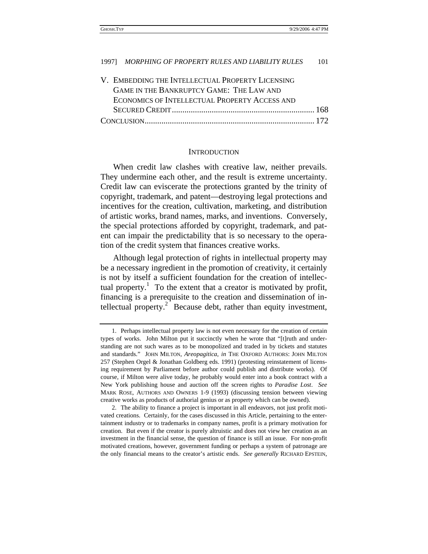| V. EMBEDDING THE INTELLECTUAL PROPERTY LICENSING |  |
|--------------------------------------------------|--|
| GAME IN THE BANKRUPTCY GAME: THE LAW AND         |  |
| ECONOMICS OF INTELLECTUAL PROPERTY ACCESS AND    |  |
|                                                  |  |
|                                                  |  |

#### **INTRODUCTION**

When credit law clashes with creative law, neither prevails. They undermine each other, and the result is extreme uncertainty. Credit law can eviscerate the protections granted by the trinity of copyright, trademark, and patent—destroying legal protections and incentives for the creation, cultivation, marketing, and distribution of artistic works, brand names, marks, and inventions. Conversely, the special protections afforded by copyright, trademark, and patent can impair the predictability that is so necessary to the operation of the credit system that finances creative works.

Although legal protection of rights in intellectual property may be a necessary ingredient in the promotion of creativity, it certainly is not by itself a sufficient foundation for the creation of intellectual property.<sup>1</sup> To the extent that a creator is motivated by profit, financing is a prerequisite to the creation and dissemination of intellectual property.<sup>2</sup> Because debt, rather than equity investment,

<sup>1.</sup> Perhaps intellectual property law is not even necessary for the creation of certain types of works. John Milton put it succinctly when he wrote that "[t]ruth and understanding are not such wares as to be monopolized and traded in by tickets and statutes and standards." JOHN MILTON, *Areopagitica*, *in* THE OXFORD AUTHORS: JOHN MILTON 257 (Stephen Orgel & Jonathan Goldberg eds. 1991) (protesting reinstatement of licensing requirement by Parliament before author could publish and distribute works). Of course, if Milton were alive today, he probably would enter into a book contract with a New York publishing house and auction off the screen rights to *Paradise Lost*. *See* MARK ROSE, AUTHORS AND OWNERS 1-9 (1993) (discussing tension between viewing creative works as products of authorial genius or as property which can be owned).

<sup>2.</sup> The ability to finance a project is important in all endeavors, not just profit motivated creations. Certainly, for the cases discussed in this Article, pertaining to the entertainment industry or to trademarks in company names, profit is a primary motivation for creation. But even if the creator is purely altruistic and does not view her creation as an investment in the financial sense, the question of finance is still an issue. For non-profit motivated creations, however, government funding or perhaps a system of patronage are the only financial means to the creator's artistic ends. *See generally* RICHARD EPSTEIN,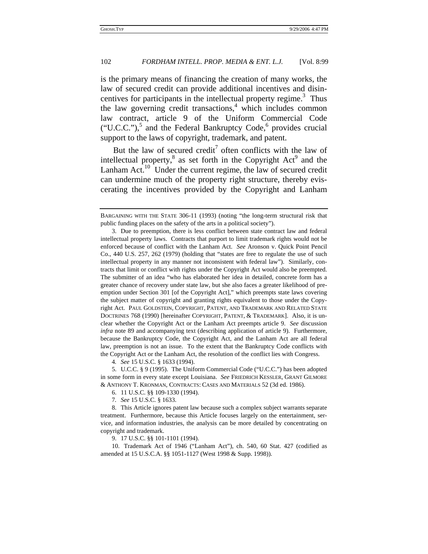is the primary means of financing the creation of many works, the law of secured credit can provide additional incentives and disincentives for participants in the intellectual property regime.<sup>3</sup> Thus the law governing credit transactions,<sup>4</sup> which includes common law contract, article 9 of the Uniform Commercial Code ("U.C.C."),<sup>5</sup> and the Federal Bankruptcy Code,<sup>6</sup> provides crucial support to the laws of copyright, trademark, and patent.

But the law of secured credit<sup>7</sup> often conflicts with the law of intellectual property, $8$  as set forth in the Copyright Act<sup>9</sup> and the Lanham Act.<sup>10</sup> Under the current regime, the law of secured credit can undermine much of the property right structure, thereby eviscerating the incentives provided by the Copyright and Lanham

4*. See* 15 U.S.C. § 1633 (1994).

9. 17 U.S.C. §§ 101-1101 (1994).

10. Trademark Act of 1946 ("Lanham Act"), ch. 540, 60 Stat. 427 (codified as amended at 15 U.S.C.A. §§ 1051-1127 (West 1998 & Supp. 1998)).

BARGAINING WITH THE STATE 306-11 (1993) (noting "the long-term structural risk that public funding places on the safety of the arts in a political society").

<sup>3.</sup> Due to preemption, there is less conflict between state contract law and federal intellectual property laws. Contracts that purport to limit trademark rights would not be enforced because of conflict with the Lanham Act. *See* Aronson v. Quick Point Pencil Co., 440 U.S. 257, 262 (1979) (holding that "states are free to regulate the use of such intellectual property in any manner not inconsistent with federal law"). Similarly, contracts that limit or conflict with rights under the Copyright Act would also be preempted. The submitter of an idea "who has elaborated her idea in detailed, concrete form has a greater chance of recovery under state law, but she also faces a greater likelihood of preemption under Section 301 [of the Copyright Act]," which preempts state laws covering the subject matter of copyright and granting rights equivalent to those under the Copyright Act. PAUL GOLDSTEIN, COPYRIGHT, PATENT, AND TRADEMARK AND RELATED STATE DOCTRINES 768 (1990) [hereinafter COPYRIGHT, PATENT, & TRADEMARK]. Also, it is unclear whether the Copyright Act or the Lanham Act preempts article 9. *See* discussion *infra* note 89 and accompanying text (describing application of article 9). Furthermore, because the Bankruptcy Code, the Copyright Act, and the Lanham Act are all federal law, preemption is not an issue. To the extent that the Bankruptcy Code conflicts with the Copyright Act or the Lanham Act, the resolution of the conflict lies with Congress.

<sup>5.</sup> U.C.C. § 9 (1995). The Uniform Commercial Code ("U.C.C.") has been adopted in some form in every state except Louisiana. *See* FRIEDRICH KESSLER, GRANT GILMORE & ANTHONY T. KRONMAN, CONTRACTS: CASES AND MATERIALS 52 (3d ed. 1986).

<sup>6. 11</sup> U.S.C. §§ 109-1330 (1994).

<sup>7</sup>*. See* 15 U.S.C. § 1633.

<sup>8.</sup> This Article ignores patent law because such a complex subject warrants separate treatment. Furthermore, because this Article focuses largely on the entertainment, service, and information industries, the analysis can be more detailed by concentrating on copyright and trademark.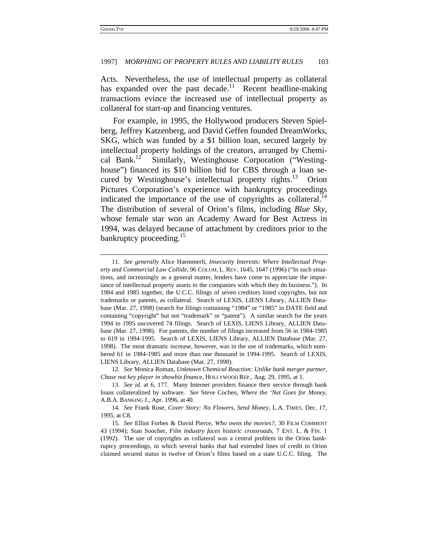Acts. Nevertheless, the use of intellectual property as collateral has expanded over the past decade.<sup>11</sup> Recent headline-making transactions evince the increased use of intellectual property as collateral for start-up and financing ventures.

For example, in 1995, the Hollywood producers Steven Spielberg, Jeffrey Katzenberg, and David Geffen founded DreamWorks, SKG, which was funded by a \$1 billion loan, secured largely by intellectual property holdings of the creators, arranged by Chemical Bank.12 Similarly, Westinghouse Corporation ("Westinghouse") financed its \$10 billion bid for CBS through a loan secured by Westinghouse's intellectual property rights.<sup>13</sup> Orion Pictures Corporation's experience with bankruptcy proceedings indicated the importance of the use of copyrights as collateral. $14$ The distribution of several of Orion's films, including *Blue Sky*, whose female star won an Academy Award for Best Actress in 1994, was delayed because of attachment by creditors prior to the bankruptcy proceeding.<sup>15</sup>

<sup>11</sup>*. See generally* Alice Haemmerli, *Insecurity Interests: Where Intellectual Property and Commercial Law Collide*, 96 COLUM. L. REV. 1645, 1647 (1996) ("In such situations, and increasingly as a general matter, lenders have come to appreciate the importance of intellectual property assets to the companies with which they do business."). In 1984 and 1985 together, the U.C.C. filings of seven creditors listed copyrights, but not trademarks or patents, as collateral. Search of LEXIS, LIENS Library, ALLIEN Database (Mar. 27, 1998) (search for filings containing "1984" or "1985" in DATE field and containing "copyright" but not "trademark" or "patent"). A similar search for the years 1994 to 1995 uncovered 74 filings. Search of LEXIS, LIENS Library, ALLIEN Database (Mar. 27, 1998). For patents, the number of filings increased from 56 in 1984-1985 to 619 in 1994-1995. Search of LEXIS, LIENS Library, ALLIEN Database (Mar. 27, 1998). The most dramatic increase, however, was in the use of trademarks, which numbered 61 in 1984-1985 and more than one thousand in 1994-1995. Search of LEXIS, LIENS Library, ALLIEN Database (Mar. 27, 1998).

<sup>12</sup>*. See* Monica Roman, *Unknown Chemical Reaction: Unlike bank merger partner, Chase not key player in showbiz finance*, HOLLYWOOD REP.*,* Aug. 29, 1995, at 1.

<sup>13</sup>*. See id.* at 6, 177. Many Internet providers finance their service through bank loans collateralized by software. *See* Steve Cocheo, *Where the 'Net Goes for Money*, A.B.A. BANKING J., Apr. 1996, at 40.

<sup>14</sup>*. See* Frank Rose, *Cover Story: No Flowers, Send Money*, L.A. TIMES, Dec. 17, 1995, at C8.

<sup>15</sup>*. See* Elliot Forbes & David Pierce, *Who owns the movies?*, 30 FILM COMMENT 43 (1994); Stan Soocher, *Film industry faces historic crossroads*, 7 ENT. L. & FIN. 1 (1992). The use of copyrights as collateral was a central problem in the Orion bankruptcy proceedings, in which several banks that had extended lines of credit to Orion claimed secured status in twelve of Orion's films based on a state U.C.C. filing. The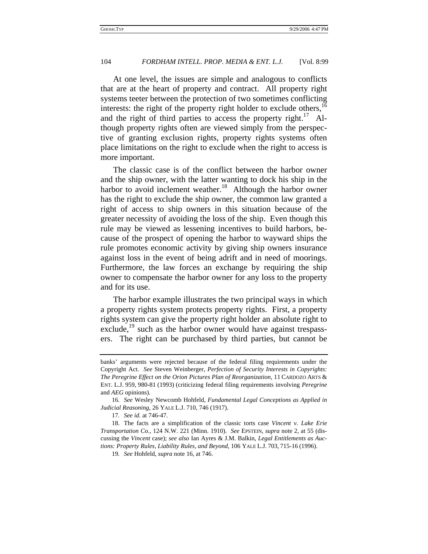At one level, the issues are simple and analogous to conflicts that are at the heart of property and contract. All property right systems teeter between the protection of two sometimes conflicting interests: the right of the property right holder to exclude others,  $16$ and the right of third parties to access the property right.<sup>17</sup> Although property rights often are viewed simply from the perspective of granting exclusion rights, property rights systems often place limitations on the right to exclude when the right to access is more important.

The classic case is of the conflict between the harbor owner and the ship owner, with the latter wanting to dock his ship in the harbor to avoid inclement weather.<sup>18</sup> Although the harbor owner has the right to exclude the ship owner, the common law granted a right of access to ship owners in this situation because of the greater necessity of avoiding the loss of the ship. Even though this rule may be viewed as lessening incentives to build harbors, because of the prospect of opening the harbor to wayward ships the rule promotes economic activity by giving ship owners insurance against loss in the event of being adrift and in need of moorings. Furthermore, the law forces an exchange by requiring the ship owner to compensate the harbor owner for any loss to the property and for its use.

The harbor example illustrates the two principal ways in which a property rights system protects property rights. First, a property rights system can give the property right holder an absolute right to exclude, $19$  such as the harbor owner would have against trespassers. The right can be purchased by third parties, but cannot be

banks' arguments were rejected because of the federal filing requirements under the Copyright Act. *See* Steven Weinberger, *Perfection of Security Interests in Copyrights: The Peregrine Effect on the Orion Pictures Plan of Reorganization,* 11 CARDOZO ARTS & ENT. L.J. 959, 980-81 (1993) (criticizing federal filing requirements involving *Peregrine* and *AEG* opinions).

<sup>16</sup>*. See* Wesley Newcomb Hohfeld, *Fundamental Legal Conceptions as Applied in Judicial Reasoning*, 26 YALE L.J. 710, 746 (1917).

<sup>17</sup>*. See id.* at 746-47.

<sup>18.</sup> The facts are a simplification of the classic torts case *Vincent v. Lake Erie Transportation Co.*, 124 N.W. 221 (Minn. 1910). *See* EPSTEIN, *supra* note 2, at 55 (discussing the *Vincent* case); *see also* Ian Ayres & J.M. Balkin, *Legal Entitlements as Auctions: Property Rules, Liability Rules, and Beyond*, 106 YALE L.J. 703, 715-16 (1996).

<sup>19</sup>*. See* Hohfeld, *supra* note 16, at 746.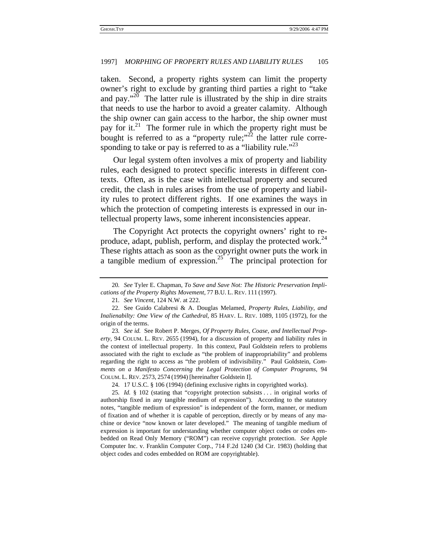taken. Second, a property rights system can limit the property owner's right to exclude by granting third parties a right to "take and pay."<sup>20</sup> The latter rule is illustrated by the ship in dire straits that needs to use the harbor to avoid a greater calamity. Although the ship owner can gain access to the harbor, the ship owner must pay for it.<sup>21</sup> The former rule in which the property right must be bought is referred to as a "property rule;"<sup>22</sup> the latter rule corresponding to take or pay is referred to as a "liability rule."<sup>23</sup>

Our legal system often involves a mix of property and liability rules, each designed to protect specific interests in different contexts. Often, as is the case with intellectual property and secured credit, the clash in rules arises from the use of property and liability rules to protect different rights. If one examines the ways in which the protection of competing interests is expressed in our intellectual property laws, some inherent inconsistencies appear.

The Copyright Act protects the copyright owners' right to reproduce, adapt, publish, perform, and display the protected work.<sup>24</sup> These rights attach as soon as the copyright owner puts the work in a tangible medium of expression.<sup>25</sup> The principal protection for

<sup>20</sup>*. See* Tyler E. Chapman, *To Save and Save Not: The Historic Preservation Implications of the Property Rights Movement*, 77 B.U. L. REV. 111 (1997).

<sup>21</sup>*. See Vincent,* 124 N.W. at 222.

<sup>22.</sup> See Guido Calabresi & A. Douglas Melamed, *Property Rules, Liability, and Inalienabilty: One View of the Cathedral*, 85 HARV. L. REV. 1089, 1105 (1972), for the origin of the terms.

<sup>23</sup>*. See id.* See Robert P. Merges, *Of Property Rules, Coase, and Intellectual Property*, 94 COLUM. L. REV. 2655 (1994), for a discussion of property and liability rules in the context of intellectual property. In this context, Paul Goldstein refers to problems associated with the right to exclude as "the problem of inappropriability" and problems regarding the right to access as "the problem of indivisibility." Paul Goldstein, *Comments on a Manifesto Concerning the Legal Protection of Computer Programs,* 94 COLUM. L. REV. 2573, 2574 (1994) [hereinafter Goldstein I].

<sup>24. 17</sup> U.S.C. § 106 (1994) (defining exclusive rights in copyrighted works).

<sup>25</sup>*. Id.* § 102 (stating that "copyright protection subsists . . . in original works of authorship fixed in any tangible medium of expression"). According to the statutory notes, "tangible medium of expression" is independent of the form, manner, or medium of fixation and of whether it is capable of perception, directly or by means of any machine or device "now known or later developed." The meaning of tangible medium of expression is important for understanding whether computer object codes or codes embedded on Read Only Memory ("ROM") can receive copyright protection. *See* Apple Computer Inc. v. Franklin Computer Corp., 714 F.2d 1240 (3d Cir. 1983) (holding that object codes and codes embedded on ROM are copyrightable).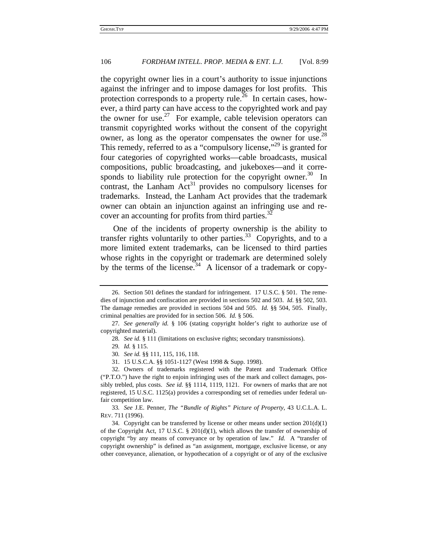the copyright owner lies in a court's authority to issue injunctions against the infringer and to impose damages for lost profits. This protection corresponds to a property rule.<sup>26</sup> In certain cases, however, a third party can have access to the copyrighted work and pay the owner for use.<sup>27</sup> For example, cable television operators can transmit copyrighted works without the consent of the copyright owner, as long as the operator compensates the owner for use.<sup>28</sup> This remedy, referred to as a "compulsory license,"<sup>29</sup> is granted for four categories of copyrighted works—cable broadcasts, musical compositions, public broadcasting, and jukeboxes—and it corresponds to liability rule protection for the copyright owner.<sup>30</sup> In contrast, the Lanham  $Act^{31}$  provides no compulsory licenses for trademarks. Instead, the Lanham Act provides that the trademark owner can obtain an injunction against an infringing use and recover an accounting for profits from third parties. $32$ 

One of the incidents of property ownership is the ability to transfer rights voluntarily to other parties.<sup>33</sup> Copyrights, and to a more limited extent trademarks, can be licensed to third parties whose rights in the copyright or trademark are determined solely by the terms of the license.<sup>34</sup> A licensor of a trademark or copy-

<sup>26.</sup> Section 501 defines the standard for infringement. 17 U.S.C. § 501. The remedies of injunction and confiscation are provided in sections 502 and 503. *Id.* §§ 502, 503. The damage remedies are provided in sections 504 and 505. *Id.* §§ 504, 505. Finally, criminal penalties are provided for in section 506. *Id.* § 506.

<sup>27</sup>*. See generally id.* § 106 (stating copyright holder's right to authorize use of copyrighted material).

<sup>28</sup>*. See id.* § 111 (limitations on exclusive rights; secondary transmissions).

<sup>29</sup>*. Id.* § 115.

<sup>30</sup>*. See id.* §§ 111, 115, 116, 118.

<sup>31. 15</sup> U.S.C.A. §§ 1051-1127 (West 1998 & Supp. 1998).

<sup>32.</sup> Owners of trademarks registered with the Patent and Trademark Office ("P.T.O.") have the right to enjoin infringing uses of the mark and collect damages, possibly trebled, plus costs. *See id.* §§ 1114, 1119, 1121. For owners of marks that are not registered, 15 U.S.C. 1125(a) provides a corresponding set of remedies under federal unfair competition law.

<sup>33</sup>*. See* J.E. Penner, *The "Bundle of Rights" Picture of Property*, 43 U.C.L.A. L. REV. 711 (1996).

<sup>34.</sup> Copyright can be transferred by license or other means under section 201(d)(1) of the Copyright Act, 17 U.S.C. § 201(d)(1), which allows the transfer of ownership of copyright "by any means of conveyance or by operation of law." *Id.* A "transfer of copyright ownership" is defined as "an assignment, mortgage, exclusive license, or any other conveyance, alienation, or hypothecation of a copyright or of any of the exclusive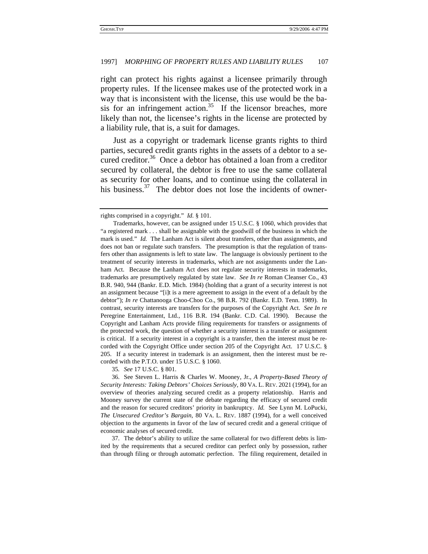right can protect his rights against a licensee primarily through property rules. If the licensee makes use of the protected work in a way that is inconsistent with the license, this use would be the basis for an infringement action.<sup>35</sup> If the licensor breaches, more likely than not, the licensee's rights in the license are protected by a liability rule, that is, a suit for damages.

Just as a copyright or trademark license grants rights to third parties, secured credit grants rights in the assets of a debtor to a secured creditor.<sup>36</sup> Once a debtor has obtained a loan from a creditor secured by collateral, the debtor is free to use the same collateral as security for other loans, and to continue using the collateral in his business. $37$  The debtor does not lose the incidents of owner-

35*. See* 17 U.S.C. § 801.

37. The debtor's ability to utilize the same collateral for two different debts is limited by the requirements that a secured creditor can perfect only by possession, rather than through filing or through automatic perfection. The filing requirement, detailed in

rights comprised in a copyright." *Id.* § 101.

Trademarks, however, can be assigned under 15 U.S.C. § 1060, which provides that "a registered mark . . . shall be assignable with the goodwill of the business in which the mark is used." *Id.* The Lanham Act is silent about transfers, other than assignments, and does not ban or regulate such transfers. The presumption is that the regulation of transfers other than assignments is left to state law. The language is obviously pertinent to the treatment of security interests in trademarks, which are not assignments under the Lanham Act. Because the Lanham Act does not regulate security interests in trademarks, trademarks are presumptively regulated by state law. *See In re* Roman Cleanser Co., 43 B.R. 940, 944 (Bankr. E.D. Mich. 1984) (holding that a grant of a security interest is not an assignment because "[i]t is a mere agreement to assign in the event of a default by the debtor"); *In re* Chattanooga Choo-Choo Co., 98 B.R. 792 (Bankr. E.D. Tenn. 1989). In contrast, security interests are transfers for the purposes of the Copyright Act. *See In re* Peregrine Entertainment, Ltd., 116 B.R. 194 (Bankr. C.D. Cal. 1990). Because the Copyright and Lanham Acts provide filing requirements for transfers or assignments of the protected work, the question of whether a security interest is a transfer or assignment is critical. If a security interest in a copyright is a transfer, then the interest must be recorded with the Copyright Office under section 205 of the Copyright Act. 17 U.S.C. § 205. If a security interest in trademark is an assignment, then the interest must be recorded with the P.T.O. under 15 U.S.C. § 1060.

<sup>36.</sup> See Steven L. Harris & Charles W. Mooney, Jr., *A Property-Based Theory of Security Interests: Taking Debtors' Choices Seriously,* 80 VA. L. REV. 2021 (1994), for an overview of theories analyzing secured credit as a property relationship. Harris and Mooney survey the current state of the debate regarding the efficacy of secured credit and the reason for secured creditors' priority in bankruptcy. *Id.* See Lynn M. LoPucki, *The Unsecured Creditor's Bargain*, 80 VA. L. REV. 1887 (1994), for a well conceived objection to the arguments in favor of the law of secured credit and a general critique of economic analyses of secured credit.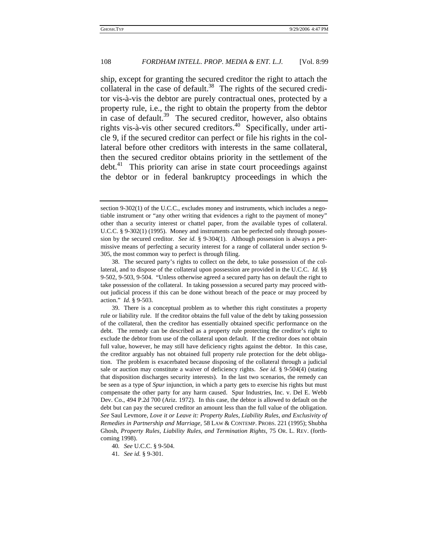ship, except for granting the secured creditor the right to attach the collateral in the case of default.<sup>38</sup> The rights of the secured creditor vis-à-vis the debtor are purely contractual ones, protected by a property rule, i.e., the right to obtain the property from the debtor in case of default.<sup>39</sup> The secured creditor, however, also obtains rights vis-à-vis other secured creditors.<sup>40</sup> Specifically, under article 9, if the secured creditor can perfect or file his rights in the collateral before other creditors with interests in the same collateral, then the secured creditor obtains priority in the settlement of the debt.<sup>41</sup> This priority can arise in state court proceedings against the debtor or in federal bankruptcy proceedings in which the

section 9-302(1) of the U.C.C., excludes money and instruments, which includes a negotiable instrument or "any other writing that evidences a right to the payment of money" other than a security interest or chattel paper, from the available types of collateral. U.C.C. § 9-302(1) (1995). Money and instruments can be perfected only through possession by the secured creditor. *See id.* § 9-304(1). Although possession is always a permissive means of perfecting a security interest for a range of collateral under section 9- 305, the most common way to perfect is through filing.

<sup>38.</sup> The secured party's rights to collect on the debt, to take possession of the collateral, and to dispose of the collateral upon possession are provided in the U.C.C. *Id.* §§ 9-502, 9-503, 9-504. "Unless otherwise agreed a secured party has on default the right to take possession of the collateral. In taking possession a secured party may proceed without judicial process if this can be done without breach of the peace or may proceed by action." *Id.* § 9-503.

<sup>39.</sup> There is a conceptual problem as to whether this right constitutes a property rule or liability rule. If the creditor obtains the full value of the debt by taking possession of the collateral, then the creditor has essentially obtained specific performance on the debt. The remedy can be described as a property rule protecting the creditor's right to exclude the debtor from use of the collateral upon default. If the creditor does not obtain full value, however, he may still have deficiency rights against the debtor. In this case, the creditor arguably has not obtained full property rule protection for the debt obligation. The problem is exacerbated because disposing of the collateral through a judicial sale or auction may constitute a waiver of deficiency rights. *See id.* § 9-504(4) (stating that disposition discharges security interests). In the last two scenarios, the remedy can be seen as a type of *Spur* injunction, in which a party gets to exercise his rights but must compensate the other party for any harm caused. Spur Industries, Inc. v. Del E. Webb Dev. Co., 494 P.2d 700 (Ariz. 1972). In this case, the debtor is allowed to default on the debt but can pay the secured creditor an amount less than the full value of the obligation. *See* Saul Levmore, *Love it or Leave it: Property Rules, Liability Rules, and Exclusivity of Remedies in Partnership and Marriage,* 58 LAW & CONTEMP. PROBS. 221 (1995); Shubha Ghosh, *Property Rules, Liability Rules, and Termination Rights,* 75 OR. L. REV. (forthcoming 1998).

<sup>40</sup>*. See* U.C.C. § 9-504.

<sup>41</sup>*. See id.* § 9-301.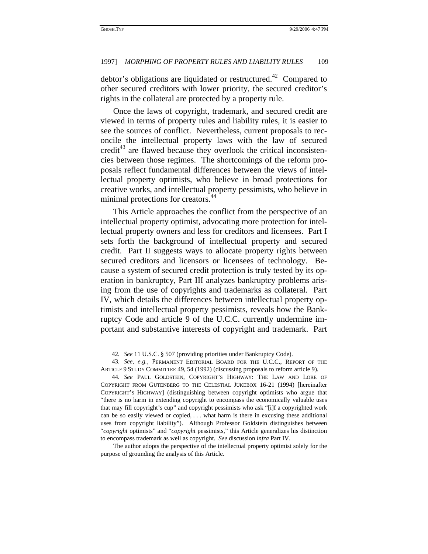debtor's obligations are liquidated or restructured.<sup>42</sup> Compared to other secured creditors with lower priority, the secured creditor's rights in the collateral are protected by a property rule.

Once the laws of copyright, trademark, and secured credit are viewed in terms of property rules and liability rules, it is easier to see the sources of conflict. Nevertheless, current proposals to reconcile the intellectual property laws with the law of secured credit<sup>43</sup> are flawed because they overlook the critical inconsistencies between those regimes. The shortcomings of the reform proposals reflect fundamental differences between the views of intellectual property optimists, who believe in broad protections for creative works, and intellectual property pessimists, who believe in minimal protections for creators.<sup>44</sup>

This Article approaches the conflict from the perspective of an intellectual property optimist, advocating more protection for intellectual property owners and less for creditors and licensees. Part I sets forth the background of intellectual property and secured credit. Part II suggests ways to allocate property rights between secured creditors and licensors or licensees of technology. Because a system of secured credit protection is truly tested by its operation in bankruptcy, Part III analyzes bankruptcy problems arising from the use of copyrights and trademarks as collateral. Part IV, which details the differences between intellectual property optimists and intellectual property pessimists, reveals how the Bankruptcy Code and article 9 of the U.C.C. currently undermine important and substantive interests of copyright and trademark. Part

The author adopts the perspective of the intellectual property optimist solely for the purpose of grounding the analysis of this Article.

<sup>42</sup>*. See* 11 U.S.C. § 507 (providing priorities under Bankruptcy Code).

<sup>43</sup>*. See, e.g.*, PERMANENT EDITORIAL BOARD FOR THE U.C.C., REPORT OF THE ARTICLE 9 STUDY COMMITTEE 49, 54 (1992) (discussing proposals to reform article 9).

<sup>44</sup>*. See* PAUL GOLDSTEIN, COPYRIGHT'S HIGHWAY: THE LAW AND LORE OF COPYRIGHT FROM GUTENBERG TO THE CELESTIAL JUKEBOX 16-21 (1994) [hereinafter COPYRIGHT'S HIGHWAY] (distinguishing between copyright optimists who argue that "there is no harm in extending copyright to encompass the economically valuable uses that may fill copyright's cup" and copyright pessimists who ask "[i]f a copyrighted work can be so easily viewed or copied, . . . what harm is there in excusing these additional uses from copyright liability"). Although Professor Goldstein distinguishes between "*copyright* optimists" and "*copyright* pessimists," this Article generalizes his distinction to encompass trademark as well as copyright. *See* discussion *infra* Part IV.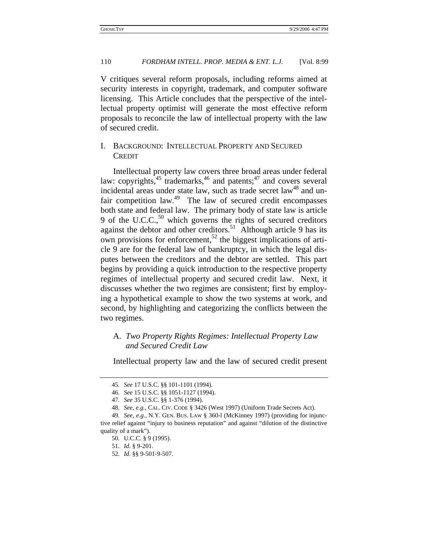V critiques several reform proposals, including reforms aimed at security interests in copyright, trademark, and computer software licensing. This Article concludes that the perspective of the intellectual property optimist will generate the most effective reform proposals to reconcile the law of intellectual property with the law of secured credit.

#### I. BACKGROUND: INTELLECTUAL PROPERTY AND SECURED **CREDIT**

Intellectual property law covers three broad areas under federal law: copyrights, $45 \text{ trademarks}$ ,  $46 \text{ and patterns}$ ;  $47 \text{ and covers several}$ incidental areas under state law, such as trade secret law<sup>48</sup> and unfair competition law.<sup>49</sup> The law of secured credit encompasses both state and federal law. The primary body of state law is article 9 of the U.C.C., $50$  which governs the rights of secured creditors against the debtor and other creditors.<sup>51</sup> Although article 9 has its own provisions for enforcement,<sup>52</sup> the biggest implications of article 9 are for the federal law of bankruptcy, in which the legal disputes between the creditors and the debtor are settled. This part begins by providing a quick introduction to the respective property regimes of intellectual property and secured credit law. Next, it discusses whether the two regimes are consistent; first by employing a hypothetical example to show the two systems at work, and second, by highlighting and categorizing the conflicts between the two regimes.

#### A. *Two Property Rights Regimes: Intellectual Property Law and Secured Credit Law*

Intellectual property law and the law of secured credit present

<sup>45</sup>*. See* 17 U.S.C. §§ 101-1101 (1994).

<sup>46</sup>*. See* 15 U.S.C. §§ 1051-1127 (1994).

<sup>47</sup>*. See* 35 U.S.C. §§ 1-376 (1994).

<sup>48</sup>*. See, e.g.*, CAL. CIV. CODE § 3426 (West 1997) (Uniform Trade Secrets Act).

<sup>49</sup>*. See, e.g.*, N.Y. GEN. BUS. LAW § 360-l (McKinney 1997) (providing for injunctive relief against "injury to business reputation" and against "dilution of the distinctive quality of a mark").

<sup>50.</sup> U.C.C. § 9 (1995).

<sup>51</sup>*. Id.* § 9-201.

<sup>52</sup>*. Id.* §§ 9-501-9-507.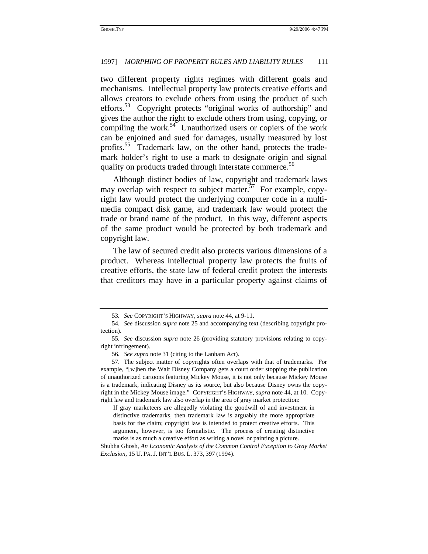two different property rights regimes with different goals and mechanisms. Intellectual property law protects creative efforts and allows creators to exclude others from using the product of such efforts.<sup>53</sup> Copyright protects "original works of authorship" and gives the author the right to exclude others from using, copying, or compiling the work.<sup>54</sup> Unauthorized users or copiers of the work can be enjoined and sued for damages, usually measured by lost profits.<sup>55</sup> Trademark law, on the other hand, protects the trademark holder's right to use a mark to designate origin and signal quality on products traded through interstate commerce.<sup>56</sup>

Although distinct bodies of law, copyright and trademark laws may overlap with respect to subject matter.<sup>57</sup> For example, copyright law would protect the underlying computer code in a multimedia compact disk game, and trademark law would protect the trade or brand name of the product. In this way, different aspects of the same product would be protected by both trademark and copyright law.

The law of secured credit also protects various dimensions of a product. Whereas intellectual property law protects the fruits of creative efforts, the state law of federal credit protect the interests that creditors may have in a particular property against claims of

If gray marketeers are allegedly violating the goodwill of and investment in distinctive trademarks, then trademark law is arguably the more appropriate basis for the claim; copyright law is intended to protect creative efforts. This argument, however, is too formalistic. The process of creating distinctive marks is as much a creative effort as writing a novel or painting a picture.

<sup>53</sup>*. See* COPYRIGHT'S HIGHWAY, *supra* note 44, at 9-11.

<sup>54</sup>*. See* discussion *supra* note 25 and accompanying text (describing copyright protection).

<sup>55</sup>*. See* discussion *supra* note 26 (providing statutory provisions relating to copyright infringement).

<sup>56</sup>*. See supra* note 31 (citing to the Lanham Act).

<sup>57.</sup> The subject matter of copyrights often overlaps with that of trademarks. For example, "[w]hen the Walt Disney Company gets a court order stopping the publication of unauthorized cartoons featuring Mickey Mouse, it is not only because Mickey Mouse is a trademark, indicating Disney as its source, but also because Disney owns the copyright in the Mickey Mouse image." COPYRIGHT'S HIGHWAY, *supra* note 44, at 10. Copyright law and trademark law also overlap in the area of gray market protection:

Shubha Ghosh, *An Economic Analysis of the Common Control Exception to Gray Market Exclusion,* 15 U. PA. J. INT'L BUS. L. 373, 397 (1994).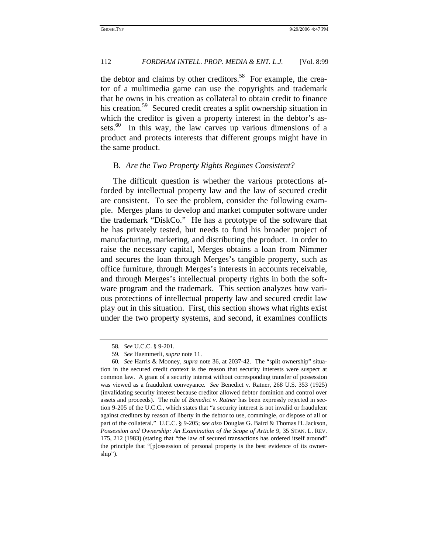the debtor and claims by other creditors.<sup>58</sup> For example, the creator of a multimedia game can use the copyrights and trademark that he owns in his creation as collateral to obtain credit to finance his creation.<sup>59</sup> Secured credit creates a split ownership situation in which the creditor is given a property interest in the debtor's assets.<sup>60</sup> In this way, the law carves up various dimensions of a product and protects interests that different groups might have in the same product.

#### B. *Are the Two Property Rights Regimes Consistent?*

The difficult question is whether the various protections afforded by intellectual property law and the law of secured credit are consistent. To see the problem, consider the following example. Merges plans to develop and market computer software under the trademark "DiskCo." He has a prototype of the software that he has privately tested, but needs to fund his broader project of manufacturing, marketing, and distributing the product. In order to raise the necessary capital, Merges obtains a loan from Nimmer and secures the loan through Merges's tangible property, such as office furniture, through Merges's interests in accounts receivable, and through Merges's intellectual property rights in both the software program and the trademark. This section analyzes how various protections of intellectual property law and secured credit law play out in this situation. First, this section shows what rights exist under the two property systems, and second, it examines conflicts

<sup>58</sup>*. See* U.C.C. § 9-201.

<sup>59</sup>*. See* Haemmerli, *supra* note 11.

<sup>60</sup>*. See* Harris & Mooney, *supra* note 36, at 2037-42. The "split ownership" situation in the secured credit context is the reason that security interests were suspect at common law. A grant of a security interest without corresponding transfer of possession was viewed as a fraudulent conveyance. *See* Benedict v. Ratner, 268 U.S. 353 (1925) (invalidating security interest because creditor allowed debtor dominion and control over assets and proceeds). The rule of *Benedict v. Ratner* has been expressly rejected in section 9-205 of the U.C.C., which states that "a security interest is not invalid or fraudulent against creditors by reason of liberty in the debtor to use, commingle, or dispose of all or part of the collateral." U.C.C. § 9-205; *see also* Douglas G. Baird & Thomas H. Jackson, *Possession and Ownership: An Examination of the Scope of Article 9*, 35 STAN. L. REV. 175, 212 (1983) (stating that "the law of secured transactions has ordered itself around" the principle that "[p]ossession of personal property is the best evidence of its ownership").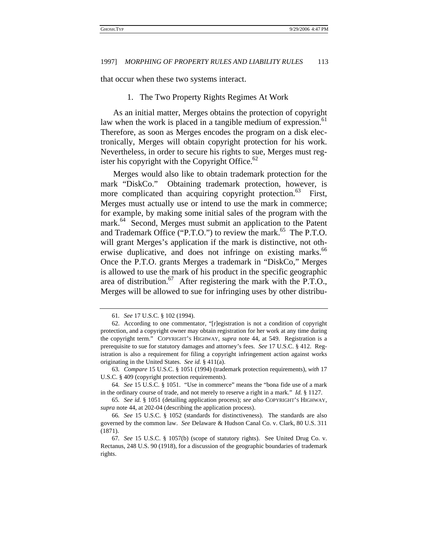that occur when these two systems interact.

#### 1. The Two Property Rights Regimes At Work

As an initial matter, Merges obtains the protection of copyright law when the work is placed in a tangible medium of expression.<sup>61</sup> Therefore, as soon as Merges encodes the program on a disk electronically, Merges will obtain copyright protection for his work. Nevertheless, in order to secure his rights to sue, Merges must register his copyright with the Copyright Office. $62$ 

Merges would also like to obtain trademark protection for the mark "DiskCo." Obtaining trademark protection, however, is more complicated than acquiring copyright protection.<sup>63</sup> First, Merges must actually use or intend to use the mark in commerce; for example, by making some initial sales of the program with the mark.<sup>64</sup> Second, Merges must submit an application to the Patent and Trademark Office ("P.T.O.") to review the mark.<sup>65</sup> The P.T.O. will grant Merges's application if the mark is distinctive, not otherwise duplicative, and does not infringe on existing marks.<sup>66</sup> Once the P.T.O. grants Merges a trademark in "DiskCo," Merges is allowed to use the mark of his product in the specific geographic area of distribution.<sup>67</sup> After registering the mark with the P.T.O., Merges will be allowed to sue for infringing uses by other distribu-

<sup>61</sup>*. See* 17 U.S.C. § 102 (1994).

<sup>62.</sup> According to one commentator, "[r]egistration is not a condition of copyright protection, and a copyright owner may obtain registration for her work at any time during the copyright term." COPYRIGHT'S HIGHWAY, *supra* note 44, at 549. Registration is a prerequisite to sue for statutory damages and attorney's fees. *See* 17 U.S.C. § 412. Registration is also a requirement for filing a copyright infringement action against works originating in the United States. *See id.* § 411(a).

<sup>63</sup>*. Compare* 15 U.S.C. § 1051 (1994) (trademark protection requirements), *with* 17 U.S.C. § 409 (copyright protection requirements).

<sup>64</sup>*. See* 15 U.S.C. § 1051. "Use in commerce" means the "bona fide use of a mark in the ordinary course of trade, and not merely to reserve a right in a mark." *Id.* § 1127.

<sup>65</sup>*. See id.* § 1051 (detailing application process); *see also* COPYRIGHT'S HIGHWAY, *supra* note 44, at 202-04 (describing the application process).

<sup>66</sup>*. See* 15 U.S.C. § 1052 (standards for distinctiveness). The standards are also governed by the common law. *See* Delaware & Hudson Canal Co. v. Clark, 80 U.S. 311 (1871).

<sup>67</sup>*. See* 15 U.S.C. § 1057(b) (scope of statutory rights). See United Drug Co. v. Rectanus, 248 U.S. 90 (1918), for a discussion of the geographic boundaries of trademark rights.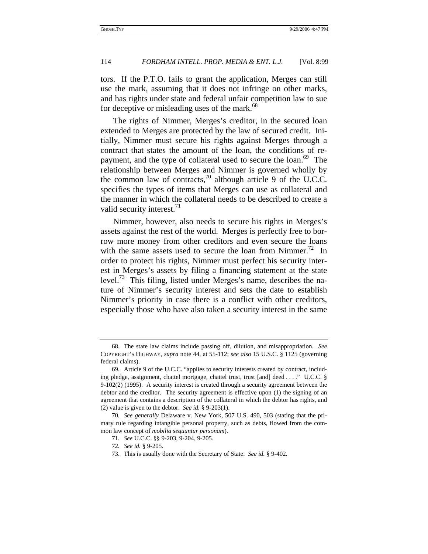tors. If the P.T.O. fails to grant the application, Merges can still use the mark, assuming that it does not infringe on other marks, and has rights under state and federal unfair competition law to sue for deceptive or misleading uses of the mark.<sup>68</sup>

The rights of Nimmer, Merges's creditor, in the secured loan extended to Merges are protected by the law of secured credit. Initially, Nimmer must secure his rights against Merges through a contract that states the amount of the loan, the conditions of repayment, and the type of collateral used to secure the loan.<sup>69</sup> The relationship between Merges and Nimmer is governed wholly by the common law of contracts, $\frac{70}{10}$  although article 9 of the U.C.C. specifies the types of items that Merges can use as collateral and the manner in which the collateral needs to be described to create a valid security interest. $11$ 

Nimmer, however, also needs to secure his rights in Merges's assets against the rest of the world. Merges is perfectly free to borrow more money from other creditors and even secure the loans with the same assets used to secure the loan from Nimmer.<sup>72</sup> In order to protect his rights, Nimmer must perfect his security interest in Merges's assets by filing a financing statement at the state level.<sup>73</sup> This filing, listed under Merges's name, describes the nature of Nimmer's security interest and sets the date to establish Nimmer's priority in case there is a conflict with other creditors, especially those who have also taken a security interest in the same

<sup>68.</sup> The state law claims include passing off, dilution, and misappropriation. *See* COPYRIGHT'S HIGHWAY, *supra* note 44, at 55-112; *see also* 15 U.S.C. § 1125 (governing federal claims).

<sup>69.</sup> Article 9 of the U.C.C. "applies to security interests created by contract, including pledge, assignment, chattel mortgage, chattel trust, trust [and] deed . . . ." U.C.C. § 9-102(2) (1995). A security interest is created through a security agreement between the debtor and the creditor. The security agreement is effective upon (1) the signing of an agreement that contains a description of the collateral in which the debtor has rights, and (2) value is given to the debtor. *See id.* § 9-203(1).

<sup>70</sup>*. See generally* Delaware v. New York, 507 U.S. 490, 503 (stating that the primary rule regarding intangible personal property, such as debts, flowed from the common law concept of *mobilia sequuntur personam*).

<sup>71</sup>*. See* U.C.C. §§ 9-203, 9-204, 9-205.

<sup>72</sup>*. See id.* § 9-205.

<sup>73.</sup> This is usually done with the Secretary of State. *See id.* § 9-402.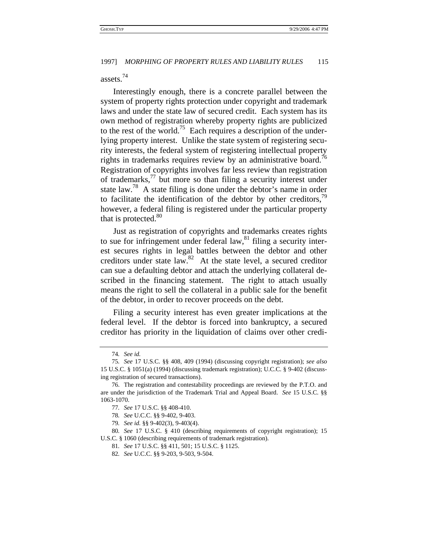### assets.74

Interestingly enough, there is a concrete parallel between the system of property rights protection under copyright and trademark laws and under the state law of secured credit. Each system has its own method of registration whereby property rights are publicized to the rest of the world.<sup>75</sup> Each requires a description of the underlying property interest. Unlike the state system of registering security interests, the federal system of registering intellectual property rights in trademarks requires review by an administrative board.<sup>76</sup> Registration of copyrights involves far less review than registration of trademarks,77 but more so than filing a security interest under state law.78 A state filing is done under the debtor's name in order to facilitate the identification of the debtor by other creditors, $79$ however, a federal filing is registered under the particular property that is protected.<sup>80</sup>

Just as registration of copyrights and trademarks creates rights to sue for infringement under federal law, $81$  filing a security interest secures rights in legal battles between the debtor and other creditors under state law.82 At the state level, a secured creditor can sue a defaulting debtor and attach the underlying collateral described in the financing statement. The right to attach usually means the right to sell the collateral in a public sale for the benefit of the debtor, in order to recover proceeds on the debt.

Filing a security interest has even greater implications at the federal level. If the debtor is forced into bankruptcy, a secured creditor has priority in the liquidation of claims over other credi-

<sup>74</sup>*. See id.*

<sup>75</sup>*. See* 17 U.S.C. §§ 408, 409 (1994) (discussing copyright registration); *see also* 15 U.S.C. § 1051(a) (1994) (discussing trademark registration); U.C.C. § 9-402 (discussing registration of secured transactions).

<sup>76.</sup> The registration and contestability proceedings are reviewed by the P.T.O. and are under the jurisdiction of the Trademark Trial and Appeal Board. *See* 15 U.S.C. §§ 1063-1070.

<sup>77</sup>*. See* 17 U.S.C. §§ 408-410.

<sup>78</sup>*. See* U.C.C. §§ 9-402, 9-403.

<sup>79</sup>*. See id.* §§ 9-402(3), 9-403(4).

<sup>80</sup>*. See* 17 U.S.C. § 410 (describing requirements of copyright registration); 15 U.S.C. § 1060 (describing requirements of trademark registration).

<sup>81</sup>*. See* 17 U.S.C. §§ 411, 501; 15 U.S.C. § 1125.

<sup>82</sup>*. See* U.C.C. §§ 9-203, 9-503, 9-504.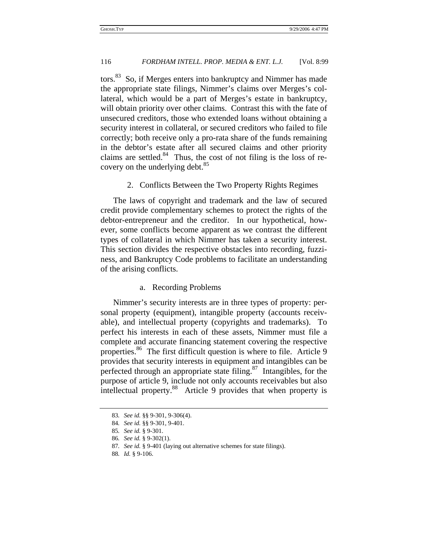tors.<sup>83</sup> So, if Merges enters into bankruptcy and Nimmer has made the appropriate state filings, Nimmer's claims over Merges's collateral, which would be a part of Merges's estate in bankruptcy, will obtain priority over other claims. Contrast this with the fate of unsecured creditors, those who extended loans without obtaining a security interest in collateral, or secured creditors who failed to file correctly; both receive only a pro-rata share of the funds remaining in the debtor's estate after all secured claims and other priority claims are settled. $84$  Thus, the cost of not filing is the loss of recovery on the underlying debt. $85$ 

2. Conflicts Between the Two Property Rights Regimes

The laws of copyright and trademark and the law of secured credit provide complementary schemes to protect the rights of the debtor-entrepreneur and the creditor. In our hypothetical, however, some conflicts become apparent as we contrast the different types of collateral in which Nimmer has taken a security interest. This section divides the respective obstacles into recording, fuzziness, and Bankruptcy Code problems to facilitate an understanding of the arising conflicts.

#### a. Recording Problems

Nimmer's security interests are in three types of property: personal property (equipment), intangible property (accounts receivable), and intellectual property (copyrights and trademarks). To perfect his interests in each of these assets, Nimmer must file a complete and accurate financing statement covering the respective properties.<sup>86</sup> The first difficult question is where to file. Article 9 provides that security interests in equipment and intangibles can be perfected through an appropriate state filing.<sup>87</sup> Intangibles, for the purpose of article 9, include not only accounts receivables but also intellectual property.88 Article 9 provides that when property is

<sup>83</sup>*. See id.* §§ 9-301, 9-306(4).

<sup>84</sup>*. See id.* §§ 9-301, 9-401.

<sup>85</sup>*. See id.* § 9-301.

<sup>86</sup>*. See id.* § 9-302(1).

<sup>87</sup>*. See id.* § 9-401 (laying out alternative schemes for state filings).

<sup>88</sup>*. Id.* § 9-106.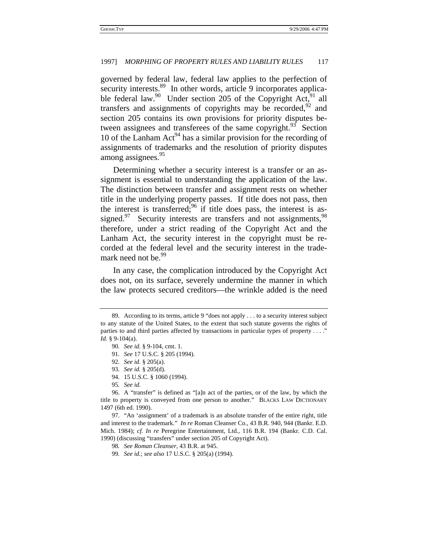governed by federal law, federal law applies to the perfection of security interests.<sup>89</sup> In other words, article 9 incorporates applicable federal law.<sup>90</sup> Under section 205 of the Copyright Act,<sup>91</sup> all transfers and assignments of copyrights may be recorded, $92$  and section 205 contains its own provisions for priority disputes between assignees and transferees of the same copyright.<sup>93</sup> Section 10 of the Lanham Act<sup>94</sup> has a similar provision for the recording of assignments of trademarks and the resolution of priority disputes among assignees.<sup>95</sup>

Determining whether a security interest is a transfer or an assignment is essential to understanding the application of the law. The distinction between transfer and assignment rests on whether title in the underlying property passes. If title does not pass, then the interest is transferred; $96$  if title does pass, the interest is assigned. $97$  Security interests are transfers and not assignments,  $98$ therefore, under a strict reading of the Copyright Act and the Lanham Act, the security interest in the copyright must be recorded at the federal level and the security interest in the trademark need not be.<sup>99</sup>

In any case, the complication introduced by the Copyright Act does not, on its surface, severely undermine the manner in which the law protects secured creditors—the wrinkle added is the need

<sup>89.</sup> According to its terms, article 9 "does not apply . . . to a security interest subject to any statute of the United States, to the extent that such statute governs the rights of parties to and third parties affected by transactions in particular types of property . . . ." *Id.* § 9-104(a).

<sup>90</sup>*. See id.* § 9-104, cmt. 1.

<sup>91</sup>*. See* 17 U.S.C. § 205 (1994).

<sup>92</sup>*. See id.* § 205(a).

<sup>93</sup>*. See id.* § 205(d).

<sup>94. 15</sup> U.S.C. § 1060 (1994).

<sup>95</sup>*. See id.*

<sup>96.</sup> A "transfer" is defined as "[a]n act of the parties, or of the law, by which the title to property is conveyed from one person to another." BLACKS LAW DICTIONARY 1497 (6th ed. 1990).

<sup>97. &</sup>quot;An 'assignment' of a trademark is an absolute transfer of the entire right, title and interest to the trademark." *In re* Roman Cleanser Co.*,* 43 B.R. 940, 944 (Bankr. E.D. Mich. 1984); *cf. In re* Peregrine Entertainment, Ltd., 116 B.R. 194 (Bankr. C.D. Cal. 1990) (discussing "transfers" under section 205 of Copyright Act).

<sup>98</sup>*. See Roman Cleanser*, 43 B.R. at 945.

<sup>99</sup>*. See id.*; *see also* 17 U.S.C. § 205(a) (1994).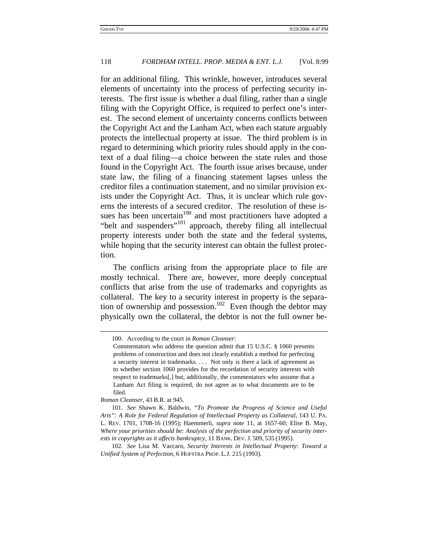for an additional filing. This wrinkle, however, introduces several elements of uncertainty into the process of perfecting security interests. The first issue is whether a dual filing, rather than a single filing with the Copyright Office, is required to perfect one's interest. The second element of uncertainty concerns conflicts between the Copyright Act and the Lanham Act, when each statute arguably protects the intellectual property at issue. The third problem is in regard to determining which priority rules should apply in the context of a dual filing—a choice between the state rules and those found in the Copyright Act. The fourth issue arises because, under state law, the filing of a financing statement lapses unless the creditor files a continuation statement, and no similar provision exists under the Copyright Act. Thus, it is unclear which rule governs the interests of a secured creditor. The resolution of these issues has been uncertain<sup>100</sup> and most practitioners have adopted a "belt and suspenders"101 approach, thereby filing all intellectual property interests under both the state and the federal systems, while hoping that the security interest can obtain the fullest protection.

The conflicts arising from the appropriate place to file are mostly technical. There are, however, more deeply conceptual conflicts that arise from the use of trademarks and copyrights as collateral. The key to a security interest in property is the separation of ownership and possession.<sup>102</sup> Even though the debtor may physically own the collateral, the debtor is not the full owner be-

<sup>100.</sup> According to the court in *Roman Cleanser*:

Commentators who address the question admit that 15 U.S.C. § 1060 presents problems of construction and does not clearly establish a method for perfecting a security interest in trademarks. . . . Not only is there a lack of agreement as to whether section 1060 provides for the recordation of security interests with respect to trademarks[,] but, additionally, the commentators who assume that a Lanham Act filing is required, do not agree as to what documents are to be filed.

*Roman Cleanser,* 43 B.R. at 945.

<sup>101</sup>*. See* Shawn K. Baldwin, *"To Promote the Progress of Science and Useful Arts": A Role for Federal Regulation of Intellectual Property as Collateral,* 143 U. PA. L. REV. 1701, 1708-16 (1995); Haemmerli, *supra* note 11, at 1657-60; Elise B. May, *Where your priorities should be: Analysis of the perfection and priority of security interests in copyrights as it affects bankruptcy,* 11 BANK. DEV. J. 509, 535 (1995).

<sup>102</sup>*. See* Lisa M. Vaccaro, *Security Interests in Intellectual Property: Toward a Unified System of Perfection*, 6 HOFSTRA PROP. L.J. 215 (1993).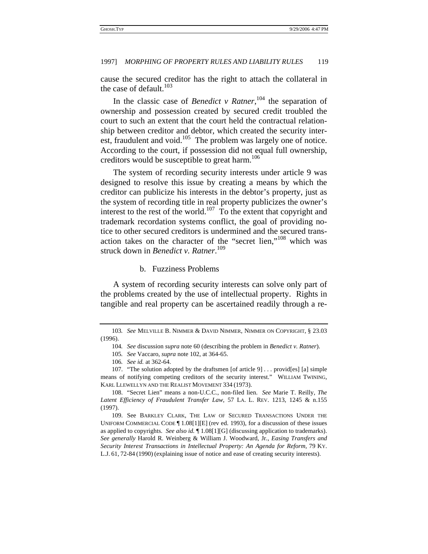cause the secured creditor has the right to attach the collateral in the case of default.<sup>103</sup>

In the classic case of *Benedict v Ratner*, 104 the separation of ownership and possession created by secured credit troubled the court to such an extent that the court held the contractual relationship between creditor and debtor, which created the security interest, fraudulent and void.<sup>105</sup> The problem was largely one of notice. According to the court, if possession did not equal full ownership, creditors would be susceptible to great harm.<sup>106</sup>

The system of recording security interests under article 9 was designed to resolve this issue by creating a means by which the creditor can publicize his interests in the debtor's property, just as the system of recording title in real property publicizes the owner's interest to the rest of the world.<sup>107</sup> To the extent that copyright and trademark recordation systems conflict, the goal of providing notice to other secured creditors is undermined and the secured transaction takes on the character of the "secret lien,"108 which was struck down in *Benedict v. Ratner*. 109

b. Fuzziness Problems

A system of recording security interests can solve only part of the problems created by the use of intellectual property. Rights in tangible and real property can be ascertained readily through a re-

<sup>103</sup>*. See* MELVILLE B. NIMMER & DAVID NIMMER, NIMMER ON COPYRIGHT, § 23.03 (1996).

<sup>104</sup>*. See* discussion *supra* note 60 (describing the problem in *Benedict v. Ratner*).

<sup>105</sup>*. See* Vaccaro, *supra* note 102, at 364-65.

<sup>106</sup>*. See id.* at 362-64.

<sup>107. &</sup>quot;The solution adopted by the draftsmen [of article 9] . . . provid[es] [a] simple means of notifying competing creditors of the security interest." WILLIAM TWINING, KARL LLEWELLYN AND THE REALIST MOVEMENT 334 (1973).

<sup>108. &</sup>quot;Secret Lien" means a non-U.C.C., non-filed lien. *See* Marie T. Reilly, *The Latent Efficiency of Fraudulent Transfer Law*, 57 LA. L. REV. 1213, 1245 & n.155 (1997).

<sup>109.</sup> See BARKLEY CLARK, THE LAW OF SECURED TRANSACTIONS UNDER THE UNIFORM COMMERCIAL CODE ¶ 1.08[1][E] (rev ed. 1993), for a discussion of these issues as applied to copyrights. *See also id.* ¶ 1.08[1][G] (discussing application to trademarks). *See generally* Harold R. Weinberg & William J. Woodward, Jr., *Easing Transfers and Security Interest Transactions in Intellectual Property: An Agenda for Reform,* 79 KY. L.J. 61, 72-84 (1990) (explaining issue of notice and ease of creating security interests).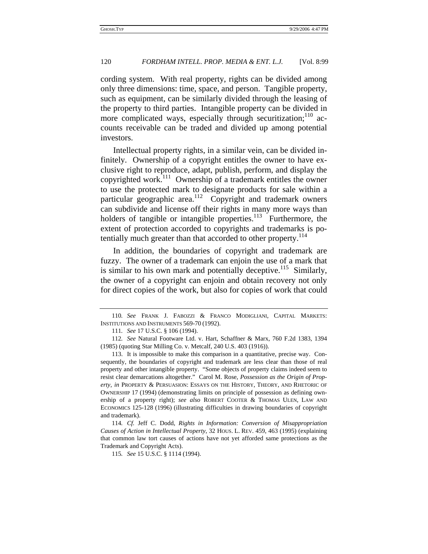cording system. With real property, rights can be divided among only three dimensions: time, space, and person. Tangible property, such as equipment, can be similarly divided through the leasing of the property to third parties. Intangible property can be divided in more complicated ways, especially through securitization;<sup>110</sup> accounts receivable can be traded and divided up among potential investors.

Intellectual property rights, in a similar vein, can be divided infinitely. Ownership of a copyright entitles the owner to have exclusive right to reproduce, adapt, publish, perform, and display the copyrighted work.111 Ownership of a trademark entitles the owner to use the protected mark to designate products for sale within a particular geographic area.<sup>112</sup> Copyright and trademark owners can subdivide and license off their rights in many more ways than holders of tangible or intangible properties. $113$  Furthermore, the extent of protection accorded to copyrights and trademarks is potentially much greater than that accorded to other property.<sup>114</sup>

In addition, the boundaries of copyright and trademark are fuzzy. The owner of a trademark can enjoin the use of a mark that is similar to his own mark and potentially deceptive.<sup>115</sup> Similarly, the owner of a copyright can enjoin and obtain recovery not only for direct copies of the work, but also for copies of work that could

<sup>110</sup>*. See* FRANK J. FABOZZI & FRANCO MODIGLIANI, CAPITAL MARKETS: INSTITUTIONS AND INSTRUMENTS 569-70 (1992).

<sup>111</sup>*. See* 17 U.S.C. § 106 (1994).

<sup>112</sup>*. See* Natural Footware Ltd. v. Hart, Schaffner & Marx, 760 F.2d 1383, 1394 (1985) (quoting Star Milling Co. v. Metcalf, 240 U.S. 403 (1916)).

<sup>113.</sup> It is impossible to make this comparison in a quantitative, precise way. Consequently, the boundaries of copyright and trademark are less clear than those of real property and other intangible property. "Some objects of property claims indeed seem to resist clear demarcations altogether." Carol M. Rose, *Possession as the Origin of Property, in* PROPERTY & PERSUASION: ESSAYS ON THE HISTORY, THEORY, AND RHETORIC OF OWNERSHIP 17 (1994) (demonstrating limits on principle of possession as defining ownership of a property right); *see also* ROBERT COOTER & THOMAS ULEN, LAW AND ECONOMICS 125-128 (1996) (illustrating difficulties in drawing boundaries of copyright and trademark).

<sup>114</sup>*. Cf.* Jeff C. Dodd, *Rights in Information: Conversion of Misappropriation Causes of Action in Intellectual Property*, 32 HOUS. L. REV. 459, 463 (1995) (explaining that common law tort causes of actions have not yet afforded same protections as the Trademark and Copyright Acts).

<sup>115</sup>*. See* 15 U.S.C. § 1114 (1994).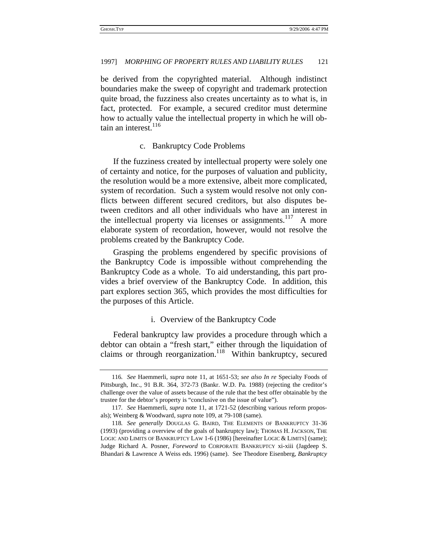be derived from the copyrighted material. Although indistinct boundaries make the sweep of copyright and trademark protection quite broad, the fuzziness also creates uncertainty as to what is, in fact, protected. For example, a secured creditor must determine how to actually value the intellectual property in which he will obtain an interest. $116$ 

#### c. Bankruptcy Code Problems

If the fuzziness created by intellectual property were solely one of certainty and notice, for the purposes of valuation and publicity, the resolution would be a more extensive, albeit more complicated, system of recordation. Such a system would resolve not only conflicts between different secured creditors, but also disputes between creditors and all other individuals who have an interest in the intellectual property via licenses or assignments.<sup>117</sup> A more elaborate system of recordation, however, would not resolve the problems created by the Bankruptcy Code.

Grasping the problems engendered by specific provisions of the Bankruptcy Code is impossible without comprehending the Bankruptcy Code as a whole. To aid understanding, this part provides a brief overview of the Bankruptcy Code. In addition, this part explores section 365, which provides the most difficulties for the purposes of this Article.

#### i. Overview of the Bankruptcy Code

Federal bankruptcy law provides a procedure through which a debtor can obtain a "fresh start," either through the liquidation of claims or through reorganization.<sup>118</sup> Within bankruptcy, secured

<sup>116</sup>*. See* Haemmerli, *supra* note 11, at 1651-53; *see also In re* Specialty Foods of Pittsburgh, Inc., 91 B.R. 364, 372-73 (Bankr. W.D. Pa. 1988) (rejecting the creditor's challenge over the value of assets because of the rule that the best offer obtainable by the trustee for the debtor's property is "conclusive on the issue of value").

<sup>117</sup>*. See* Haemmerli, *supra* note 11, at 1721-52 (describing various reform proposals); Weinberg & Woodward, *supra* note 109, at 79-108 (same).

<sup>118</sup>*. See generally* DOUGLAS G. BAIRD, THE ELEMENTS OF BANKRUPTCY 31-36 (1993) (providing a overview of the goals of bankruptcy law); THOMAS H. JACKSON, THE LOGIC AND LIMITS OF BANKRUPTCY LAW 1-6 (1986) [hereinafter LOGIC & LIMITS] (same); Judge Richard A. Posner, *Foreword* to CORPORATE BANKRUPTCY xi-xiii (Jagdeep S. Bhandari & Lawrence A Weiss eds. 1996) (same). See Theodore Eisenberg, *Bankruptcy*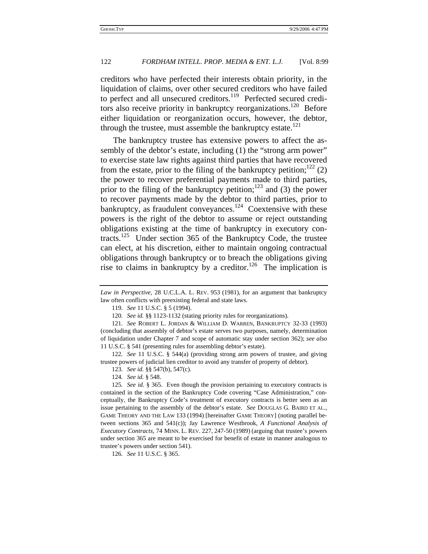creditors who have perfected their interests obtain priority, in the liquidation of claims, over other secured creditors who have failed to perfect and all unsecured creditors.<sup>119</sup> Perfected secured creditors also receive priority in bankruptcy reorganizations.<sup>120</sup> Before either liquidation or reorganization occurs, however, the debtor, through the trustee, must assemble the bankruptcy estate.<sup>121</sup>

The bankruptcy trustee has extensive powers to affect the assembly of the debtor's estate, including (1) the "strong arm power" to exercise state law rights against third parties that have recovered from the estate, prior to the filing of the bankruptcy petition;<sup>122</sup> (2) the power to recover preferential payments made to third parties, prior to the filing of the bankruptcy petition;<sup>123</sup> and (3) the power to recover payments made by the debtor to third parties, prior to bankruptcy, as fraudulent conveyances.<sup>124</sup> Coextensive with these powers is the right of the debtor to assume or reject outstanding obligations existing at the time of bankruptcy in executory contracts.<sup>125</sup> Under section 365 of the Bankruptcy Code, the trustee can elect, at his discretion, either to maintain ongoing contractual obligations through bankruptcy or to breach the obligations giving rise to claims in bankruptcy by a creditor.<sup>126</sup> The implication is

126*. See* 11 U.S.C. § 365.

*Law in Perspective*, 28 U.C.L.A. L. REV. 953 (1981), for an argument that bankruptcy law often conflicts with preexisting federal and state laws.

<sup>119</sup>*. See* 11 U.S.C. § 5 (1994).

<sup>120</sup>*. See id.* §§ 1123-1132 (stating priority rules for reorganizations).

<sup>121</sup>*. See* ROBERT L. JORDAN & WILLIAM D. WARREN, BANKRUPTCY 32-33 (1993) (concluding that assembly of debtor's estate serves two purposes, namely, determination of liquidation under Chapter 7 and scope of automatic stay under section 362); *see also* 11 U.S.C. § 541 (presenting rules for assembling debtor's estate).

<sup>122</sup>*. See* 11 U.S.C. § 544(a) (providing strong arm powers of trustee, and giving trustee powers of judicial lien creditor to avoid any transfer of property of debtor).

<sup>123</sup>*. See id.* §§ 547(b), 547(c).

<sup>124</sup>*. See id.* § 548.

<sup>125</sup>*. See id.* § 365. Even though the provision pertaining to executory contracts is contained in the section of the Bankruptcy Code covering "Case Administration," conceptually, the Bankruptcy Code's treatment of executory contracts is better seen as an issue pertaining to the assembly of the debtor's estate. *See* DOUGLAS G. BAIRD ET AL., GAME THEORY AND THE LAW 133 (1994) [hereinafter GAME THEORY] (noting parallel between sections 365 and 541(c)); Jay Lawrence Westbrook, *A Functional Analysis of Executory Contracts,* 74 MINN. L. REV. 227, 247-50 (1989) (arguing that trustee's powers under section 365 are meant to be exercised for benefit of estate in manner analogous to trustee's powers under section 541).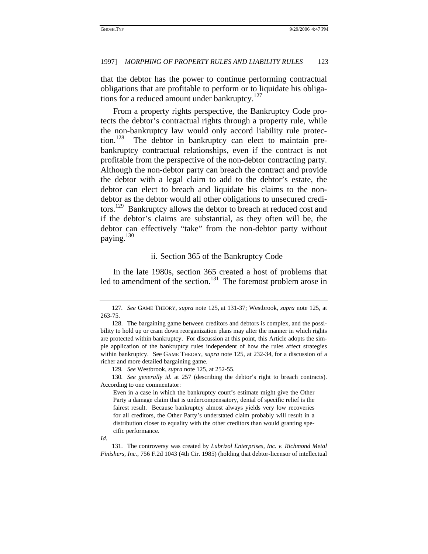that the debtor has the power to continue performing contractual obligations that are profitable to perform or to liquidate his obligations for a reduced amount under bankruptcy. $127$ 

From a property rights perspective, the Bankruptcy Code protects the debtor's contractual rights through a property rule, while the non-bankruptcy law would only accord liability rule protection.<sup>128</sup> The debtor in bankruptcy can elect to maintain prebankruptcy contractual relationships, even if the contract is not profitable from the perspective of the non-debtor contracting party. Although the non-debtor party can breach the contract and provide the debtor with a legal claim to add to the debtor's estate, the debtor can elect to breach and liquidate his claims to the nondebtor as the debtor would all other obligations to unsecured creditors.<sup>129</sup> Bankruptcy allows the debtor to breach at reduced cost and if the debtor's claims are substantial, as they often will be, the debtor can effectively "take" from the non-debtor party without paying.<sup>130</sup>

#### ii. Section 365 of the Bankruptcy Code

In the late 1980s, section 365 created a host of problems that led to amendment of the section.<sup>131</sup> The foremost problem arose in

130*. See generally id.* at 257 (describing the debtor's right to breach contracts). According to one commentator:

<sup>127</sup>*. See* GAME THEORY, *supra* note 125, at 131-37; Westbrook, *supra* note 125, at 263-75.

<sup>128.</sup> The bargaining game between creditors and debtors is complex, and the possibility to hold up or cram down reorganization plans may alter the manner in which rights are protected within bankruptcy. For discussion at this point, this Article adopts the simple application of the bankruptcy rules independent of how the rules affect strategies within bankruptcy. See GAME THEORY, *supra* note 125, at 232-34, for a discussion of a richer and more detailed bargaining game.

<sup>129</sup>*. See* Westbrook, *supra* note 125, at 252-55.

Even in a case in which the bankruptcy court's estimate might give the Other Party a damage claim that is undercompensatory, denial of specific relief is the fairest result. Because bankruptcy almost always yields very low recoveries for all creditors, the Other Party's understated claim probably will result in a distribution closer to equality with the other creditors than would granting specific performance.

*Id.*

<sup>131.</sup> The controversy was created by *Lubrizol Enterprises, Inc. v. Richmond Metal Finishers, Inc.*, 756 F.2d 1043 (4th Cir. 1985) (holding that debtor-licensor of intellectual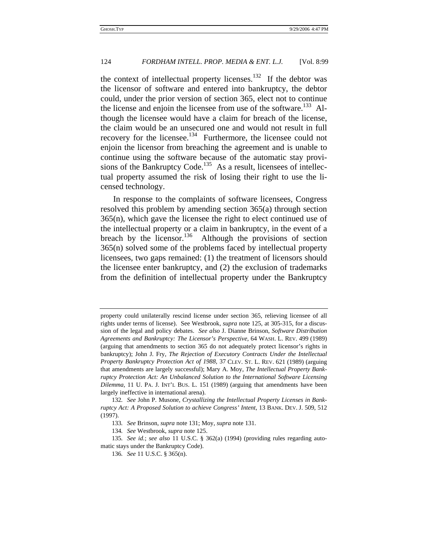the context of intellectual property licenses.<sup>132</sup> If the debtor was the licensor of software and entered into bankruptcy, the debtor could, under the prior version of section 365, elect not to continue the license and enjoin the licensee from use of the software.<sup>133</sup> Although the licensee would have a claim for breach of the license, the claim would be an unsecured one and would not result in full recovery for the licensee.<sup>134</sup> Furthermore, the licensee could not enjoin the licensor from breaching the agreement and is unable to continue using the software because of the automatic stay provisions of the Bankruptcy Code.<sup>135</sup> As a result, licensees of intellectual property assumed the risk of losing their right to use the licensed technology.

In response to the complaints of software licensees, Congress resolved this problem by amending section 365(a) through section 365(n), which gave the licensee the right to elect continued use of the intellectual property or a claim in bankruptcy, in the event of a breach by the licensor.<sup>136</sup> Although the provisions of section 365(n) solved some of the problems faced by intellectual property licensees, two gaps remained: (1) the treatment of licensors should the licensee enter bankruptcy, and (2) the exclusion of trademarks from the definition of intellectual property under the Bankruptcy

property could unilaterally rescind license under section 365, relieving licensee of all rights under terms of license). See Westbrook, *supra* note 125, at 305-315, for a discussion of the legal and policy debates. *See also* J. Dianne Brinson, *Software Distribution Agreements and Bankruptcy: The Licensor's Perspective,* 64 WASH. L. REV. 499 (1989) (arguing that amendments to section 365 do not adequately protect licensor's rights in bankruptcy); John J. Fry, *The Rejection of Executory Contracts Under the Intellectual Property Bankruptcy Protection Act of 1988,* 37 CLEV. ST. L. REV. 621 (1989) (arguing that amendments are largely successful); Mary A. Moy, *The Intellectual Property Bankruptcy Protection Act: An Unbalanced Solution to the International Software Licensing Dilemma,* 11 U. PA. J. INT'L BUS. L. 151 (1989) (arguing that amendments have been largely ineffective in international arena).

<sup>132</sup>*. See* John P. Musone, *Crystallizing the Intellectual Property Licenses in Bankruptcy Act: A Proposed Solution to achieve Congress' Intent*, 13 BANK. DEV. J. 509, 512 (1997).

<sup>133</sup>*. See* Brinson, *supra* note 131; Moy, *supra* note 131.

<sup>134</sup>*. See* Westbrook, *supra* note 125.

<sup>135</sup>*. See id.*; *see also* 11 U.S.C. § 362(a) (1994) (providing rules regarding automatic stays under the Bankruptcy Code).

<sup>136</sup>*. See* 11 U.S.C. § 365(n).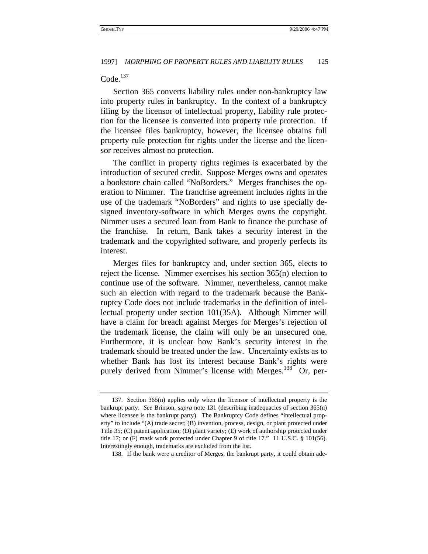#### $Code.<sup>137</sup>$

Section 365 converts liability rules under non-bankruptcy law into property rules in bankruptcy. In the context of a bankruptcy filing by the licensor of intellectual property, liability rule protection for the licensee is converted into property rule protection. If the licensee files bankruptcy, however, the licensee obtains full property rule protection for rights under the license and the licensor receives almost no protection.

The conflict in property rights regimes is exacerbated by the introduction of secured credit. Suppose Merges owns and operates a bookstore chain called "NoBorders." Merges franchises the operation to Nimmer. The franchise agreement includes rights in the use of the trademark "NoBorders" and rights to use specially designed inventory-software in which Merges owns the copyright. Nimmer uses a secured loan from Bank to finance the purchase of the franchise. In return, Bank takes a security interest in the trademark and the copyrighted software, and properly perfects its interest.

Merges files for bankruptcy and, under section 365, elects to reject the license. Nimmer exercises his section 365(n) election to continue use of the software. Nimmer, nevertheless, cannot make such an election with regard to the trademark because the Bankruptcy Code does not include trademarks in the definition of intellectual property under section 101(35A). Although Nimmer will have a claim for breach against Merges for Merges's rejection of the trademark license, the claim will only be an unsecured one. Furthermore, it is unclear how Bank's security interest in the trademark should be treated under the law. Uncertainty exists as to whether Bank has lost its interest because Bank's rights were purely derived from Nimmer's license with Merges.<sup>138</sup> Or, per-

<sup>137.</sup> Section 365(n) applies only when the licensor of intellectual property is the bankrupt party. *See* Brinson, *supra* note 131 (describing inadequacies of section 365(n) where licensee is the bankrupt party). The Bankruptcy Code defines "intellectual property" to include "(A) trade secret; (B) invention, process, design, or plant protected under Title 35; (C) patent application; (D) plant variety; (E) work of authorship protected under title 17; or (F) mask work protected under Chapter 9 of title 17." 11 U.S.C. § 101(56). Interestingly enough, trademarks are excluded from the list.

<sup>138.</sup> If the bank were a creditor of Merges, the bankrupt party, it could obtain ade-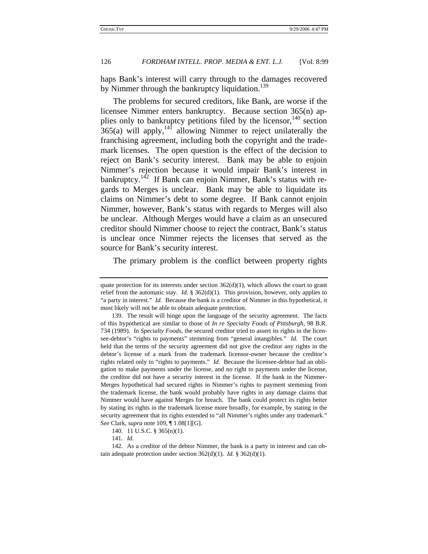haps Bank's interest will carry through to the damages recovered by Nimmer through the bankruptcy liquidation.<sup>139</sup>

The problems for secured creditors, like Bank, are worse if the licensee Nimmer enters bankruptcy. Because section 365(n) applies only to bankruptcy petitions filed by the licensor, $140$  section  $365(a)$  will apply,  $14\overline{1}$  allowing Nimmer to reject unilaterally the franchising agreement, including both the copyright and the trademark licenses. The open question is the effect of the decision to reject on Bank's security interest. Bank may be able to enjoin Nimmer's rejection because it would impair Bank's interest in bankruptcy.<sup>142</sup> If Bank can enjoin Nimmer, Bank's status with regards to Merges is unclear. Bank may be able to liquidate its claims on Nimmer's debt to some degree. If Bank cannot enjoin Nimmer, however, Bank's status with regards to Merges will also be unclear. Although Merges would have a claim as an unsecured creditor should Nimmer choose to reject the contract, Bank's status is unclear once Nimmer rejects the licenses that served as the source for Bank's security interest.

The primary problem is the conflict between property rights

quate protection for its interests under section  $362(d)(1)$ , which allows the court to grant relief from the automatic stay. *Id.*  $\S 362(d)(1)$ . This provision, however, only applies to "a party in interest." *Id.* Because the bank is a creditor of Nimmer in this hypothetical, it most likely will not be able to obtain adequate protection.

<sup>139.</sup> The result will hinge upon the language of the security agreement. The facts of this hypothetical are similar to those of *In re Specialty Foods of Pittsburgh*, 98 B.R. 734 (1989). In *Specialty Foods*, the secured creditor tried to assert its rights in the licensee-debtor's "rights to payments" stemming from "general intangibles." *Id.* The court held that the terms of the security agreement did not give the creditor any rights in the debtor's license of a mark from the trademark licensor-owner because the creditor's rights related only to "rights to payments." *Id.* Because the licensee-debtor had an obligation to make payments under the license, and no right to payments under the license, the creditor did not have a security interest in the license. If the bank in the Nimmer-Merges hypothetical had secured rights in Nimmer's rights to payment stemming from the trademark license, the bank would probably have rights in any damage claims that Nimmer would have against Merges for breach. The bank could protect its rights better by stating its rights in the trademark license more broadly, for example, by stating in the security agreement that its rights extended to "all Nimmer's rights under any trademark." *See* Clark, *supra* note 109, ¶ 1.08[1][G].

<sup>140. 11</sup> U.S.C. § 365(n)(1).

<sup>141</sup>*. Id.*

<sup>142.</sup> As a creditor of the debtor Nimmer, the bank is a party in interest and can obtain adequate protection under section 362(d)(1). *Id.* § 362(d)(1).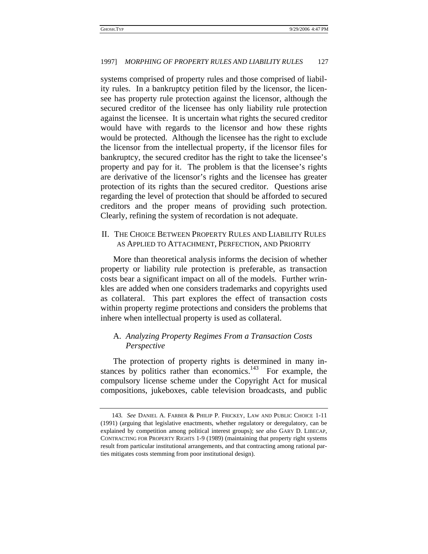systems comprised of property rules and those comprised of liability rules. In a bankruptcy petition filed by the licensor, the licensee has property rule protection against the licensor, although the secured creditor of the licensee has only liability rule protection against the licensee. It is uncertain what rights the secured creditor would have with regards to the licensor and how these rights would be protected. Although the licensee has the right to exclude the licensor from the intellectual property, if the licensor files for bankruptcy, the secured creditor has the right to take the licensee's property and pay for it. The problem is that the licensee's rights are derivative of the licensor's rights and the licensee has greater protection of its rights than the secured creditor. Questions arise regarding the level of protection that should be afforded to secured creditors and the proper means of providing such protection. Clearly, refining the system of recordation is not adequate.

#### II. THE CHOICE BETWEEN PROPERTY RULES AND LIABILITY RULES AS APPLIED TO ATTACHMENT, PERFECTION, AND PRIORITY

More than theoretical analysis informs the decision of whether property or liability rule protection is preferable, as transaction costs bear a significant impact on all of the models. Further wrinkles are added when one considers trademarks and copyrights used as collateral. This part explores the effect of transaction costs within property regime protections and considers the problems that inhere when intellectual property is used as collateral.

### A. *Analyzing Property Regimes From a Transaction Costs Perspective*

The protection of property rights is determined in many instances by politics rather than economics. $143$  For example, the compulsory license scheme under the Copyright Act for musical compositions, jukeboxes, cable television broadcasts, and public

<sup>143</sup>*. See* DANIEL A. FARBER & PHILIP P. FRICKEY, LAW AND PUBLIC CHOICE 1-11 (1991) (arguing that legislative enactments, whether regulatory or deregulatory, can be explained by competition among political interest groups); *see also* GARY D. LIBECAP, CONTRACTING FOR PROPERTY RIGHTS 1-9 (1989) (maintaining that property right systems result from particular institutional arrangements, and that contracting among rational parties mitigates costs stemming from poor institutional design).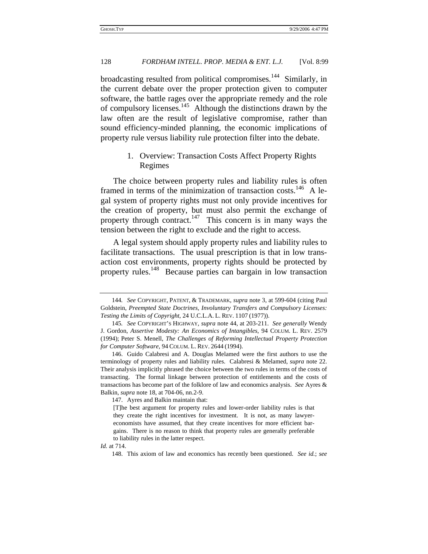broadcasting resulted from political compromises.144 Similarly, in the current debate over the proper protection given to computer software, the battle rages over the appropriate remedy and the role of compulsory licenses.145 Although the distinctions drawn by the law often are the result of legislative compromise, rather than sound efficiency-minded planning, the economic implications of property rule versus liability rule protection filter into the debate.

### 1. Overview: Transaction Costs Affect Property Rights Regimes

The choice between property rules and liability rules is often framed in terms of the minimization of transaction costs.<sup>146</sup> A legal system of property rights must not only provide incentives for the creation of property, but must also permit the exchange of property through contract.<sup>147</sup> This concern is in many ways the tension between the right to exclude and the right to access.

A legal system should apply property rules and liability rules to facilitate transactions. The usual prescription is that in low transaction cost environments, property rights should be protected by property rules.<sup>148</sup> Because parties can bargain in low transaction

147. Ayres and Balkin maintain that:

148. This axiom of law and economics has recently been questioned. *See id.*; *see* 

<sup>144</sup>*. See* COPYRIGHT, PATENT, & TRADEMARK, *supra* note 3, at 599-604 (citing Paul Goldstein, *Preempted State Doctrines, Involuntary Transfers and Compulsory Licenses: Testing the Limits of Copyright*, 24 U.C.L.A. L. REV. 1107 (1977)).

<sup>145</sup>*. See* COPYRIGHT'S HIGHWAY, *supra* note 44, at 203-211. *See generally* Wendy J. Gordon, *Assertive Modesty: An Economics of Intangibles*, 94 COLUM. L. REV. 2579 (1994); Peter S. Menell, *The Challenges of Reforming Intellectual Property Protection for Computer Software*, 94 COLUM. L. REV. 2644 (1994).

<sup>146.</sup> Guido Calabresi and A. Douglas Melamed were the first authors to use the terminology of property rules and liability rules. Calabresi & Melamed, *supra* note 22. Their analysis implicitly phrased the choice between the two rules in terms of the costs of transacting. The formal linkage between protection of entitlements and the costs of transactions has become part of the folklore of law and economics analysis. *See* Ayres & Balkin, *supra* note 18, at 704-06, nn.2-9.

<sup>[</sup>T]he best argument for property rules and lower-order liability rules is that they create the right incentives for investment. It is not, as many lawyereconomists have assumed, that they create incentives for more efficient bargains. There is no reason to think that property rules are generally preferable to liability rules in the latter respect.

*Id.* at 714.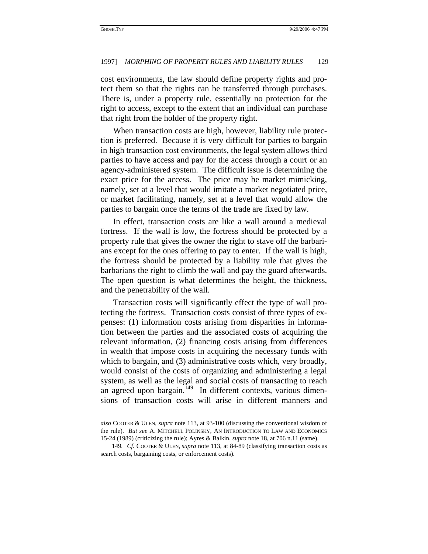cost environments, the law should define property rights and protect them so that the rights can be transferred through purchases. There is, under a property rule, essentially no protection for the right to access, except to the extent that an individual can purchase that right from the holder of the property right.

When transaction costs are high, however, liability rule protection is preferred. Because it is very difficult for parties to bargain in high transaction cost environments, the legal system allows third parties to have access and pay for the access through a court or an agency-administered system. The difficult issue is determining the exact price for the access. The price may be market mimicking, namely, set at a level that would imitate a market negotiated price, or market facilitating, namely, set at a level that would allow the parties to bargain once the terms of the trade are fixed by law.

In effect, transaction costs are like a wall around a medieval fortress. If the wall is low, the fortress should be protected by a property rule that gives the owner the right to stave off the barbarians except for the ones offering to pay to enter. If the wall is high, the fortress should be protected by a liability rule that gives the barbarians the right to climb the wall and pay the guard afterwards. The open question is what determines the height, the thickness, and the penetrability of the wall.

Transaction costs will significantly effect the type of wall protecting the fortress. Transaction costs consist of three types of expenses: (1) information costs arising from disparities in information between the parties and the associated costs of acquiring the relevant information, (2) financing costs arising from differences in wealth that impose costs in acquiring the necessary funds with which to bargain, and (3) administrative costs which, very broadly, would consist of the costs of organizing and administering a legal system, as well as the legal and social costs of transacting to reach an agreed upon bargain.<sup>149</sup> In different contexts, various dimensions of transaction costs will arise in different manners and

*also* COOTER & ULEN, *supra* note 113, at 93-100 (discussing the conventional wisdom of the rule). *But see* A. MITCHELL POLINSKY, AN INTRODUCTION TO LAW AND ECONOMICS 15-24 (1989) (criticizing the rule); Ayres & Balkin, *supra* note 18, at 706 n.11 (same).

<sup>149</sup>*. Cf.* COOTER & ULEN, *supra* note 113, at 84-89 (classifying transaction costs as search costs, bargaining costs, or enforcement costs).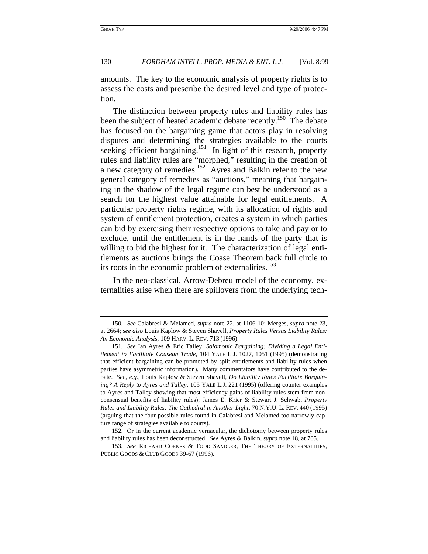amounts. The key to the economic analysis of property rights is to assess the costs and prescribe the desired level and type of protection.

The distinction between property rules and liability rules has been the subject of heated academic debate recently.<sup>150</sup> The debate has focused on the bargaining game that actors play in resolving disputes and determining the strategies available to the courts seeking efficient bargaining.<sup>151</sup> In light of this research, property rules and liability rules are "morphed," resulting in the creation of a new category of remedies.152 Ayres and Balkin refer to the new general category of remedies as "auctions," meaning that bargaining in the shadow of the legal regime can best be understood as a search for the highest value attainable for legal entitlements. A particular property rights regime, with its allocation of rights and system of entitlement protection, creates a system in which parties can bid by exercising their respective options to take and pay or to exclude, until the entitlement is in the hands of the party that is willing to bid the highest for it. The characterization of legal entitlements as auctions brings the Coase Theorem back full circle to its roots in the economic problem of externalities.<sup>153</sup>

In the neo-classical, Arrow-Debreu model of the economy, externalities arise when there are spillovers from the underlying tech-

<sup>150</sup>*. See* Calabresi & Melamed, *supra* note 22, at 1106-10; Merges, *supra* note 23, at 2664; *see also* Louis Kaplow & Steven Shavell, *Property Rules Versus Liability Rules: An Economic Analysis*, 109 HARV. L. REV. 713 (1996).

<sup>151</sup>*. See* Ian Ayres & Eric Talley, *Solomonic Bargaining: Dividing a Legal Entitlement to Facilitate Coasean Trade*, 104 YALE L.J. 1027, 1051 (1995) (demonstrating that efficient bargaining can be promoted by split entitlements and liability rules when parties have asymmetric information). Many commentators have contributed to the debate. *See, e.g.*, Louis Kaplow & Steven Shavell, *Do Liability Rules Facilitate Bargaining? A Reply to Ayres and Talley*, 105 YALE L.J. 221 (1995) (offering counter examples to Ayres and Talley showing that most efficiency gains of liability rules stem from nonconsensual benefits of liability rules); James E. Krier & Stewart J. Schwab, *Property Rules and Liability Rules: The Cathedral in Another Light*, 70 N.Y.U. L. REV. 440 (1995) (arguing that the four possible rules found in Calabresi and Melamed too narrowly capture range of strategies available to courts).

<sup>152.</sup> Or in the current academic vernacular, the dichotomy between property rules and liability rules has been deconstructed. *See* Ayres & Balkin, *supra* note 18, at 705.

<sup>153</sup>*. See* RICHARD CORNES & TODD SANDLER, THE THEORY OF EXTERNALITIES, PUBLIC GOODS & CLUB GOODS 39-67 (1996).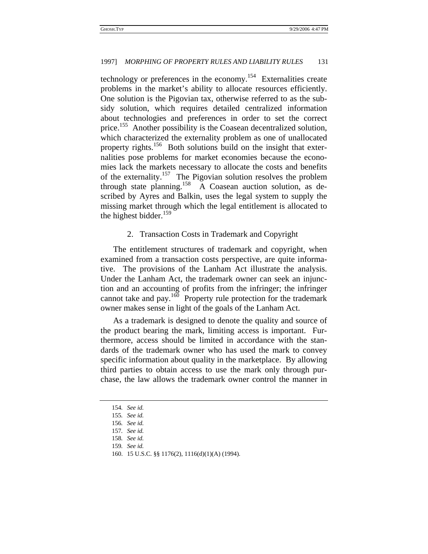technology or preferences in the economy.154 Externalities create problems in the market's ability to allocate resources efficiently. One solution is the Pigovian tax, otherwise referred to as the subsidy solution, which requires detailed centralized information about technologies and preferences in order to set the correct price.<sup>155</sup> Another possibility is the Coasean decentralized solution, which characterized the externality problem as one of unallocated property rights.<sup>156</sup> Both solutions build on the insight that externalities pose problems for market economies because the economies lack the markets necessary to allocate the costs and benefits of the externality.157 The Pigovian solution resolves the problem through state planning.158 A Coasean auction solution, as described by Ayres and Balkin, uses the legal system to supply the missing market through which the legal entitlement is allocated to the highest bidder.<sup>159</sup>

#### 2. Transaction Costs in Trademark and Copyright

The entitlement structures of trademark and copyright, when examined from a transaction costs perspective, are quite informative. The provisions of the Lanham Act illustrate the analysis. Under the Lanham Act, the trademark owner can seek an injunction and an accounting of profits from the infringer; the infringer cannot take and pay.<sup>160</sup> Property rule protection for the trademark owner makes sense in light of the goals of the Lanham Act.

As a trademark is designed to denote the quality and source of the product bearing the mark, limiting access is important. Furthermore, access should be limited in accordance with the standards of the trademark owner who has used the mark to convey specific information about quality in the marketplace. By allowing third parties to obtain access to use the mark only through purchase, the law allows the trademark owner control the manner in

<sup>154</sup>*. See id.*

<sup>155</sup>*. See id.*

<sup>156</sup>*. See id.*

<sup>157</sup>*. See id.*

<sup>158</sup>*. See id.*

<sup>159</sup>*. See id.*

<sup>160. 15</sup> U.S.C. §§ 1176(2), 1116(d)(1)(A) (1994).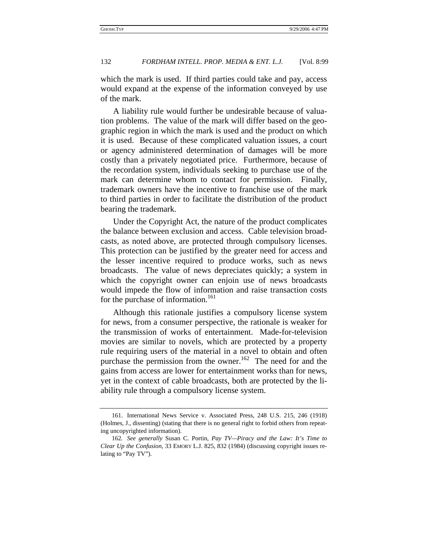which the mark is used. If third parties could take and pay, access would expand at the expense of the information conveyed by use of the mark.

A liability rule would further be undesirable because of valuation problems. The value of the mark will differ based on the geographic region in which the mark is used and the product on which it is used. Because of these complicated valuation issues, a court or agency administered determination of damages will be more costly than a privately negotiated price. Furthermore, because of the recordation system, individuals seeking to purchase use of the mark can determine whom to contact for permission. Finally, trademark owners have the incentive to franchise use of the mark to third parties in order to facilitate the distribution of the product bearing the trademark.

Under the Copyright Act, the nature of the product complicates the balance between exclusion and access. Cable television broadcasts, as noted above, are protected through compulsory licenses. This protection can be justified by the greater need for access and the lesser incentive required to produce works, such as news broadcasts. The value of news depreciates quickly; a system in which the copyright owner can enjoin use of news broadcasts would impede the flow of information and raise transaction costs for the purchase of information.<sup>161</sup>

Although this rationale justifies a compulsory license system for news, from a consumer perspective, the rationale is weaker for the transmission of works of entertainment. Made-for-television movies are similar to novels, which are protected by a property rule requiring users of the material in a novel to obtain and often purchase the permission from the owner.<sup>162</sup> The need for and the gains from access are lower for entertainment works than for news, yet in the context of cable broadcasts, both are protected by the liability rule through a compulsory license system.

<sup>161.</sup> International News Service v. Associated Press, 248 U.S. 215, 246 (1918) (Holmes, J., dissenting) (stating that there is no general right to forbid others from repeating uncopyrighted information).

<sup>162</sup>*. See generally* Susan C. Portin, *Pay TV—Piracy and the Law: It's Time to Clear Up the Confusion*, 33 EMORY L.J. 825, 832 (1984) (discussing copyright issues relating to "Pay TV").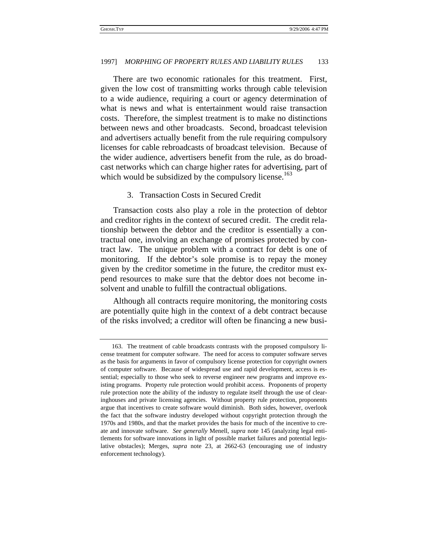There are two economic rationales for this treatment. First, given the low cost of transmitting works through cable television to a wide audience, requiring a court or agency determination of what is news and what is entertainment would raise transaction costs. Therefore, the simplest treatment is to make no distinctions between news and other broadcasts. Second, broadcast television and advertisers actually benefit from the rule requiring compulsory licenses for cable rebroadcasts of broadcast television. Because of the wider audience, advertisers benefit from the rule, as do broadcast networks which can charge higher rates for advertising, part of which would be subsidized by the compulsory license. $163$ 

## 3. Transaction Costs in Secured Credit

Transaction costs also play a role in the protection of debtor and creditor rights in the context of secured credit. The credit relationship between the debtor and the creditor is essentially a contractual one, involving an exchange of promises protected by contract law. The unique problem with a contract for debt is one of monitoring. If the debtor's sole promise is to repay the money given by the creditor sometime in the future, the creditor must expend resources to make sure that the debtor does not become insolvent and unable to fulfill the contractual obligations.

Although all contracts require monitoring, the monitoring costs are potentially quite high in the context of a debt contract because of the risks involved; a creditor will often be financing a new busi-

<sup>163.</sup> The treatment of cable broadcasts contrasts with the proposed compulsory license treatment for computer software. The need for access to computer software serves as the basis for arguments in favor of compulsory license protection for copyright owners of computer software. Because of widespread use and rapid development, access is essential; especially to those who seek to reverse engineer new programs and improve existing programs. Property rule protection would prohibit access. Proponents of property rule protection note the ability of the industry to regulate itself through the use of clearinghouses and private licensing agencies. Without property rule protection, proponents argue that incentives to create software would diminish. Both sides, however, overlook the fact that the software industry developed without copyright protection through the 1970s and 1980s, and that the market provides the basis for much of the incentive to create and innovate software. *See generally* Menell, *supra* note 145 (analyzing legal entitlements for software innovations in light of possible market failures and potential legislative obstacles); Merges, *supra* note 23, at 2662-63 (encouraging use of industry enforcement technology).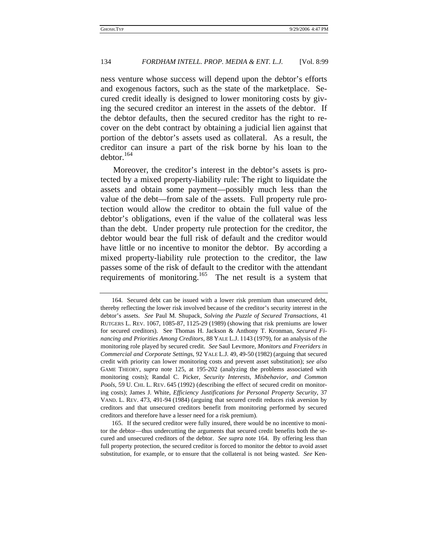ness venture whose success will depend upon the debtor's efforts and exogenous factors, such as the state of the marketplace. Secured credit ideally is designed to lower monitoring costs by giving the secured creditor an interest in the assets of the debtor. If the debtor defaults, then the secured creditor has the right to recover on the debt contract by obtaining a judicial lien against that portion of the debtor's assets used as collateral. As a result, the creditor can insure a part of the risk borne by his loan to the debtor.<sup>164</sup>

Moreover, the creditor's interest in the debtor's assets is protected by a mixed property-liability rule: The right to liquidate the assets and obtain some payment—possibly much less than the value of the debt—from sale of the assets. Full property rule protection would allow the creditor to obtain the full value of the debtor's obligations, even if the value of the collateral was less than the debt. Under property rule protection for the creditor, the debtor would bear the full risk of default and the creditor would have little or no incentive to monitor the debtor. By according a mixed property-liability rule protection to the creditor, the law passes some of the risk of default to the creditor with the attendant requirements of monitoring.165 The net result is a system that

<sup>164.</sup> Secured debt can be issued with a lower risk premium than unsecured debt, thereby reflecting the lower risk involved because of the creditor's security interest in the debtor's assets. *See* Paul M. Shupack, *Solving the Puzzle of Secured Transactions*, 41 RUTGERS L. REV. 1067, 1085-87, 1125-29 (1989) (showing that risk premiums are lower for secured creditors). See Thomas H. Jackson & Anthony T. Kronman, *Secured Financing and Priorities Among Creditors,* 88 YALE L.J. 1143 (1979), for an analysis of the monitoring role played by secured credit. *See* Saul Levmore, *Monitors and Freeriders in Commercial and Corporate Settings,* 92 YALE L.J. 49, 49-50 (1982) (arguing that secured credit with priority can lower monitoring costs and prevent asset substitution); *see also* GAME THEORY, *supra* note 125, at 195-202 (analyzing the problems associated with monitoring costs); Randal C. Picker, *Security Interests, Misbehavior, and Common*  Pools, 59 U. CHI. L. REV. 645 (1992) (describing the effect of secured credit on monitoring costs); James J. White, *Efficiency Justifications for Personal Property Security*, 37 VAND. L. REV. 473, 491-94 (1984) (arguing that secured credit reduces risk aversion by creditors and that unsecured creditors benefit from monitoring performed by secured creditors and therefore have a lesser need for a risk premium).

<sup>165.</sup> If the secured creditor were fully insured, there would be no incentive to monitor the debtor—thus undercutting the arguments that secured credit benefits both the secured and unsecured creditors of the debtor. *See supra* note 164. By offering less than full property protection, the secured creditor is forced to monitor the debtor to avoid asset substitution, for example, or to ensure that the collateral is not being wasted. *See* Ken-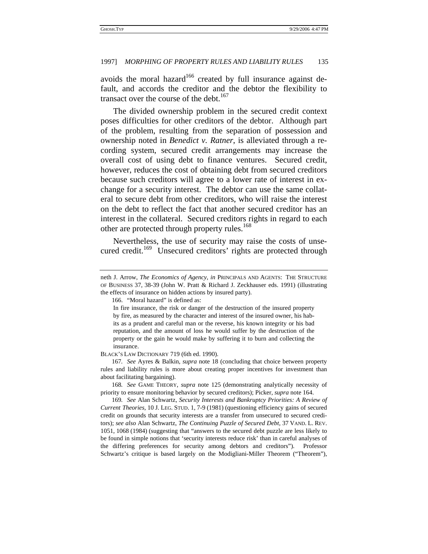avoids the moral hazard<sup>166</sup> created by full insurance against default, and accords the creditor and the debtor the flexibility to transact over the course of the debt. $167$ 

The divided ownership problem in the secured credit context poses difficulties for other creditors of the debtor. Although part of the problem, resulting from the separation of possession and ownership noted in *Benedict v. Ratner*, is alleviated through a recording system, secured credit arrangements may increase the overall cost of using debt to finance ventures. Secured credit, however, reduces the cost of obtaining debt from secured creditors because such creditors will agree to a lower rate of interest in exchange for a security interest. The debtor can use the same collateral to secure debt from other creditors, who will raise the interest on the debt to reflect the fact that another secured creditor has an interest in the collateral. Secured creditors rights in regard to each other are protected through property rules.<sup>168</sup>

Nevertheless, the use of security may raise the costs of unsecured credit.<sup>169</sup> Unsecured creditors' rights are protected through

166. "Moral hazard" is defined as:

BLACK'S LAW DICTIONARY 719 (6th ed. 1990).

167*. See* Ayres & Balkin, *supra* note 18 (concluding that choice between property rules and liability rules is more about creating proper incentives for investment than about facilitating bargaining).

168*. See* GAME THEORY, *supra* note 125 (demonstrating analytically necessity of priority to ensure monitoring behavior by secured creditors); Picker, *supra* note 164.

169*. See* Alan Schwartz, *Security Interests and Bankruptcy Priorities: A Review of Current Theories,* 10 J. LEG. STUD. 1, 7-9 (1981) (questioning efficiency gains of secured credit on grounds that security interests are a transfer from unsecured to secured creditors); *see also* Alan Schwartz, *The Continuing Puzzle of Secured Debt,* 37 VAND. L. REV. 1051, 1068 (1984) (suggesting that "answers to the secured debt puzzle are less likely to be found in simple notions that 'security interests reduce risk' than in careful analyses of the differing preferences for security among debtors and creditors"). Professor Schwartz's critique is based largely on the Modigliani-Miller Theorem ("Theorem"),

neth J. Arrow, *The Economics of Agency*, *in* PRINCIPALS AND AGENTS: THE STRUCTURE OF BUSINESS 37, 38-39 (John W. Pratt & Richard J. Zeckhauser eds. 1991) (illustrating the effects of insurance on hidden actions by insured party).

In fire insurance, the risk or danger of the destruction of the insured property by fire, as measured by the character and interest of the insured owner, his habits as a prudent and careful man or the reverse, his known integrity or his bad reputation, and the amount of loss he would suffer by the destruction of the property or the gain he would make by suffering it to burn and collecting the insurance.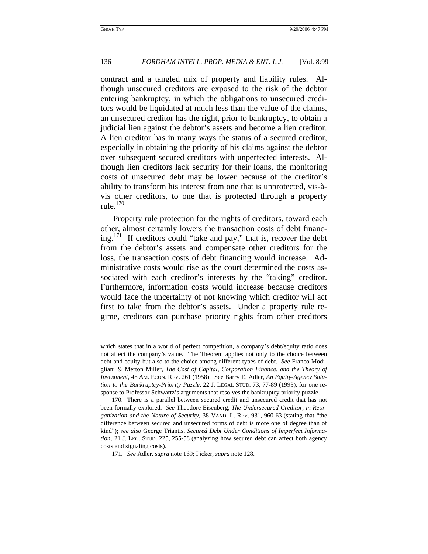contract and a tangled mix of property and liability rules. Although unsecured creditors are exposed to the risk of the debtor entering bankruptcy, in which the obligations to unsecured creditors would be liquidated at much less than the value of the claims, an unsecured creditor has the right, prior to bankruptcy, to obtain a judicial lien against the debtor's assets and become a lien creditor. A lien creditor has in many ways the status of a secured creditor, especially in obtaining the priority of his claims against the debtor over subsequent secured creditors with unperfected interests. Although lien creditors lack security for their loans, the monitoring costs of unsecured debt may be lower because of the creditor's ability to transform his interest from one that is unprotected, vis-àvis other creditors, to one that is protected through a property rule. $170$ 

Property rule protection for the rights of creditors, toward each other, almost certainly lowers the transaction costs of debt financing.<sup>171</sup> If creditors could "take and pay," that is, recover the debt from the debtor's assets and compensate other creditors for the loss, the transaction costs of debt financing would increase. Administrative costs would rise as the court determined the costs associated with each creditor's interests by the "taking" creditor. Furthermore, information costs would increase because creditors would face the uncertainty of not knowing which creditor will act first to take from the debtor's assets. Under a property rule regime, creditors can purchase priority rights from other creditors

which states that in a world of perfect competition, a company's debt/equity ratio does not affect the company's value. The Theorem applies not only to the choice between debt and equity but also to the choice among different types of debt. *See* Franco Modigliani & Merton Miller, *The Cost of Capital, Corporation Finance, and the Theory of Investment*, 48 AM. ECON. REV. 261 (1958). See Barry E. Adler, *An Equity-Agency Solution to the Bankruptcy-Priority Puzzle,* 22 J. LEGAL STUD. 73, 77-89 (1993), for one response to Professor Schwartz's arguments that resolves the bankruptcy priority puzzle.

<sup>170.</sup> There is a parallel between secured credit and unsecured credit that has not been formally explored. *See* Theodore Eisenberg, *The Undersecured Creditor*, *in Reorganization and the Nature of Security*, 38 VAND. L. REV. 931, 960-63 (stating that "the difference between secured and unsecured forms of debt is more one of degree than of kind"); *see also* George Triantis, *Secured Debt Under Conditions of Imperfect Information,* 21 J. LEG. STUD. 225, 255-58 (analyzing how secured debt can affect both agency costs and signaling costs).

<sup>171</sup>*. See* Adler, *supra* note 169; Picker, *supra* note 128.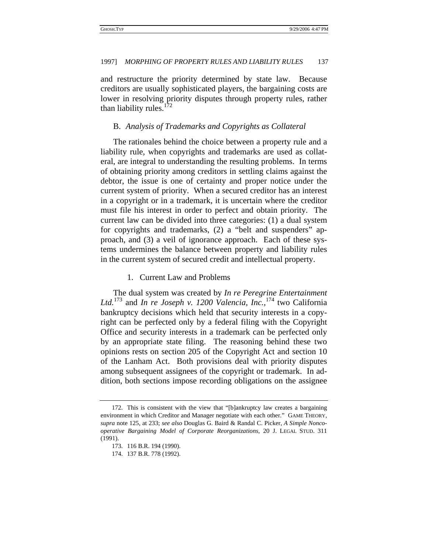and restructure the priority determined by state law. Because creditors are usually sophisticated players, the bargaining costs are lower in resolving priority disputes through property rules, rather than liability rules.<sup>1</sup>

## B. *Analysis of Trademarks and Copyrights as Collateral*

The rationales behind the choice between a property rule and a liability rule, when copyrights and trademarks are used as collateral, are integral to understanding the resulting problems. In terms of obtaining priority among creditors in settling claims against the debtor, the issue is one of certainty and proper notice under the current system of priority. When a secured creditor has an interest in a copyright or in a trademark, it is uncertain where the creditor must file his interest in order to perfect and obtain priority. The current law can be divided into three categories: (1) a dual system for copyrights and trademarks, (2) a "belt and suspenders" approach, and (3) a veil of ignorance approach. Each of these systems undermines the balance between property and liability rules in the current system of secured credit and intellectual property.

## 1. Current Law and Problems

The dual system was created by *In re Peregrine Entertainment*  Ltd.<sup>173</sup> and *In re Joseph v. 1200 Valencia, Inc.*,<sup>174</sup> two California bankruptcy decisions which held that security interests in a copyright can be perfected only by a federal filing with the Copyright Office and security interests in a trademark can be perfected only by an appropriate state filing. The reasoning behind these two opinions rests on section 205 of the Copyright Act and section 10 of the Lanham Act. Both provisions deal with priority disputes among subsequent assignees of the copyright or trademark. In addition, both sections impose recording obligations on the assignee

<sup>172.</sup> This is consistent with the view that "[b]ankruptcy law creates a bargaining environment in which Creditor and Manager negotiate with each other." GAME THEORY, *supra* note 125, at 233; *see also* Douglas G. Baird & Randal C. Picker, *A Simple Noncooperative Bargaining Model of Corporate Reorganizations,* 20 J. LEGAL STUD. 311 (1991).

<sup>173. 116</sup> B.R. 194 (1990).

<sup>174. 137</sup> B.R. 778 (1992).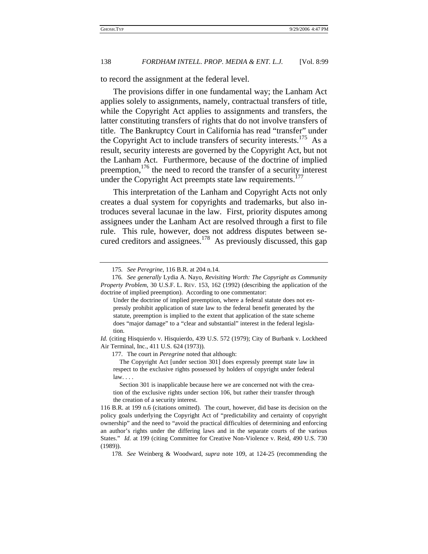to record the assignment at the federal level.

The provisions differ in one fundamental way; the Lanham Act applies solely to assignments, namely, contractual transfers of title, while the Copyright Act applies to assignments and transfers, the latter constituting transfers of rights that do not involve transfers of title. The Bankruptcy Court in California has read "transfer" under the Copyright Act to include transfers of security interests.<sup>175</sup> As a result, security interests are governed by the Copyright Act, but not the Lanham Act. Furthermore, because of the doctrine of implied preemption, $176$  the need to record the transfer of a security interest under the Copyright Act preempts state law requirements.<sup>177</sup>

This interpretation of the Lanham and Copyright Acts not only creates a dual system for copyrights and trademarks, but also introduces several lacunae in the law. First, priority disputes among assignees under the Lanham Act are resolved through a first to file rule. This rule, however, does not address disputes between secured creditors and assignees.<sup>178</sup> As previously discussed, this gap

177. The court in *Peregrine* noted that although:

 Section 301 is inapplicable because here we are concerned not with the creation of the exclusive rights under section 106, but rather their transfer through the creation of a security interest.

<sup>175</sup>*. See Peregrine*, 116 B.R. at 204 n.14.

<sup>176</sup>*. See generally* Lydia A. Nayo, *Revisiting Worth: The Copyright as Community Property Problem*, 30 U.S.F. L. REV. 153, 162 (1992) (describing the application of the doctrine of implied preemption). According to one commentator:

Under the doctrine of implied preemption, where a federal statute does not expressly prohibit application of state law to the federal benefit generated by the statute, preemption is implied to the extent that application of the state scheme does "major damage" to a "clear and substantial" interest in the federal legislation.

*Id.* (citing Hisquierdo v. Hisquierdo, 439 U.S. 572 (1979); City of Burbank v. Lockheed Air Terminal, Inc., 411 U.S. 624 (1973)).

The Copyright Act [under section 301] does expressly preempt state law in respect to the exclusive rights possessed by holders of copyright under federal law. . . .

<sup>116</sup> B.R. at 199 n.6 (citations omitted). The court, however, did base its decision on the policy goals underlying the Copyright Act of "predictability and certainty of copyright ownership" and the need to "avoid the practical difficulties of determining and enforcing an author's rights under the differing laws and in the separate courts of the various States." *Id.* at 199 (citing Committee for Creative Non-Violence v. Reid*,* 490 U.S. 730 (1989)).

<sup>178</sup>*. See* Weinberg & Woodward, *supra* note 109, at 124-25 (recommending the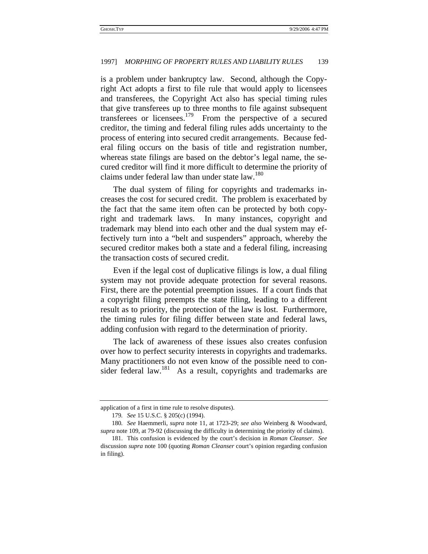is a problem under bankruptcy law. Second, although the Copyright Act adopts a first to file rule that would apply to licensees and transferees, the Copyright Act also has special timing rules that give transferees up to three months to file against subsequent transferees or licensees.179 From the perspective of a secured creditor, the timing and federal filing rules adds uncertainty to the process of entering into secured credit arrangements. Because federal filing occurs on the basis of title and registration number, whereas state filings are based on the debtor's legal name, the secured creditor will find it more difficult to determine the priority of claims under federal law than under state law.<sup>180</sup>

The dual system of filing for copyrights and trademarks increases the cost for secured credit. The problem is exacerbated by the fact that the same item often can be protected by both copyright and trademark laws. In many instances, copyright and trademark may blend into each other and the dual system may effectively turn into a "belt and suspenders" approach, whereby the secured creditor makes both a state and a federal filing, increasing the transaction costs of secured credit.

Even if the legal cost of duplicative filings is low, a dual filing system may not provide adequate protection for several reasons. First, there are the potential preemption issues. If a court finds that a copyright filing preempts the state filing, leading to a different result as to priority, the protection of the law is lost. Furthermore, the timing rules for filing differ between state and federal laws, adding confusion with regard to the determination of priority.

The lack of awareness of these issues also creates confusion over how to perfect security interests in copyrights and trademarks. Many practitioners do not even know of the possible need to consider federal law.<sup>181</sup> As a result, copyrights and trademarks are

application of a first in time rule to resolve disputes).

<sup>179</sup>*. See* 15 U.S.C. § 205(c) (1994).

<sup>180</sup>*. See* Haemmerli, *supra* note 11, at 1723-29; *see also* Weinberg & Woodward, *supra* note 109, at 79-92 (discussing the difficulty in determining the priority of claims).

<sup>181.</sup> This confusion is evidenced by the court's decision in *Roman Cleanser*. *See* discussion *supra* note 100 (quoting *Roman Cleanser* court's opinion regarding confusion in filing).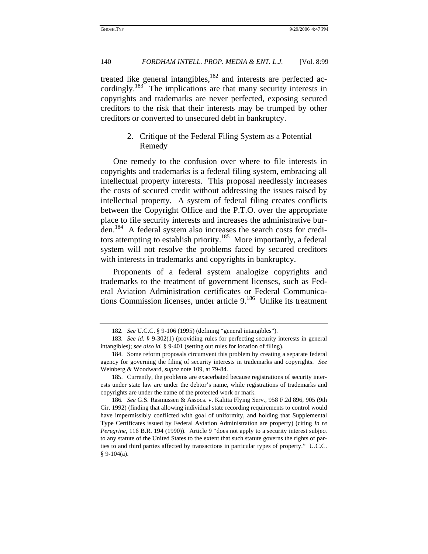treated like general intangibles, $182$  and interests are perfected accordingly.<sup>183</sup> The implications are that many security interests in copyrights and trademarks are never perfected, exposing secured creditors to the risk that their interests may be trumped by other creditors or converted to unsecured debt in bankruptcy.

# 2. Critique of the Federal Filing System as a Potential Remedy

One remedy to the confusion over where to file interests in copyrights and trademarks is a federal filing system, embracing all intellectual property interests. This proposal needlessly increases the costs of secured credit without addressing the issues raised by intellectual property. A system of federal filing creates conflicts between the Copyright Office and the P.T.O. over the appropriate place to file security interests and increases the administrative burden.184 A federal system also increases the search costs for creditors attempting to establish priority.<sup>185</sup> More importantly, a federal system will not resolve the problems faced by secured creditors with interests in trademarks and copyrights in bankruptcy.

Proponents of a federal system analogize copyrights and trademarks to the treatment of government licenses, such as Federal Aviation Administration certificates or Federal Communications Commission licenses, under article  $9.186$  Unlike its treatment

<sup>182</sup>*. See* U.C.C. § 9-106 (1995) (defining "general intangibles").

<sup>183</sup>*. See id.* § 9-302(1) (providing rules for perfecting security interests in general intangibles); *see also id.* § 9-401 (setting out rules for location of filing).

<sup>184.</sup> Some reform proposals circumvent this problem by creating a separate federal agency for governing the filing of security interests in trademarks and copyrights. *See* Weinberg & Woodward, *supra* note 109, at 79-84.

<sup>185.</sup> Currently, the problems are exacerbated because registrations of security interests under state law are under the debtor's name, while registrations of trademarks and copyrights are under the name of the protected work or mark.

<sup>186</sup>*. See* G.S. Rasmussen & Assocs. v. Kalitta Flying Serv*.,* 958 F.2d 896, 905 (9th Cir. 1992) (finding that allowing individual state recording requirements to control would have impermissibly conflicted with goal of uniformity, and holding that Supplemental Type Certificates issued by Federal Aviation Administration are property) (citing *In re Peregrine*, 116 B.R. 194 (1990)). Article 9 "does not apply to a security interest subject to any statute of the United States to the extent that such statute governs the rights of parties to and third parties affected by transactions in particular types of property." U.C.C. § 9-104(a).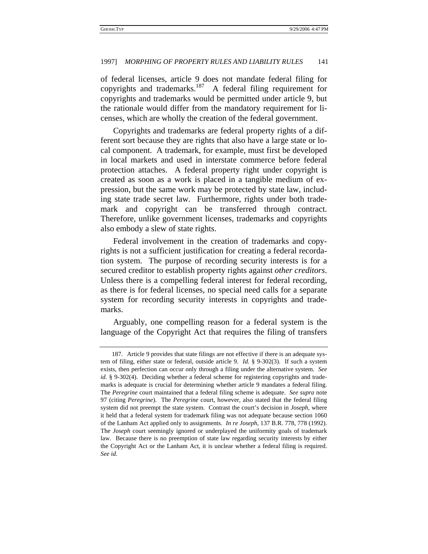of federal licenses, article 9 does not mandate federal filing for copyrights and trademarks.<sup>187</sup> A federal filing requirement for copyrights and trademarks would be permitted under article 9, but the rationale would differ from the mandatory requirement for licenses, which are wholly the creation of the federal government.

Copyrights and trademarks are federal property rights of a different sort because they are rights that also have a large state or local component. A trademark, for example, must first be developed in local markets and used in interstate commerce before federal protection attaches. A federal property right under copyright is created as soon as a work is placed in a tangible medium of expression, but the same work may be protected by state law, including state trade secret law. Furthermore, rights under both trademark and copyright can be transferred through contract. Therefore, unlike government licenses, trademarks and copyrights also embody a slew of state rights.

Federal involvement in the creation of trademarks and copyrights is not a sufficient justification for creating a federal recordation system. The purpose of recording security interests is for a secured creditor to establish property rights against *other creditors*. Unless there is a compelling federal interest for federal recording, as there is for federal licenses, no special need calls for a separate system for recording security interests in copyrights and trademarks.

Arguably, one compelling reason for a federal system is the language of the Copyright Act that requires the filing of transfers

<sup>187.</sup> Article 9 provides that state filings are not effective if there is an adequate system of filing, either state or federal, outside article 9. *Id.* § 9-302(3). If such a system exists, then perfection can occur only through a filing under the alternative system. *See id.* § 9-302(4). Deciding whether a federal scheme for registering copyrights and trademarks is adequate is crucial for determining whether article 9 mandates a federal filing. The *Peregrine* court maintained that a federal filing scheme is adequate. *See supra* note 97 (citing *Peregrine*). The *Peregrine* court, however, also stated that the federal filing system did not preempt the state system. Contrast the court's decision in *Joseph*, where it held that a federal system for trademark filing was not adequate because section 1060 of the Lanham Act applied only to assignments. *In re Joseph*, 137 B.R. 778, 778 (1992). The *Joseph* court seemingly ignored or underplayed the uniformity goals of trademark law. Because there is no preemption of state law regarding security interests by either the Copyright Act or the Lanham Act, it is unclear whether a federal filing is required. *See id.*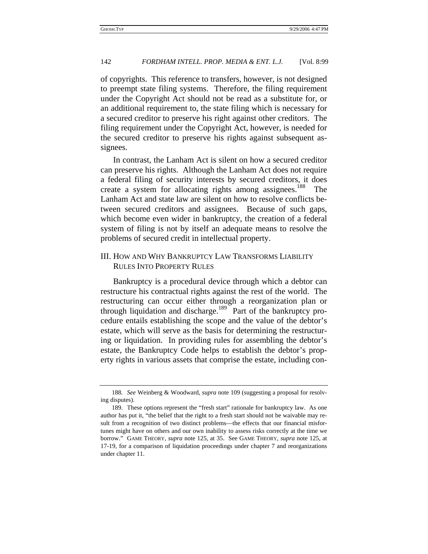of copyrights. This reference to transfers, however, is not designed to preempt state filing systems. Therefore, the filing requirement under the Copyright Act should not be read as a substitute for, or an additional requirement to, the state filing which is necessary for a secured creditor to preserve his right against other creditors. The filing requirement under the Copyright Act, however, is needed for the secured creditor to preserve his rights against subsequent assignees.

In contrast, the Lanham Act is silent on how a secured creditor can preserve his rights. Although the Lanham Act does not require a federal filing of security interests by secured creditors, it does create a system for allocating rights among assignees.<sup>188</sup> The Lanham Act and state law are silent on how to resolve conflicts between secured creditors and assignees. Because of such gaps, which become even wider in bankruptcy, the creation of a federal system of filing is not by itself an adequate means to resolve the problems of secured credit in intellectual property.

# III. HOW AND WHY BANKRUPTCY LAW TRANSFORMS LIABILITY RULES INTO PROPERTY RULES

Bankruptcy is a procedural device through which a debtor can restructure his contractual rights against the rest of the world. The restructuring can occur either through a reorganization plan or through liquidation and discharge.<sup>189</sup> Part of the bankruptcy procedure entails establishing the scope and the value of the debtor's estate, which will serve as the basis for determining the restructuring or liquidation. In providing rules for assembling the debtor's estate, the Bankruptcy Code helps to establish the debtor's property rights in various assets that comprise the estate, including con-

<sup>188</sup>*. See* Weinberg & Woodward, *supra* note 109 (suggesting a proposal for resolving disputes).

<sup>189.</sup> These options represent the "fresh start" rationale for bankruptcy law. As one author has put it, "the belief that the right to a fresh start should not be waivable may result from a recognition of two distinct problems—the effects that our financial misfortunes might have on others and our own inability to assess risks correctly at the time we borrow." GAME THEORY, *supra* note 125, at 35. See GAME THEORY, *supra* note 125, at 17-19, for a comparison of liquidation proceedings under chapter 7 and reorganizations under chapter 11.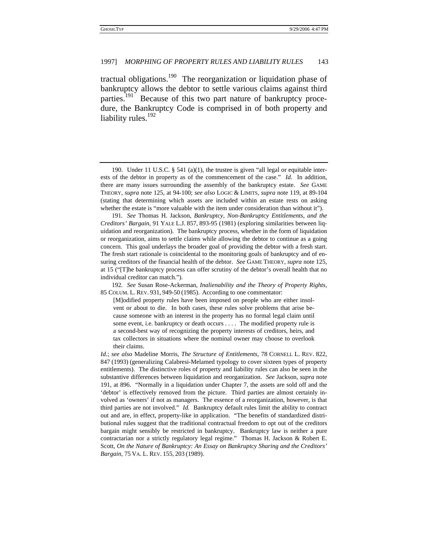tractual obligations.190 The reorganization or liquidation phase of bankruptcy allows the debtor to settle various claims against third parties.<sup>191</sup> Because of this two part nature of bankruptcy procedure, the Bankruptcy Code is comprised in of both property and liability rules. $192$ 

191*. See* Thomas H. Jackson, *Bankruptcy, Non-Bankruptcy Entitlements, and the Creditors' Bargain*, 91 YALE L.J. 857, 893-95 (1981) (exploring similarities between liquidation and reorganization). The bankruptcy process, whether in the form of liquidation or reorganization, aims to settle claims while allowing the debtor to continue as a going concern. This goal underlays the broader goal of providing the debtor with a fresh start. The fresh start rationale is coincidental to the monitoring goals of bankruptcy and of ensuring creditors of the financial health of the debtor. *See* GAME THEORY, *supra* note 125, at 15 ("[T]he bankruptcy process can offer scrutiny of the debtor's overall health that no individual creditor can match.").

192*. See* Susan Rose-Ackerman, *Inalienability and the Theory of Property Rights,* 85 COLUM. L. REV. 931, 949-50 (1985). According to one commentator:

[M]odified property rules have been imposed on people who are either insolvent or about to die. In both cases, these rules solve problems that arise because someone with an interest in the property has no formal legal claim until some event, i.e. bankruptcy or death occurs . . . . The modified property rule is a second-best way of recognizing the property interests of creditors, heirs, and tax collectors in situations where the nominal owner may choose to overlook their claims.

*Id.*; *see also* Madeline Morris, *The Structure of Entitlements,* 78 CORNELL L. REV. 822, 847 (1993) (generalizing Calabresi-Melamed typology to cover sixteen types of property entitlements). The distinctive roles of property and liability rules can also be seen in the substantive differences between liquidation and reorganization. *See* Jackson, *supra* note 191, at 896. "Normally in a liquidation under Chapter 7, the assets are sold off and the 'debtor' is effectively removed from the picture. Third parties are almost certainly involved as 'owners' if not as managers. The essence of a reorganization, however, is that third parties are not involved." *Id.* Bankruptcy default rules limit the ability to contract out and are, in effect, property-like in application. "The benefits of standardized distributional rules suggest that the traditional contractual freedom to opt out of the creditors bargain might sensibly be restricted in bankruptcy. Bankruptcy law is neither a pure contractarian nor a strictly regulatory legal regime." Thomas H. Jackson & Robert E. Scott, *On the Nature of Bankruptcy: An Essay on Bankruptcy Sharing and the Creditors' Bargain*, 75 VA. L. REV. 155, 203 (1989).

<sup>190.</sup> Under 11 U.S.C. § 541 (a)(1), the trustee is given "all legal or equitable interests of the debtor in property as of the commencement of the case." *Id.* In addition, there are many issues surrounding the assembly of the bankruptcy estate. *See* GAME THEORY, *supra* note 125, at 94-100; *see also* LOGIC & LIMITS, *supra* note 119, at 89-104 (stating that determining which assets are included within an estate rests on asking whether the estate is "more valuable with the item under consideration than without it").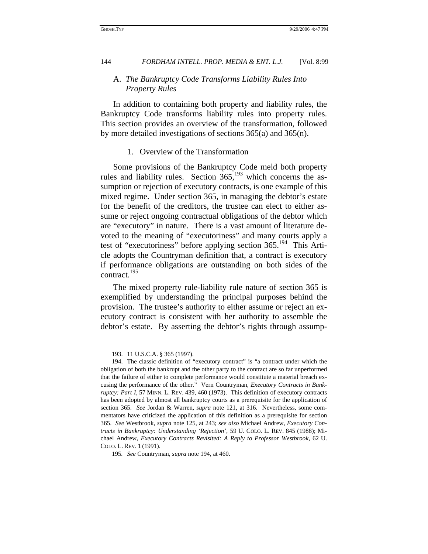## A. *The Bankruptcy Code Transforms Liability Rules Into Property Rules*

In addition to containing both property and liability rules, the Bankruptcy Code transforms liability rules into property rules. This section provides an overview of the transformation, followed by more detailed investigations of sections 365(a) and 365(n).

#### 1. Overview of the Transformation

Some provisions of the Bankruptcy Code meld both property rules and liability rules. Section  $365$ ,  $193$  which concerns the assumption or rejection of executory contracts, is one example of this mixed regime. Under section 365, in managing the debtor's estate for the benefit of the creditors, the trustee can elect to either assume or reject ongoing contractual obligations of the debtor which are "executory" in nature. There is a vast amount of literature devoted to the meaning of "executoriness" and many courts apply a test of "executoriness" before applying section  $365.^{194}$  This Article adopts the Countryman definition that, a contract is executory if performance obligations are outstanding on both sides of the contract.195

The mixed property rule-liability rule nature of section 365 is exemplified by understanding the principal purposes behind the provision. The trustee's authority to either assume or reject an executory contract is consistent with her authority to assemble the debtor's estate. By asserting the debtor's rights through assump-

<sup>193. 11</sup> U.S.C.A. § 365 (1997).

<sup>194.</sup> The classic definition of "executory contract" is "a contract under which the obligation of both the bankrupt and the other party to the contract are so far unperformed that the failure of either to complete performance would constitute a material breach excusing the performance of the other." Vern Countryman, *Executory Contracts in Bankruptcy: Part I,* 57 MINN. L. REV. 439, 460 (1973). This definition of executory contracts has been adopted by almost all bankruptcy courts as a prerequisite for the application of section 365. *See* Jordan & Warren, *supra* note 121, at 316. Nevertheless, some commentators have criticized the application of this definition as a prerequisite for section 365. *See* Westbrook, *supra* note 125, at 243; *see also* Michael Andrew, *Executory Contracts in Bankruptcy: Understanding 'Rejection'*, 59 U. COLO. L. REV. 845 (1988); Michael Andrew, *Executory Contracts Revisited: A Reply to Professor Westbrook,* 62 U. COLO. L. REV. 1 (1991).

<sup>195</sup>*. See* Countryman, *supra* note 194, at 460.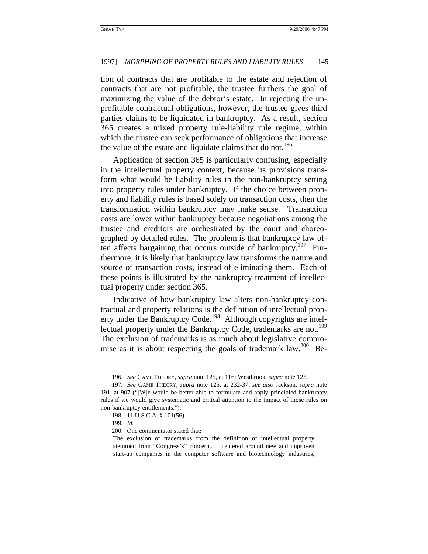tion of contracts that are profitable to the estate and rejection of contracts that are not profitable, the trustee furthers the goal of maximizing the value of the debtor's estate. In rejecting the unprofitable contractual obligations, however, the trustee gives third parties claims to be liquidated in bankruptcy. As a result, section 365 creates a mixed property rule-liability rule regime, within which the trustee can seek performance of obligations that increase the value of the estate and liquidate claims that do not.<sup>196</sup>

Application of section 365 is particularly confusing, especially in the intellectual property context, because its provisions transform what would be liability rules in the non-bankruptcy setting into property rules under bankruptcy. If the choice between property and liability rules is based solely on transaction costs, then the transformation within bankruptcy may make sense. Transaction costs are lower within bankruptcy because negotiations among the trustee and creditors are orchestrated by the court and choreographed by detailed rules. The problem is that bankruptcy law often affects bargaining that occurs outside of bankruptcy.<sup>197</sup> Furthermore, it is likely that bankruptcy law transforms the nature and source of transaction costs, instead of eliminating them. Each of these points is illustrated by the bankruptcy treatment of intellectual property under section 365.

Indicative of how bankruptcy law alters non-bankruptcy contractual and property relations is the definition of intellectual property under the Bankruptcy Code.<sup>198</sup> Although copyrights are intellectual property under the Bankruptcy Code, trademarks are not.<sup>199</sup> The exclusion of trademarks is as much about legislative compromise as it is about respecting the goals of trademark law.<sup>200</sup> Be-

<sup>196</sup>*. See* GAME THEORY, *supra* note 125, at 116; Westbrook, *supra* note 125.

<sup>197</sup>*. See* GAME THEORY, *supra* note 125, at 232-37; *see also* Jackson, *supra* note 191, at 907 ("[W]e would be better able to formulate and apply principled bankruptcy rules if we would give systematic and critical attention to the impact of those rules on non-bankruptcy entitlements.").

<sup>198. 11</sup> U.S.C.A. § 101(56).

<sup>199</sup>*. Id.*

<sup>200.</sup> One commentator stated that:

The exclusion of trademarks from the definition of intellectual property stemmed from "Congress's" concern . . . centered around new and unproven start-up companies in the computer software and biotechnology industries,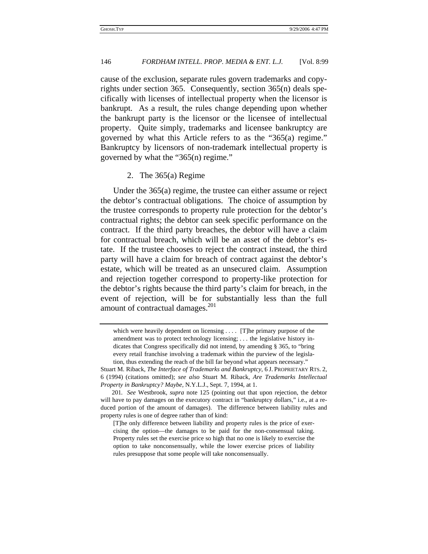cause of the exclusion, separate rules govern trademarks and copyrights under section 365. Consequently, section 365(n) deals specifically with licenses of intellectual property when the licensor is bankrupt. As a result, the rules change depending upon whether the bankrupt party is the licensor or the licensee of intellectual property. Quite simply, trademarks and licensee bankruptcy are governed by what this Article refers to as the "365(a) regime." Bankruptcy by licensors of non-trademark intellectual property is governed by what the "365(n) regime."

## 2. The 365(a) Regime

Under the 365(a) regime, the trustee can either assume or reject the debtor's contractual obligations. The choice of assumption by the trustee corresponds to property rule protection for the debtor's contractual rights; the debtor can seek specific performance on the contract. If the third party breaches, the debtor will have a claim for contractual breach, which will be an asset of the debtor's estate. If the trustee chooses to reject the contract instead, the third party will have a claim for breach of contract against the debtor's estate, which will be treated as an unsecured claim. Assumption and rejection together correspond to property-like protection for the debtor's rights because the third party's claim for breach, in the event of rejection, will be for substantially less than the full amount of contractual damages.<sup>201</sup>

which were heavily dependent on licensing . . . . [T]he primary purpose of the amendment was to protect technology licensing; . . . the legislative history indicates that Congress specifically did not intend, by amending § 365, to "bring every retail franchise involving a trademark within the purview of the legislation, thus extending the reach of the bill far beyond what appears necessary."

Stuart M. Riback, *The Interface of Trademarks and Bankruptcy,* 6 J. PROPRIETARY RTS. 2, 6 (1994) (citations omitted); *see also* Stuart M. Riback, *Are Trademarks Intellectual Property in Bankruptcy? Maybe,* N.Y.L.J., Sept. 7, 1994, at 1.

<sup>201</sup>*. See* Westbrook, *supra* note 125 (pointing out that upon rejection, the debtor will have to pay damages on the executory contract in "bankruptcy dollars," i.e., at a reduced portion of the amount of damages). The difference between liability rules and property rules is one of degree rather than of kind:

<sup>[</sup>T]he only difference between liability and property rules is the price of exercising the option—the damages to be paid for the non-consensual taking. Property rules set the exercise price so high that no one is likely to exercise the option to take nonconsensually, while the lower exercise prices of liability rules presuppose that some people will take nonconsensually.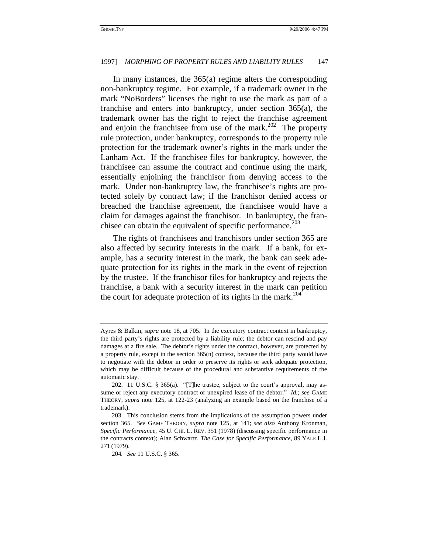In many instances, the 365(a) regime alters the corresponding non-bankruptcy regime. For example, if a trademark owner in the mark "NoBorders" licenses the right to use the mark as part of a franchise and enters into bankruptcy, under section 365(a), the trademark owner has the right to reject the franchise agreement and enjoin the franchisee from use of the mark. $^{202}$  The property rule protection, under bankruptcy, corresponds to the property rule protection for the trademark owner's rights in the mark under the Lanham Act. If the franchisee files for bankruptcy, however, the franchisee can assume the contract and continue using the mark, essentially enjoining the franchisor from denying access to the mark. Under non-bankruptcy law, the franchisee's rights are protected solely by contract law; if the franchisor denied access or breached the franchise agreement, the franchisee would have a claim for damages against the franchisor. In bankruptcy, the franchisee can obtain the equivalent of specific performance.<sup> $203$ </sup>

The rights of franchisees and franchisors under section 365 are also affected by security interests in the mark. If a bank, for example, has a security interest in the mark, the bank can seek adequate protection for its rights in the mark in the event of rejection by the trustee. If the franchisor files for bankruptcy and rejects the franchise, a bank with a security interest in the mark can petition the court for adequate protection of its rights in the mark.<sup>204</sup>

Ayres & Balkin, *supra* note 18, at 705. In the executory contract context in bankruptcy, the third party's rights are protected by a liability rule; the debtor can rescind and pay damages at a fire sale. The debtor's rights under the contract, however, are protected by a property rule, except in the section 365(n) context, because the third party would have to negotiate with the debtor in order to preserve its rights or seek adequate protection, which may be difficult because of the procedural and substantive requirements of the automatic stay.

<sup>202. 11</sup> U.S.C. § 365(a). "[T]he trustee, subject to the court's approval, may assume or reject any executory contract or unexpired lease of the debtor." *Id.*; *see* GAME THEORY, *supra* note 125, at 122-23 (analyzing an example based on the franchise of a trademark).

<sup>203.</sup> This conclusion stems from the implications of the assumption powers under section 365. *See* GAME THEORY, *supra* note 125, at 141; *see also* Anthony Kronman, *Specific Performance*, 45 U. CHI. L. REV. 351 (1978) (discussing specific performance in the contracts context); Alan Schwartz*, The Case for Specific Performance*, 89 YALE L.J. 271 (1979).

<sup>204</sup>*. See* 11 U.S.C. § 365.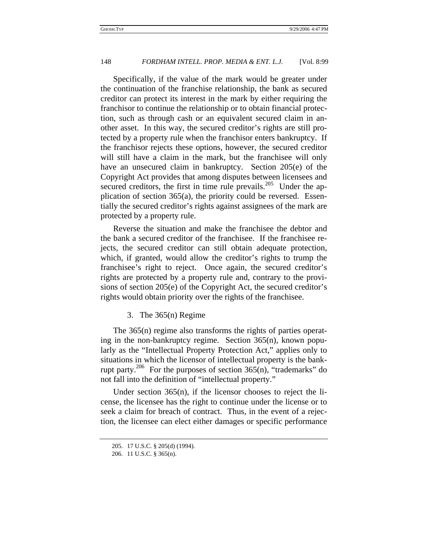Specifically, if the value of the mark would be greater under the continuation of the franchise relationship, the bank as secured creditor can protect its interest in the mark by either requiring the franchisor to continue the relationship or to obtain financial protection, such as through cash or an equivalent secured claim in another asset. In this way, the secured creditor's rights are still protected by a property rule when the franchisor enters bankruptcy. If the franchisor rejects these options, however, the secured creditor will still have a claim in the mark, but the franchisee will only have an unsecured claim in bankruptcy. Section 205(e) of the Copyright Act provides that among disputes between licensees and secured creditors, the first in time rule prevails.<sup>205</sup> Under the application of section 365(a), the priority could be reversed. Essentially the secured creditor's rights against assignees of the mark are protected by a property rule.

Reverse the situation and make the franchisee the debtor and the bank a secured creditor of the franchisee. If the franchisee rejects, the secured creditor can still obtain adequate protection, which, if granted, would allow the creditor's rights to trump the franchisee's right to reject. Once again, the secured creditor's rights are protected by a property rule and, contrary to the provisions of section 205(e) of the Copyright Act, the secured creditor's rights would obtain priority over the rights of the franchisee.

### 3. The 365(n) Regime

The 365(n) regime also transforms the rights of parties operating in the non-bankruptcy regime. Section 365(n), known popularly as the "Intellectual Property Protection Act," applies only to situations in which the licensor of intellectual property is the bankrupt party.<sup>206</sup> For the purposes of section  $365(n)$ , "trademarks" do not fall into the definition of "intellectual property."

Under section 365(n), if the licensor chooses to reject the license, the licensee has the right to continue under the license or to seek a claim for breach of contract. Thus, in the event of a rejection, the licensee can elect either damages or specific performance

<sup>205. 17</sup> U.S.C. § 205(d) (1994).

<sup>206. 11</sup> U.S.C. § 365(n).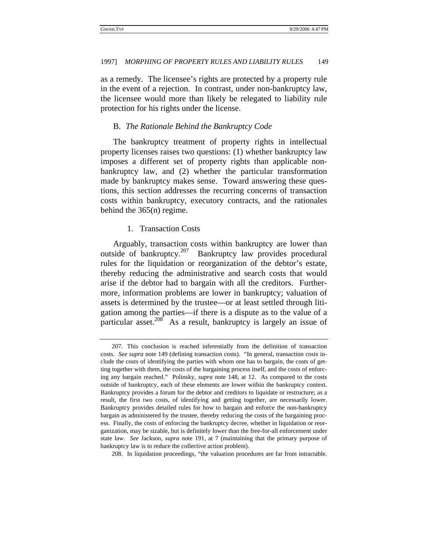as a remedy. The licensee's rights are protected by a property rule in the event of a rejection. In contrast, under non-bankruptcy law, the licensee would more than likely be relegated to liability rule protection for his rights under the license.

## B. *The Rationale Behind the Bankruptcy Code*

The bankruptcy treatment of property rights in intellectual property licenses raises two questions: (1) whether bankruptcy law imposes a different set of property rights than applicable nonbankruptcy law, and (2) whether the particular transformation made by bankruptcy makes sense. Toward answering these questions, this section addresses the recurring concerns of transaction costs within bankruptcy, executory contracts, and the rationales behind the 365(n) regime.

## 1. Transaction Costs

Arguably, transaction costs within bankruptcy are lower than outside of bankruptcy.207 Bankruptcy law provides procedural rules for the liquidation or reorganization of the debtor's estate, thereby reducing the administrative and search costs that would arise if the debtor had to bargain with all the creditors. Furthermore, information problems are lower in bankruptcy; valuation of assets is determined by the trustee—or at least settled through litigation among the parties—if there is a dispute as to the value of a particular asset. $208$  As a result, bankruptcy is largely an issue of

208. In liquidation proceedings, "the valuation procedures are far from intractable.

<sup>207.</sup> This conclusion is reached inferentially from the definition of transaction costs. *See supra* note 149 (defining transaction costs). "In general, transaction costs include the costs of identifying the parties with whom one has to bargain, the costs of getting together with them, the costs of the bargaining process itself, and the costs of enforcing any bargain reached." Polinsky, *supra* note 148, at 12. As compared to the costs outside of bankruptcy, each of these elements are lower within the bankruptcy context. Bankruptcy provides a forum for the debtor and creditors to liquidate or restructure; as a result, the first two costs, of identifying and getting together, are necessarily lower. Bankruptcy provides detailed rules for how to bargain and enforce the non-bankruptcy bargain as administered by the trustee, thereby reducing the costs of the bargaining process. Finally, the costs of enforcing the bankruptcy decree, whether in liquidation or reorganization, may be sizable, but is definitely lower than the free-for-all enforcement under state law. *See* Jackson, *supra* note 191, at 7 (maintaining that the primary purpose of bankruptcy law is to reduce the collective action problem).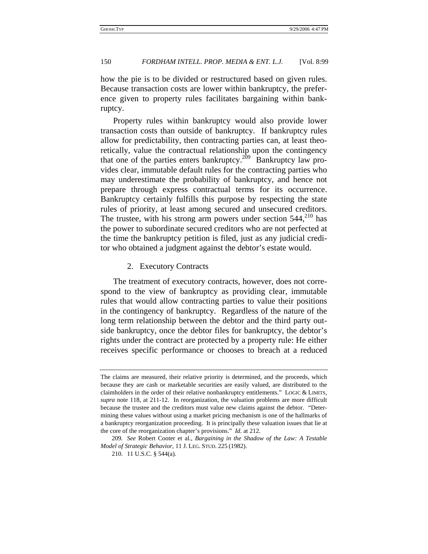how the pie is to be divided or restructured based on given rules. Because transaction costs are lower within bankruptcy, the preference given to property rules facilitates bargaining within bankruptcy.

Property rules within bankruptcy would also provide lower transaction costs than outside of bankruptcy. If bankruptcy rules allow for predictability, then contracting parties can, at least theoretically, value the contractual relationship upon the contingency that one of the parties enters bankruptcy.<sup>209</sup> Bankruptcy law provides clear, immutable default rules for the contracting parties who may underestimate the probability of bankruptcy, and hence not prepare through express contractual terms for its occurrence. Bankruptcy certainly fulfills this purpose by respecting the state rules of priority, at least among secured and unsecured creditors. The trustee, with his strong arm powers under section  $544$ ,  $^{210}$  has the power to subordinate secured creditors who are not perfected at the time the bankruptcy petition is filed, just as any judicial creditor who obtained a judgment against the debtor's estate would.

### 2. Executory Contracts

The treatment of executory contracts, however, does not correspond to the view of bankruptcy as providing clear, immutable rules that would allow contracting parties to value their positions in the contingency of bankruptcy. Regardless of the nature of the long term relationship between the debtor and the third party outside bankruptcy, once the debtor files for bankruptcy, the debtor's rights under the contract are protected by a property rule: He either receives specific performance or chooses to breach at a reduced

The claims are measured, their relative priority is determined, and the proceeds, which because they are cash or marketable securities are easily valued, are distributed to the claimholders in the order of their relative nonbankruptcy entitlements." LOGIC & LIMITS, *supra* note 118, at 211-12. In reorganization, the valuation problems are more difficult because the trustee and the creditors must value new claims against the debtor. "Determining these values without using a market pricing mechanism is one of the hallmarks of a bankruptcy reorganization proceeding. It is principally these valuation issues that lie at the core of the reorganization chapter's provisions." *Id.* at 212.

<sup>209</sup>*. See* Robert Cooter et al., *Bargaining in the Shadow of the Law: A Testable Model of Strategic Behavior,* 11 J. LEG. STUD. 225 (1982).

<sup>210. 11</sup> U.S.C. § 544(a).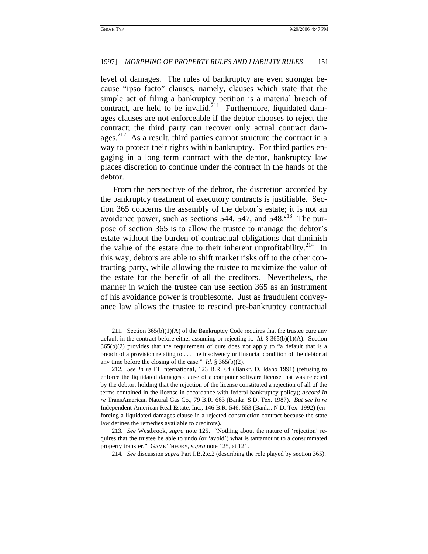level of damages. The rules of bankruptcy are even stronger because "ipso facto" clauses, namely, clauses which state that the simple act of filing a bankruptcy petition is a material breach of contract, are held to be invalid.<sup>211</sup> Furthermore, liquidated damages clauses are not enforceable if the debtor chooses to reject the contract; the third party can recover only actual contract damages.<sup>212</sup> As a result, third parties cannot structure the contract in a way to protect their rights within bankruptcy. For third parties engaging in a long term contract with the debtor, bankruptcy law places discretion to continue under the contract in the hands of the debtor.

From the perspective of the debtor, the discretion accorded by the bankruptcy treatment of executory contracts is justifiable. Section 365 concerns the assembly of the debtor's estate; it is not an avoidance power, such as sections  $544$ ,  $547$ , and  $548$ <sup>213</sup>. The purpose of section 365 is to allow the trustee to manage the debtor's estate without the burden of contractual obligations that diminish the value of the estate due to their inherent unprofitability.<sup>214</sup> In this way, debtors are able to shift market risks off to the other contracting party, while allowing the trustee to maximize the value of the estate for the benefit of all the creditors. Nevertheless, the manner in which the trustee can use section 365 as an instrument of his avoidance power is troublesome. Just as fraudulent conveyance law allows the trustee to rescind pre-bankruptcy contractual

<sup>211.</sup> Section 365(b)(1)(A) of the Bankruptcy Code requires that the trustee cure any default in the contract before either assuming or rejecting it. *Id.* § 365(b)(1)(A). Section  $365(b)(2)$  provides that the requirement of cure does not apply to "a default that is a breach of a provision relating to . . . the insolvency or financial condition of the debtor at any time before the closing of the case." *Id.* § 365(b)(2).

<sup>212</sup>*. See In re* EI International*,* 123 B.R. 64 (Bankr. D. Idaho 1991) (refusing to enforce the liquidated damages clause of a computer software license that was rejected by the debtor; holding that the rejection of the license constituted a rejection of all of the terms contained in the license in accordance with federal bankruptcy policy); *accord In re* TransAmerican Natural Gas Co., 79 B.R. 663 (Bankr. S.D. Tex. 1987). *But see In re* Independent American Real Estate, Inc., 146 B.R. 546, 553 (Bankr. N.D. Tex. 1992) (enforcing a liquidated damages clause in a rejected construction contract because the state law defines the remedies available to creditors).

<sup>213</sup>*. See* Westbrook, *supra* note 125. "Nothing about the nature of 'rejection' requires that the trustee be able to undo (or 'avoid') what is tantamount to a consummated property transfer." GAME THEORY, *supra* note 125, at 121.

<sup>214</sup>*. See* discussion *supra* Part I.B.2.c.2 (describing the role played by section 365).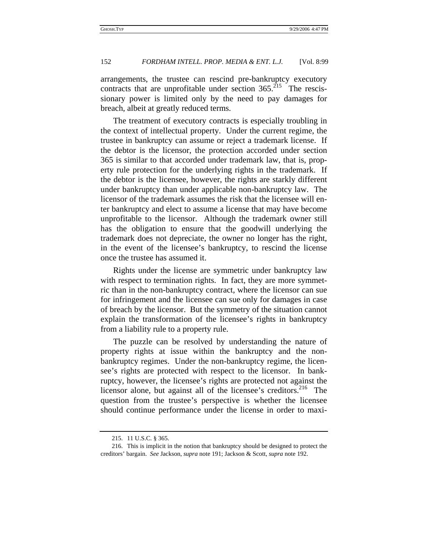arrangements, the trustee can rescind pre-bankruptcy executory contracts that are unprofitable under section  $365<sup>215</sup>$  The rescissionary power is limited only by the need to pay damages for breach, albeit at greatly reduced terms.

The treatment of executory contracts is especially troubling in the context of intellectual property. Under the current regime, the trustee in bankruptcy can assume or reject a trademark license. If the debtor is the licensor, the protection accorded under section 365 is similar to that accorded under trademark law, that is, property rule protection for the underlying rights in the trademark. If the debtor is the licensee, however, the rights are starkly different under bankruptcy than under applicable non-bankruptcy law. The licensor of the trademark assumes the risk that the licensee will enter bankruptcy and elect to assume a license that may have become unprofitable to the licensor. Although the trademark owner still has the obligation to ensure that the goodwill underlying the trademark does not depreciate, the owner no longer has the right, in the event of the licensee's bankruptcy, to rescind the license once the trustee has assumed it.

Rights under the license are symmetric under bankruptcy law with respect to termination rights. In fact, they are more symmetric than in the non-bankruptcy contract, where the licensor can sue for infringement and the licensee can sue only for damages in case of breach by the licensor. But the symmetry of the situation cannot explain the transformation of the licensee's rights in bankruptcy from a liability rule to a property rule.

The puzzle can be resolved by understanding the nature of property rights at issue within the bankruptcy and the nonbankruptcy regimes. Under the non-bankruptcy regime, the licensee's rights are protected with respect to the licensor. In bankruptcy, however, the licensee's rights are protected not against the licensor alone, but against all of the licensee's creditors.<sup>216</sup> The question from the trustee's perspective is whether the licensee should continue performance under the license in order to maxi-

<sup>215. 11</sup> U.S.C. § 365.

<sup>216.</sup> This is implicit in the notion that bankruptcy should be designed to protect the creditors' bargain. *See* Jackson, *supra* note 191; Jackson & Scott, *supra* note 192.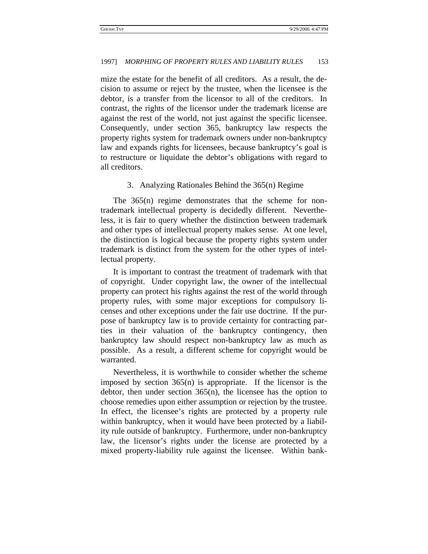mize the estate for the benefit of all creditors. As a result, the decision to assume or reject by the trustee, when the licensee is the debtor, is a transfer from the licensor to all of the creditors. In contrast, the rights of the licensor under the trademark license are against the rest of the world, not just against the specific licensee. Consequently, under section 365, bankruptcy law respects the property rights system for trademark owners under non-bankruptcy law and expands rights for licensees, because bankruptcy's goal is to restructure or liquidate the debtor's obligations with regard to all creditors.

#### 3. Analyzing Rationales Behind the 365(n) Regime

The 365(n) regime demonstrates that the scheme for nontrademark intellectual property is decidedly different. Nevertheless, it is fair to query whether the distinction between trademark and other types of intellectual property makes sense. At one level, the distinction is logical because the property rights system under trademark is distinct from the system for the other types of intellectual property.

It is important to contrast the treatment of trademark with that of copyright. Under copyright law, the owner of the intellectual property can protect his rights against the rest of the world through property rules, with some major exceptions for compulsory licenses and other exceptions under the fair use doctrine. If the purpose of bankruptcy law is to provide certainty for contracting parties in their valuation of the bankruptcy contingency, then bankruptcy law should respect non-bankruptcy law as much as possible. As a result, a different scheme for copyright would be warranted.

Nevertheless, it is worthwhile to consider whether the scheme imposed by section 365(n) is appropriate. If the licensor is the debtor, then under section 365(n), the licensee has the option to choose remedies upon either assumption or rejection by the trustee. In effect, the licensee's rights are protected by a property rule within bankruptcy, when it would have been protected by a liability rule outside of bankruptcy. Furthermore, under non-bankruptcy law, the licensor's rights under the license are protected by a mixed property-liability rule against the licensee. Within bank-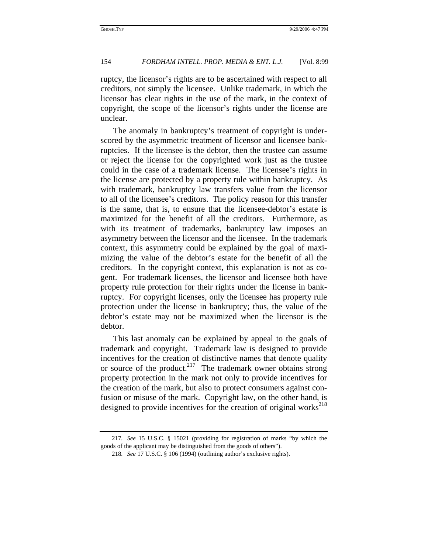ruptcy, the licensor's rights are to be ascertained with respect to all creditors, not simply the licensee. Unlike trademark, in which the licensor has clear rights in the use of the mark, in the context of copyright, the scope of the licensor's rights under the license are unclear.

The anomaly in bankruptcy's treatment of copyright is underscored by the asymmetric treatment of licensor and licensee bankruptcies. If the licensee is the debtor, then the trustee can assume or reject the license for the copyrighted work just as the trustee could in the case of a trademark license. The licensee's rights in the license are protected by a property rule within bankruptcy. As with trademark, bankruptcy law transfers value from the licensor to all of the licensee's creditors. The policy reason for this transfer is the same, that is, to ensure that the licensee-debtor's estate is maximized for the benefit of all the creditors. Furthermore, as with its treatment of trademarks, bankruptcy law imposes an asymmetry between the licensor and the licensee. In the trademark context, this asymmetry could be explained by the goal of maximizing the value of the debtor's estate for the benefit of all the creditors. In the copyright context, this explanation is not as cogent. For trademark licenses, the licensor and licensee both have property rule protection for their rights under the license in bankruptcy. For copyright licenses, only the licensee has property rule protection under the license in bankruptcy; thus, the value of the debtor's estate may not be maximized when the licensor is the debtor.

This last anomaly can be explained by appeal to the goals of trademark and copyright. Trademark law is designed to provide incentives for the creation of distinctive names that denote quality or source of the product.<sup>217</sup> The trademark owner obtains strong property protection in the mark not only to provide incentives for the creation of the mark, but also to protect consumers against confusion or misuse of the mark. Copyright law, on the other hand, is designed to provide incentives for the creation of original works<sup>218</sup>

<sup>217</sup>*. See* 15 U.S.C. § 15021 (providing for registration of marks "by which the goods of the applicant may be distinguished from the goods of others").

<sup>218</sup>*. See* 17 U.S.C. § 106 (1994) (outlining author's exclusive rights).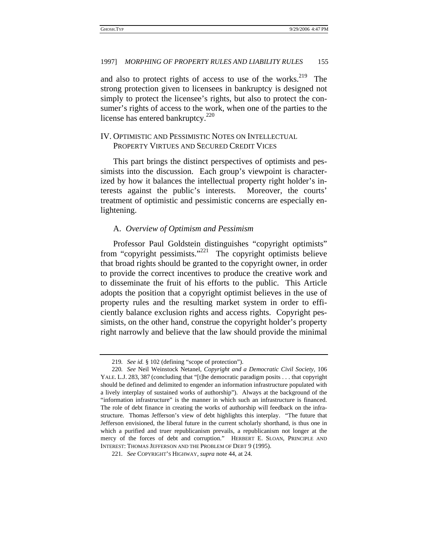and also to protect rights of access to use of the works.<sup>219</sup> The strong protection given to licensees in bankruptcy is designed not simply to protect the licensee's rights, but also to protect the consumer's rights of access to the work, when one of the parties to the license has entered bankruptcy.<sup>220</sup>

# IV. OPTIMISTIC AND PESSIMISTIC NOTES ON INTELLECTUAL PROPERTY VIRTUES AND SECURED CREDIT VICES

This part brings the distinct perspectives of optimists and pessimists into the discussion. Each group's viewpoint is characterized by how it balances the intellectual property right holder's interests against the public's interests. Moreover, the courts' treatment of optimistic and pessimistic concerns are especially enlightening.

## A. *Overview of Optimism and Pessimism*

Professor Paul Goldstein distinguishes "copyright optimists" from "copyright pessimists."<sup>221</sup> The copyright optimists believe that broad rights should be granted to the copyright owner, in order to provide the correct incentives to produce the creative work and to disseminate the fruit of his efforts to the public. This Article adopts the position that a copyright optimist believes in the use of property rules and the resulting market system in order to efficiently balance exclusion rights and access rights. Copyright pessimists, on the other hand, construe the copyright holder's property right narrowly and believe that the law should provide the minimal

<sup>219</sup>*. See id.* § 102 (defining "scope of protection").

<sup>220</sup>*. See* Neil Weinstock Netanel, *Copyright and a Democratic Civil Society,* 106 YALE. L.J. 283, 387 (concluding that "[t]he democratic paradigm posits . . . that copyright should be defined and delimited to engender an information infrastructure populated with a lively interplay of sustained works of authorship"). Always at the background of the "information infrastructure" is the manner in which such an infrastructure is financed. The role of debt finance in creating the works of authorship will feedback on the infrastructure. Thomas Jefferson's view of debt highlights this interplay. "The future that Jefferson envisioned, the liberal future in the current scholarly shorthand, is thus one in which a purified and truer republicanism prevails, a republicanism not longer at the mercy of the forces of debt and corruption." HERBERT E. SLOAN, PRINCIPLE AND INTEREST: THOMAS JEFFERSON AND THE PROBLEM OF DEBT 9 (1995).

<sup>221</sup>*. See* COPYRIGHT'S HIGHWAY, *supra* note 44, at 24.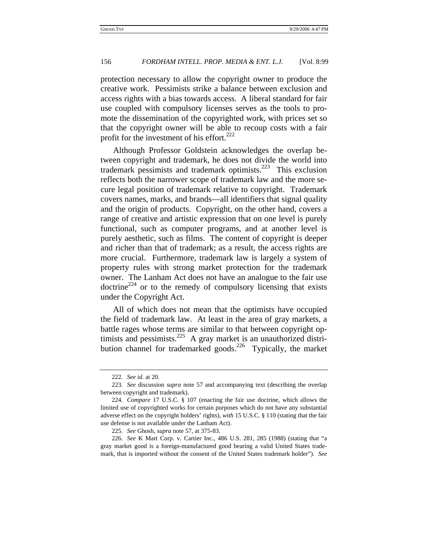protection necessary to allow the copyright owner to produce the creative work. Pessimists strike a balance between exclusion and access rights with a bias towards access. A liberal standard for fair use coupled with compulsory licenses serves as the tools to promote the dissemination of the copyrighted work, with prices set so that the copyright owner will be able to recoup costs with a fair profit for the investment of his effort.<sup>222</sup>

Although Professor Goldstein acknowledges the overlap between copyright and trademark, he does not divide the world into trademark pessimists and trademark optimists.<sup>223</sup> This exclusion reflects both the narrower scope of trademark law and the more secure legal position of trademark relative to copyright. Trademark covers names, marks, and brands—all identifiers that signal quality and the origin of products. Copyright, on the other hand, covers a range of creative and artistic expression that on one level is purely functional, such as computer programs, and at another level is purely aesthetic, such as films. The content of copyright is deeper and richer than that of trademark; as a result, the access rights are more crucial. Furthermore, trademark law is largely a system of property rules with strong market protection for the trademark owner. The Lanham Act does not have an analogue to the fair use  $dot{c}^{224}$  or to the remedy of compulsory licensing that exists under the Copyright Act.

All of which does not mean that the optimists have occupied the field of trademark law. At least in the area of gray markets, a battle rages whose terms are similar to that between copyright optimists and pessimists.<sup>225</sup> A gray market is an unauthorized distribution channel for trademarked goods.<sup>226</sup> Typically, the market

<sup>222</sup>*. See id.* at 20.

<sup>223</sup>*. See* discussion *supra* note 57 and accompanying text (describing the overlap between copyright and trademark).

<sup>224</sup>*. Compare* 17 U.S.C. § 107 (enacting the fair use doctrine, which allows the limited use of copyrighted works for certain purposes which do not have any substantial adverse effect on the copyright holders' rights), *with* 15 U.S.C. § 110 (stating that the fair use defense is not available under the Lanham Act).

<sup>225</sup>*. See* Ghosh, *supra* note 57, at 375-83.

<sup>226</sup>*. See* K Mart Corp. v. Cartier Inc., 486 U.S. 281, 285 (1988) (stating that "a gray market good is a foreign-manufactured good bearing a valid United States trademark, that is imported without the consent of the United States trademark holder"). *See*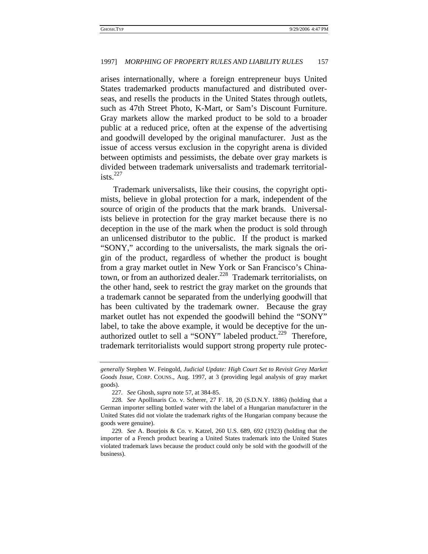arises internationally, where a foreign entrepreneur buys United States trademarked products manufactured and distributed overseas, and resells the products in the United States through outlets, such as 47th Street Photo, K-Mart, or Sam's Discount Furniture. Gray markets allow the marked product to be sold to a broader public at a reduced price, often at the expense of the advertising and goodwill developed by the original manufacturer. Just as the issue of access versus exclusion in the copyright arena is divided between optimists and pessimists, the debate over gray markets is divided between trademark universalists and trademark territorialists. $^{227}$ 

Trademark universalists, like their cousins, the copyright optimists, believe in global protection for a mark, independent of the source of origin of the products that the mark brands. Universalists believe in protection for the gray market because there is no deception in the use of the mark when the product is sold through an unlicensed distributor to the public. If the product is marked "SONY," according to the universalists, the mark signals the origin of the product, regardless of whether the product is bought from a gray market outlet in New York or San Francisco's Chinatown, or from an authorized dealer.<sup>228</sup> Trademark territorialists, on the other hand, seek to restrict the gray market on the grounds that a trademark cannot be separated from the underlying goodwill that has been cultivated by the trademark owner. Because the gray market outlet has not expended the goodwill behind the "SONY" label, to take the above example, it would be deceptive for the unauthorized outlet to sell a "SONY" labeled product.<sup>229</sup> Therefore, trademark territorialists would support strong property rule protec-

*generally* Stephen W. Feingold, *Judicial Update: High Court Set to Revisit Grey Market Goods Issue*, CORP. COUNS., Aug. 1997, at 3 (providing legal analysis of gray market goods).

<sup>227</sup>*. See* Ghosh, *supra* note 57, at 384-85.

<sup>228</sup>*. See* Apollinaris Co. v. Scherer, 27 F. 18, 20 (S.D.N.Y. 1886) (holding that a German importer selling bottled water with the label of a Hungarian manufacturer in the United States did not violate the trademark rights of the Hungarian company because the goods were genuine).

<sup>229</sup>*. See* A. Bourjois & Co. v. Katzel, 260 U.S. 689, 692 (1923) (holding that the importer of a French product bearing a United States trademark into the United States violated trademark laws because the product could only be sold with the goodwill of the business).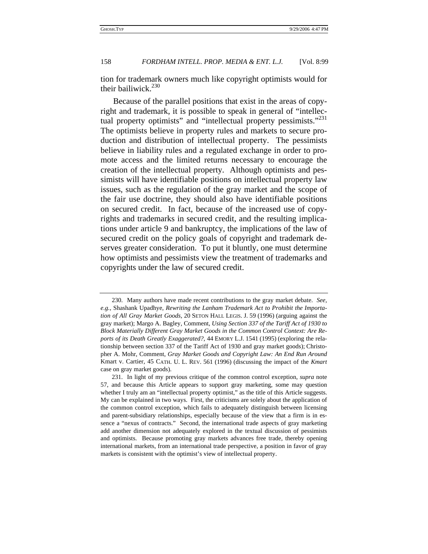tion for trademark owners much like copyright optimists would for their bailiwick. $230$ 

Because of the parallel positions that exist in the areas of copyright and trademark, it is possible to speak in general of "intellectual property optimists" and "intellectual property pessimists."<sup>231</sup> The optimists believe in property rules and markets to secure production and distribution of intellectual property. The pessimists believe in liability rules and a regulated exchange in order to promote access and the limited returns necessary to encourage the creation of the intellectual property. Although optimists and pessimists will have identifiable positions on intellectual property law issues, such as the regulation of the gray market and the scope of the fair use doctrine, they should also have identifiable positions on secured credit. In fact, because of the increased use of copyrights and trademarks in secured credit, and the resulting implications under article 9 and bankruptcy, the implications of the law of secured credit on the policy goals of copyright and trademark deserves greater consideration. To put it bluntly, one must determine how optimists and pessimists view the treatment of trademarks and copyrights under the law of secured credit.

<sup>230.</sup> Many authors have made recent contributions to the gray market debate. *See, e.g.*, Shashank Upadhye, *Rewriting the Lanham Trademark Act to Prohibit the Importation of All Gray Market Goods,* 20 SETON HALL LEGIS. J. 59 (1996) (arguing against the gray market); Margo A. Bagley, Comment, *Using Section 337 of the Tariff Act of 1930 to Block Materially Different Gray Market Goods in the Common Control Context: Are Reports of its Death Greatly Exaggerated?*, 44 EMORY L.J. 1541 (1995) (exploring the relationship between section 337 of the Tariff Act of 1930 and gray market goods); Christopher A. Mohr, Comment, *Gray Market Goods and Copyright Law: An End Run Around*  Kmart v. Cartier, 45 CATH. U. L. REV. 561 (1996) (discussing the impact of the *Kmart* case on gray market goods).

<sup>231.</sup> In light of my previous critique of the common control exception, *supra* note 57, and because this Article appears to support gray marketing, some may question whether I truly am an "intellectual property optimist," as the title of this Article suggests. My can be explained in two ways. First, the criticisms are solely about the application of the common control exception, which fails to adequately distinguish between licensing and parent-subsidiary relationships, especially because of the view that a firm is in essence a "nexus of contracts." Second, the international trade aspects of gray marketing add another dimension not adequately explored in the textual discussion of pessimists and optimists. Because promoting gray markets advances free trade, thereby opening international markets, from an international trade perspective, a position in favor of gray markets is consistent with the optimist's view of intellectual property.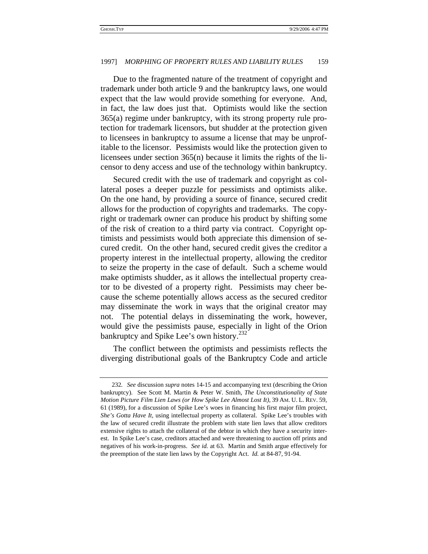Due to the fragmented nature of the treatment of copyright and trademark under both article 9 and the bankruptcy laws, one would expect that the law would provide something for everyone. And, in fact, the law does just that. Optimists would like the section 365(a) regime under bankruptcy, with its strong property rule protection for trademark licensors, but shudder at the protection given to licensees in bankruptcy to assume a license that may be unprofitable to the licensor. Pessimists would like the protection given to licensees under section 365(n) because it limits the rights of the licensor to deny access and use of the technology within bankruptcy.

Secured credit with the use of trademark and copyright as collateral poses a deeper puzzle for pessimists and optimists alike. On the one hand, by providing a source of finance, secured credit allows for the production of copyrights and trademarks. The copyright or trademark owner can produce his product by shifting some of the risk of creation to a third party via contract. Copyright optimists and pessimists would both appreciate this dimension of secured credit. On the other hand, secured credit gives the creditor a property interest in the intellectual property, allowing the creditor to seize the property in the case of default. Such a scheme would make optimists shudder, as it allows the intellectual property creator to be divested of a property right. Pessimists may cheer because the scheme potentially allows access as the secured creditor may disseminate the work in ways that the original creator may not. The potential delays in disseminating the work, however, would give the pessimists pause, especially in light of the Orion bankruptcy and Spike Lee's own history.<sup>232</sup>

The conflict between the optimists and pessimists reflects the diverging distributional goals of the Bankruptcy Code and article

<sup>232</sup>*. See* discussion *supra* notes 14-15 and accompanying text (describing the Orion bankruptcy). See Scott M. Martin & Peter W. Smith, *The Unconstitutionality of State Motion Picture Film Lien Laws (or How Spike Lee Almost Lost It)*, 39 AM. U. L. REV. 59, 61 (1989), for a discussion of Spike Lee's woes in financing his first major film project, *She's Gotta Have It*, using intellectual property as collateral. Spike Lee's troubles with the law of secured credit illustrate the problem with state lien laws that allow creditors extensive rights to attach the collateral of the debtor in which they have a security interest. In Spike Lee's case, creditors attached and were threatening to auction off prints and negatives of his work-in-progress. *See id.* at 63. Martin and Smith argue effectively for the preemption of the state lien laws by the Copyright Act. *Id.* at 84-87, 91-94.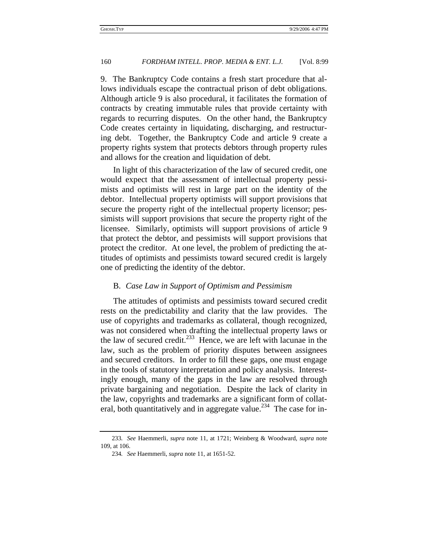9. The Bankruptcy Code contains a fresh start procedure that allows individuals escape the contractual prison of debt obligations. Although article 9 is also procedural, it facilitates the formation of contracts by creating immutable rules that provide certainty with regards to recurring disputes. On the other hand, the Bankruptcy Code creates certainty in liquidating, discharging, and restructuring debt. Together, the Bankruptcy Code and article 9 create a property rights system that protects debtors through property rules and allows for the creation and liquidation of debt.

In light of this characterization of the law of secured credit, one would expect that the assessment of intellectual property pessimists and optimists will rest in large part on the identity of the debtor. Intellectual property optimists will support provisions that secure the property right of the intellectual property licensor; pessimists will support provisions that secure the property right of the licensee. Similarly, optimists will support provisions of article 9 that protect the debtor, and pessimists will support provisions that protect the creditor. At one level, the problem of predicting the attitudes of optimists and pessimists toward secured credit is largely one of predicting the identity of the debtor.

#### B. *Case Law in Support of Optimism and Pessimism*

The attitudes of optimists and pessimists toward secured credit rests on the predictability and clarity that the law provides. The use of copyrights and trademarks as collateral, though recognized, was not considered when drafting the intellectual property laws or the law of secured credit.<sup>233</sup> Hence, we are left with lacunae in the law, such as the problem of priority disputes between assignees and secured creditors. In order to fill these gaps, one must engage in the tools of statutory interpretation and policy analysis. Interestingly enough, many of the gaps in the law are resolved through private bargaining and negotiation. Despite the lack of clarity in the law, copyrights and trademarks are a significant form of collateral, both quantitatively and in aggregate value.<sup>234</sup> The case for in-

<sup>233</sup>*. See* Haemmerli, *supra* note 11, at 1721; Weinberg & Woodward, *supra* note 109, at 106.

<sup>234</sup>*. See* Haemmerli, *supra* note 11, at 1651-52.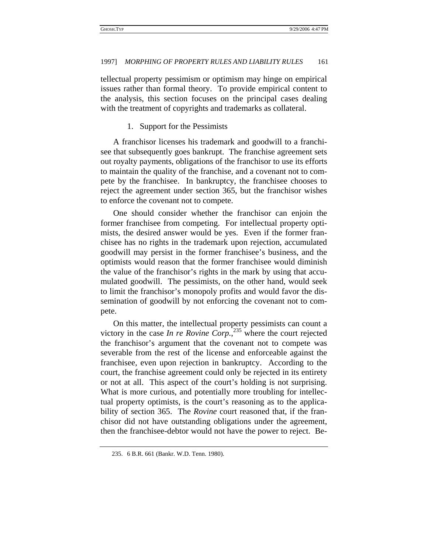tellectual property pessimism or optimism may hinge on empirical issues rather than formal theory. To provide empirical content to the analysis, this section focuses on the principal cases dealing with the treatment of copyrights and trademarks as collateral.

1. Support for the Pessimists

A franchisor licenses his trademark and goodwill to a franchisee that subsequently goes bankrupt. The franchise agreement sets out royalty payments, obligations of the franchisor to use its efforts to maintain the quality of the franchise, and a covenant not to compete by the franchisee. In bankruptcy, the franchisee chooses to reject the agreement under section 365, but the franchisor wishes to enforce the covenant not to compete.

One should consider whether the franchisor can enjoin the former franchisee from competing. For intellectual property optimists, the desired answer would be yes. Even if the former franchisee has no rights in the trademark upon rejection, accumulated goodwill may persist in the former franchisee's business, and the optimists would reason that the former franchisee would diminish the value of the franchisor's rights in the mark by using that accumulated goodwill. The pessimists, on the other hand, would seek to limit the franchisor's monopoly profits and would favor the dissemination of goodwill by not enforcing the covenant not to compete.

On this matter, the intellectual property pessimists can count a victory in the case *In re Rovine Corp*<sup>235</sup>, where the court rejected the franchisor's argument that the covenant not to compete was severable from the rest of the license and enforceable against the franchisee, even upon rejection in bankruptcy. According to the court, the franchise agreement could only be rejected in its entirety or not at all. This aspect of the court's holding is not surprising. What is more curious, and potentially more troubling for intellectual property optimists, is the court's reasoning as to the applicability of section 365. The *Rovine* court reasoned that, if the franchisor did not have outstanding obligations under the agreement, then the franchisee-debtor would not have the power to reject. Be-

<sup>235. 6</sup> B.R. 661 (Bankr. W.D. Tenn. 1980).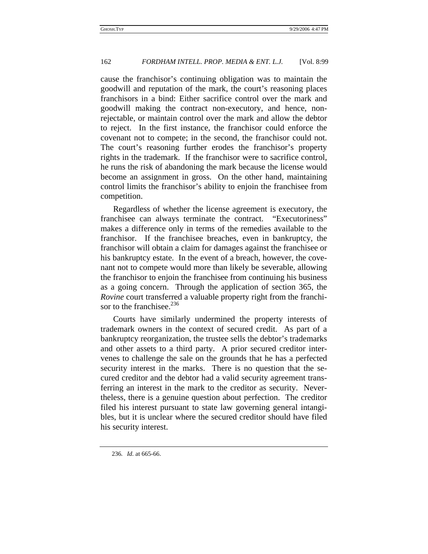cause the franchisor's continuing obligation was to maintain the goodwill and reputation of the mark, the court's reasoning places franchisors in a bind: Either sacrifice control over the mark and goodwill making the contract non-executory, and hence, nonrejectable, or maintain control over the mark and allow the debtor to reject. In the first instance, the franchisor could enforce the covenant not to compete; in the second, the franchisor could not. The court's reasoning further erodes the franchisor's property rights in the trademark. If the franchisor were to sacrifice control, he runs the risk of abandoning the mark because the license would become an assignment in gross. On the other hand, maintaining control limits the franchisor's ability to enjoin the franchisee from competition.

Regardless of whether the license agreement is executory, the franchisee can always terminate the contract. "Executoriness" makes a difference only in terms of the remedies available to the franchisor. If the franchisee breaches, even in bankruptcy, the franchisor will obtain a claim for damages against the franchisee or his bankruptcy estate. In the event of a breach, however, the covenant not to compete would more than likely be severable, allowing the franchisor to enjoin the franchisee from continuing his business as a going concern. Through the application of section 365, the *Rovine* court transferred a valuable property right from the franchisor to the franchisee.<sup>236</sup>

Courts have similarly undermined the property interests of trademark owners in the context of secured credit. As part of a bankruptcy reorganization, the trustee sells the debtor's trademarks and other assets to a third party. A prior secured creditor intervenes to challenge the sale on the grounds that he has a perfected security interest in the marks. There is no question that the secured creditor and the debtor had a valid security agreement transferring an interest in the mark to the creditor as security. Nevertheless, there is a genuine question about perfection. The creditor filed his interest pursuant to state law governing general intangibles, but it is unclear where the secured creditor should have filed his security interest.

236*. Id.* at 665-66.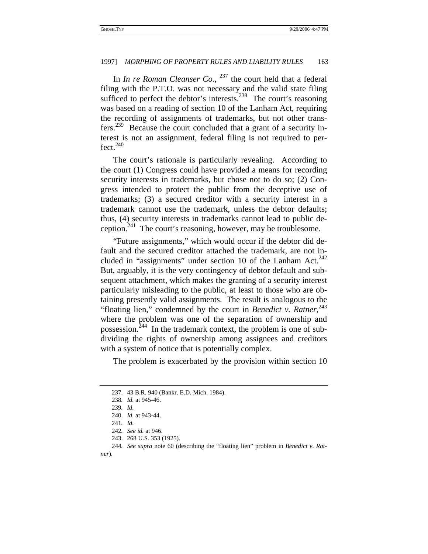In *In re Roman Cleanser Co.*, <sup>237</sup> the court held that a federal filing with the P.T.O. was not necessary and the valid state filing sufficed to perfect the debtor's interests.<sup>238</sup> The court's reasoning was based on a reading of section 10 of the Lanham Act, requiring the recording of assignments of trademarks, but not other transfers.239 Because the court concluded that a grant of a security interest is not an assignment, federal filing is not required to per $fect.$ <sup>240</sup>

The court's rationale is particularly revealing. According to the court (1) Congress could have provided a means for recording security interests in trademarks, but chose not to do so; (2) Congress intended to protect the public from the deceptive use of trademarks; (3) a secured creditor with a security interest in a trademark cannot use the trademark, unless the debtor defaults; thus, (4) security interests in trademarks cannot lead to public deception.<sup>241</sup> The court's reasoning, however, may be troublesome.

"Future assignments," which would occur if the debtor did default and the secured creditor attached the trademark, are not included in "assignments" under section 10 of the Lanham Act. $^{242}$ But, arguably, it is the very contingency of debtor default and subsequent attachment, which makes the granting of a security interest particularly misleading to the public, at least to those who are obtaining presently valid assignments. The result is analogous to the "floating lien," condemned by the court in *Benedict v. Ratner*, 243 where the problem was one of the separation of ownership and possession.<sup>244</sup> In the trademark context, the problem is one of subdividing the rights of ownership among assignees and creditors with a system of notice that is potentially complex.

The problem is exacerbated by the provision within section 10

*ner*).

<sup>237. 43</sup> B.R. 940 (Bankr. E.D. Mich. 1984).

<sup>238</sup>*. Id.* at 945-46.

<sup>239</sup>*. Id.*

<sup>240.</sup> *Id.* at 943-44.

<sup>241</sup>*. Id.*

<sup>242</sup>*. See id.* at 946.

<sup>243. 268</sup> U.S. 353 (1925).

<sup>244</sup>*. See supra* note 60 (describing the "floating lien" problem in *Benedict v. Rat-*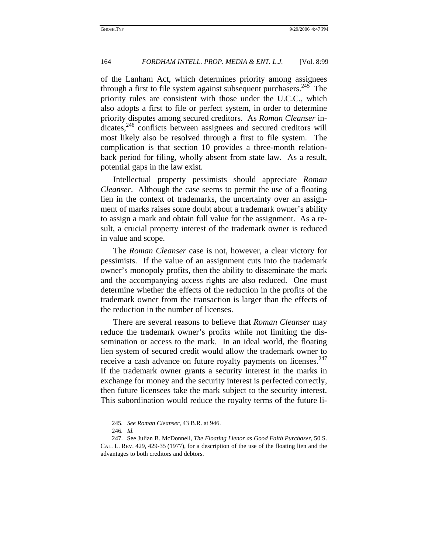of the Lanham Act, which determines priority among assignees through a first to file system against subsequent purchasers.<sup>245</sup> The priority rules are consistent with those under the U.C.C., which also adopts a first to file or perfect system, in order to determine priority disputes among secured creditors. As *Roman Cleanser* in $dicates, <sup>246</sup>$  conflicts between assignees and secured creditors will most likely also be resolved through a first to file system. The complication is that section 10 provides a three-month relationback period for filing, wholly absent from state law. As a result, potential gaps in the law exist.

Intellectual property pessimists should appreciate *Roman Cleanser*. Although the case seems to permit the use of a floating lien in the context of trademarks, the uncertainty over an assignment of marks raises some doubt about a trademark owner's ability to assign a mark and obtain full value for the assignment. As a result, a crucial property interest of the trademark owner is reduced in value and scope.

The *Roman Cleanser* case is not, however, a clear victory for pessimists. If the value of an assignment cuts into the trademark owner's monopoly profits, then the ability to disseminate the mark and the accompanying access rights are also reduced. One must determine whether the effects of the reduction in the profits of the trademark owner from the transaction is larger than the effects of the reduction in the number of licenses.

There are several reasons to believe that *Roman Cleanser* may reduce the trademark owner's profits while not limiting the dissemination or access to the mark. In an ideal world, the floating lien system of secured credit would allow the trademark owner to receive a cash advance on future royalty payments on licenses. $247$ If the trademark owner grants a security interest in the marks in exchange for money and the security interest is perfected correctly, then future licensees take the mark subject to the security interest. This subordination would reduce the royalty terms of the future li-

<sup>245</sup>*. See Roman Cleanser*, 43 B.R. at 946.

<sup>246</sup>*. Id.*

<sup>247.</sup> See Julian B. McDonnell, *The Floating Lienor as Good Faith Purchaser*, 50 S. CAL. L. REV. 429, 429-35 (1977), for a description of the use of the floating lien and the advantages to both creditors and debtors.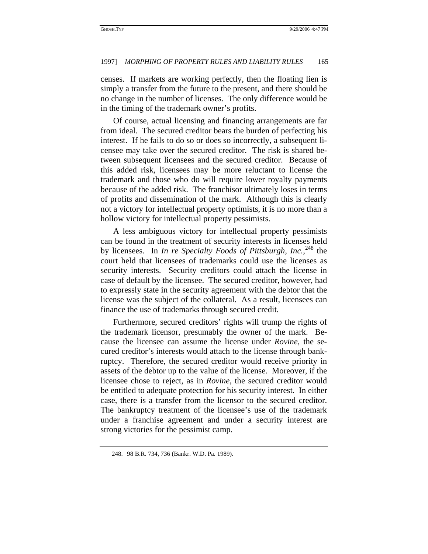censes. If markets are working perfectly, then the floating lien is simply a transfer from the future to the present, and there should be no change in the number of licenses. The only difference would be in the timing of the trademark owner's profits.

Of course, actual licensing and financing arrangements are far from ideal. The secured creditor bears the burden of perfecting his interest. If he fails to do so or does so incorrectly, a subsequent licensee may take over the secured creditor. The risk is shared between subsequent licensees and the secured creditor. Because of this added risk, licensees may be more reluctant to license the trademark and those who do will require lower royalty payments because of the added risk. The franchisor ultimately loses in terms of profits and dissemination of the mark. Although this is clearly not a victory for intellectual property optimists, it is no more than a hollow victory for intellectual property pessimists.

A less ambiguous victory for intellectual property pessimists can be found in the treatment of security interests in licenses held by licensees. In *In re Specialty Foods of Pittsburgh, Inc.*, 248 the court held that licensees of trademarks could use the licenses as security interests. Security creditors could attach the license in case of default by the licensee. The secured creditor, however, had to expressly state in the security agreement with the debtor that the license was the subject of the collateral. As a result, licensees can finance the use of trademarks through secured credit.

Furthermore, secured creditors' rights will trump the rights of the trademark licensor, presumably the owner of the mark. Because the licensee can assume the license under *Rovine*, the secured creditor's interests would attach to the license through bankruptcy. Therefore, the secured creditor would receive priority in assets of the debtor up to the value of the license. Moreover, if the licensee chose to reject, as in *Rovine*, the secured creditor would be entitled to adequate protection for his security interest. In either case, there is a transfer from the licensor to the secured creditor. The bankruptcy treatment of the licensee's use of the trademark under a franchise agreement and under a security interest are strong victories for the pessimist camp.

<sup>248. 98</sup> B.R. 734, 736 (Bankr. W.D. Pa. 1989).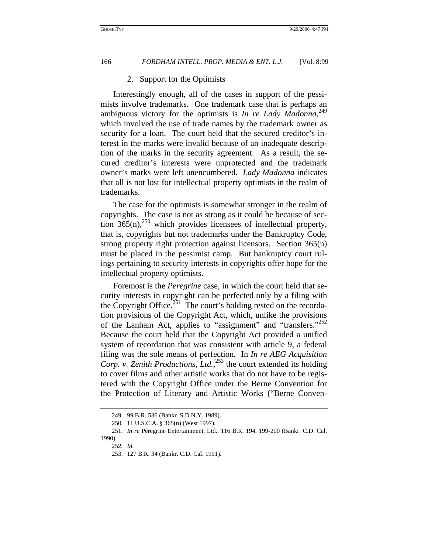### 2. Support for the Optimists

Interestingly enough, all of the cases in support of the pessimists involve trademarks. One trademark case that is perhaps an ambiguous victory for the optimists is *In re Lady Madonna*, 249 which involved the use of trade names by the trademark owner as security for a loan. The court held that the secured creditor's interest in the marks were invalid because of an inadequate description of the marks in the security agreement. As a result, the secured creditor's interests were unprotected and the trademark owner's marks were left unencumbered. *Lady Madonna* indicates that all is not lost for intellectual property optimists in the realm of trademarks.

The case for the optimists is somewhat stronger in the realm of copyrights. The case is not as strong as it could be because of section  $365(n)$ ,<sup>250</sup> which provides licensees of intellectual property, that is, copyrights but not trademarks under the Bankruptcy Code, strong property right protection against licensors. Section 365(n) must be placed in the pessimist camp. But bankruptcy court rulings pertaining to security interests in copyrights offer hope for the intellectual property optimists.

Foremost is the *Peregrine* case, in which the court held that security interests in copyright can be perfected only by a filing with the Copyright Office.<sup>251</sup> The court's holding rested on the recordation provisions of the Copyright Act, which, unlike the provisions of the Lanham Act, applies to "assignment" and "transfers."<sup>252</sup> Because the court held that the Copyright Act provided a unified system of recordation that was consistent with article 9, a federal filing was the sole means of perfection. In *In re AEG Acquisition Corp. v. Zenith Productions, Ltd.*, 253 the court extended its holding to cover films and other artistic works that do not have to be registered with the Copyright Office under the Berne Convention for the Protection of Literary and Artistic Works ("Berne Conven-

<sup>249. 99</sup> B.R. 536 (Bankr. S.D.N.Y. 1989).

<sup>250. 11</sup> U.S.C.A. § 365(n) (West 1997).

<sup>251.</sup> *In re* Peregrine Entertainment, Ltd., 116 B.R. 194, 199-200 (Bankr. C.D. Cal. 1990).

<sup>252</sup>*. Id.*

<sup>253. 127</sup> B.R. 34 (Bankr. C.D. Cal. 1991).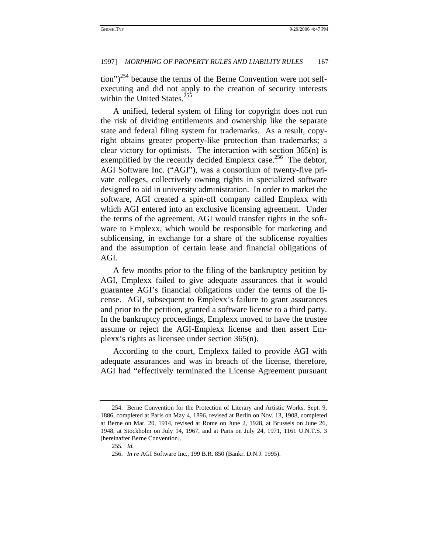$\frac{1}{254}$  because the terms of the Berne Convention were not selfexecuting and did not apply to the creation of security interests within the United States.<sup>255</sup>

A unified, federal system of filing for copyright does not run the risk of dividing entitlements and ownership like the separate state and federal filing system for trademarks. As a result, copyright obtains greater property-like protection than trademarks; a clear victory for optimists. The interaction with section 365(n) is exemplified by the recently decided Emplexx case.<sup>256</sup> The debtor, AGI Software Inc. ("AGI"), was a consortium of twenty-five private colleges, collectively owning rights in specialized software designed to aid in university administration. In order to market the software, AGI created a spin-off company called Emplexx with which AGI entered into an exclusive licensing agreement. Under the terms of the agreement, AGI would transfer rights in the software to Emplexx, which would be responsible for marketing and sublicensing, in exchange for a share of the sublicense royalties and the assumption of certain lease and financial obligations of AGI.

A few months prior to the filing of the bankruptcy petition by AGI, Emplexx failed to give adequate assurances that it would guarantee AGI's financial obligations under the terms of the license. AGI, subsequent to Emplexx's failure to grant assurances and prior to the petition, granted a software license to a third party. In the bankruptcy proceedings, Emplexx moved to have the trustee assume or reject the AGI-Emplexx license and then assert Emplexx's rights as licensee under section 365(n).

According to the court, Emplexx failed to provide AGI with adequate assurances and was in breach of the license, therefore, AGI had "effectively terminated the License Agreement pursuant

<sup>254.</sup> Berne Convention for the Protection of Literary and Artistic Works, Sept. 9, 1886, completed at Paris on May 4, 1896, revised at Berlin on Nov. 13, 1908, completed at Berne on Mar. 20, 1914, revised at Rome on June 2, 1928, at Brussels on June 26, 1948, at Stockholm on July 14, 1967, and at Paris on July 24, 1971, 1161 U.N.T.S. 3 [hereinafter Berne Convention].

<sup>255</sup>*. Id.*

<sup>256.</sup> *In re* AGI Software Inc., 199 B.R. 850 (Bankr. D.N.J. 1995).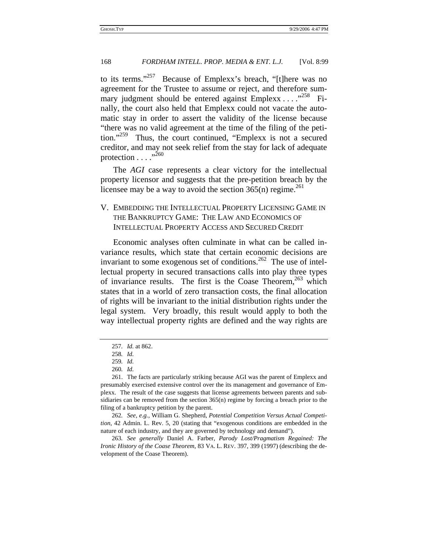to its terms."<sup>257</sup> Because of Emplexx's breach, "[t]here was no agreement for the Trustee to assume or reject, and therefore summary judgment should be entered against  $Emplexx \ldots$ .  $^{258}$  Finally, the court also held that Emplexx could not vacate the automatic stay in order to assert the validity of the license because "there was no valid agreement at the time of the filing of the petition."259 Thus, the court continued, "Emplexx is not a secured creditor, and may not seek relief from the stay for lack of adequate protection  $\ldots$  .  $^{0.260}$ 

The *AGI* case represents a clear victory for the intellectual property licensor and suggests that the pre-petition breach by the licensee may be a way to avoid the section  $365(n)$  regime.<sup>261</sup>

# V. EMBEDDING THE INTELLECTUAL PROPERTY LICENSING GAME IN THE BANKRUPTCY GAME: THE LAW AND ECONOMICS OF INTELLECTUAL PROPERTY ACCESS AND SECURED CREDIT

Economic analyses often culminate in what can be called invariance results, which state that certain economic decisions are invariant to some exogenous set of conditions.<sup>262</sup> The use of intellectual property in secured transactions calls into play three types of invariance results. The first is the Coase Theorem,  $263$  which states that in a world of zero transaction costs, the final allocation of rights will be invariant to the initial distribution rights under the legal system. Very broadly, this result would apply to both the way intellectual property rights are defined and the way rights are

<sup>257</sup>*. Id.* at 862.

<sup>258</sup>*. Id.*

<sup>259</sup>*. Id.*

<sup>260</sup>*. Id.*

<sup>261.</sup> The facts are particularly striking because AGI was the parent of Emplexx and presumably exercised extensive control over the its management and governance of Emplexx. The result of the case suggests that license agreements between parents and subsidiaries can be removed from the section  $365(n)$  regime by forcing a breach prior to the filing of a bankruptcy petition by the parent.

<sup>262</sup>*. See, e.g.*, William G. Shepherd, *Potential Competition Versus Actual Competition*, 42 Admin. L. Rev. 5, 20 (stating that "exogenous conditions are embedded in the nature of each industry, and they are governed by technology and demand").

<sup>263</sup>*. See generally* Daniel A. Farber, *Parody Lost/Pragmatism Regained: The Ironic History of the Coase Theorem*, 83 VA. L. REV. 397, 399 (1997) (describing the development of the Coase Theorem).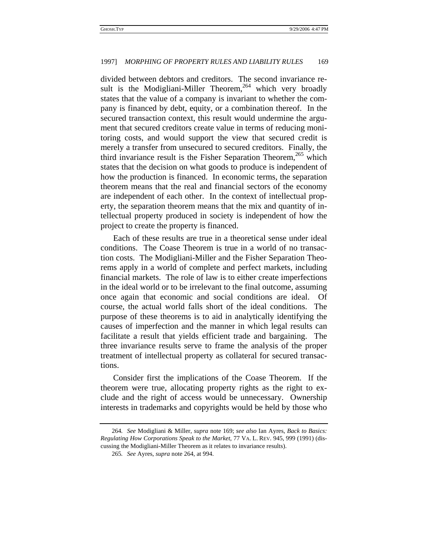#### 1997] *MORPHING OF PROPERTY RULES AND LIABILITY RULES* 169

divided between debtors and creditors. The second invariance result is the Modigliani-Miller Theorem,  $^{264}$  which very broadly states that the value of a company is invariant to whether the company is financed by debt, equity, or a combination thereof. In the secured transaction context, this result would undermine the argument that secured creditors create value in terms of reducing monitoring costs, and would support the view that secured credit is merely a transfer from unsecured to secured creditors. Finally, the third invariance result is the Fisher Separation Theorem,<sup>265</sup> which states that the decision on what goods to produce is independent of how the production is financed. In economic terms, the separation theorem means that the real and financial sectors of the economy are independent of each other. In the context of intellectual property, the separation theorem means that the mix and quantity of intellectual property produced in society is independent of how the project to create the property is financed.

Each of these results are true in a theoretical sense under ideal conditions. The Coase Theorem is true in a world of no transaction costs. The Modigliani-Miller and the Fisher Separation Theorems apply in a world of complete and perfect markets, including financial markets. The role of law is to either create imperfections in the ideal world or to be irrelevant to the final outcome, assuming once again that economic and social conditions are ideal. course, the actual world falls short of the ideal conditions. The purpose of these theorems is to aid in analytically identifying the causes of imperfection and the manner in which legal results can facilitate a result that yields efficient trade and bargaining. The three invariance results serve to frame the analysis of the proper treatment of intellectual property as collateral for secured transactions.

Consider first the implications of the Coase Theorem. If the theorem were true, allocating property rights as the right to exclude and the right of access would be unnecessary. Ownership interests in trademarks and copyrights would be held by those who

<sup>264</sup>*. See* Modigliani & Miller, *supra* note 169; *see also* Ian Ayres, *Back to Basics: Regulating How Corporations Speak to the Market*, 77 VA. L. REV. 945, 999 (1991) (discussing the Modigliani-Miller Theorem as it relates to invariance results).

<sup>265</sup>*. See* Ayres, *supra* note 264, at 994.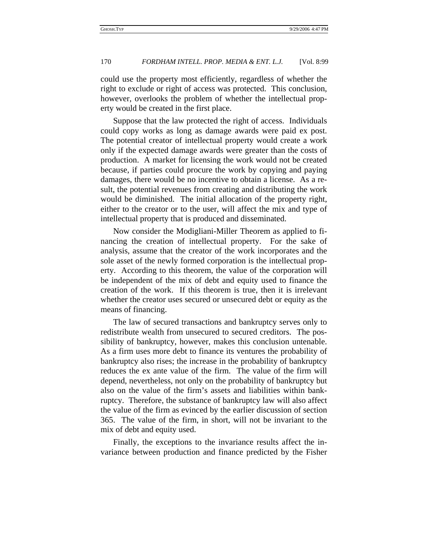# 170 *FORDHAM INTELL. PROP. MEDIA & ENT. L.J.* [Vol. 8:99

could use the property most efficiently, regardless of whether the right to exclude or right of access was protected. This conclusion, however, overlooks the problem of whether the intellectual property would be created in the first place.

Suppose that the law protected the right of access. Individuals could copy works as long as damage awards were paid ex post. The potential creator of intellectual property would create a work only if the expected damage awards were greater than the costs of production. A market for licensing the work would not be created because, if parties could procure the work by copying and paying damages, there would be no incentive to obtain a license. As a result, the potential revenues from creating and distributing the work would be diminished. The initial allocation of the property right, either to the creator or to the user, will affect the mix and type of intellectual property that is produced and disseminated.

Now consider the Modigliani-Miller Theorem as applied to financing the creation of intellectual property. For the sake of analysis, assume that the creator of the work incorporates and the sole asset of the newly formed corporation is the intellectual property. According to this theorem, the value of the corporation will be independent of the mix of debt and equity used to finance the creation of the work. If this theorem is true, then it is irrelevant whether the creator uses secured or unsecured debt or equity as the means of financing.

The law of secured transactions and bankruptcy serves only to redistribute wealth from unsecured to secured creditors. The possibility of bankruptcy, however, makes this conclusion untenable. As a firm uses more debt to finance its ventures the probability of bankruptcy also rises; the increase in the probability of bankruptcy reduces the ex ante value of the firm. The value of the firm will depend, nevertheless, not only on the probability of bankruptcy but also on the value of the firm's assets and liabilities within bankruptcy. Therefore, the substance of bankruptcy law will also affect the value of the firm as evinced by the earlier discussion of section 365. The value of the firm, in short, will not be invariant to the mix of debt and equity used.

Finally, the exceptions to the invariance results affect the invariance between production and finance predicted by the Fisher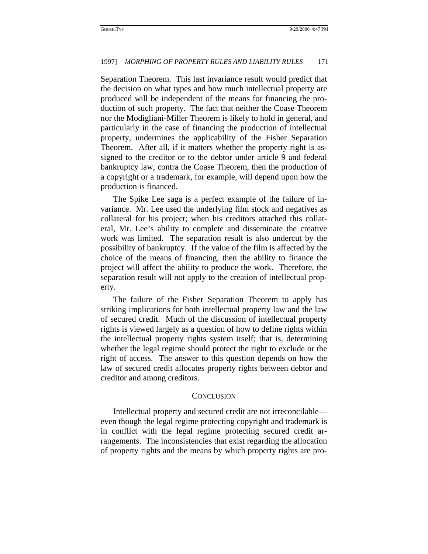## 1997] *MORPHING OF PROPERTY RULES AND LIABILITY RULES* 171

Separation Theorem. This last invariance result would predict that the decision on what types and how much intellectual property are produced will be independent of the means for financing the production of such property. The fact that neither the Coase Theorem nor the Modigliani-Miller Theorem is likely to hold in general, and particularly in the case of financing the production of intellectual property, undermines the applicability of the Fisher Separation Theorem. After all, if it matters whether the property right is assigned to the creditor or to the debtor under article 9 and federal bankruptcy law, contra the Coase Theorem, then the production of a copyright or a trademark, for example, will depend upon how the production is financed.

The Spike Lee saga is a perfect example of the failure of invariance. Mr. Lee used the underlying film stock and negatives as collateral for his project; when his creditors attached this collateral, Mr. Lee's ability to complete and disseminate the creative work was limited. The separation result is also undercut by the possibility of bankruptcy. If the value of the film is affected by the choice of the means of financing, then the ability to finance the project will affect the ability to produce the work. Therefore, the separation result will not apply to the creation of intellectual property.

The failure of the Fisher Separation Theorem to apply has striking implications for both intellectual property law and the law of secured credit. Much of the discussion of intellectual property rights is viewed largely as a question of how to define rights within the intellectual property rights system itself; that is, determining whether the legal regime should protect the right to exclude or the right of access. The answer to this question depends on how the law of secured credit allocates property rights between debtor and creditor and among creditors.

### **CONCLUSION**

Intellectual property and secured credit are not irreconcilable even though the legal regime protecting copyright and trademark is in conflict with the legal regime protecting secured credit arrangements. The inconsistencies that exist regarding the allocation of property rights and the means by which property rights are pro-